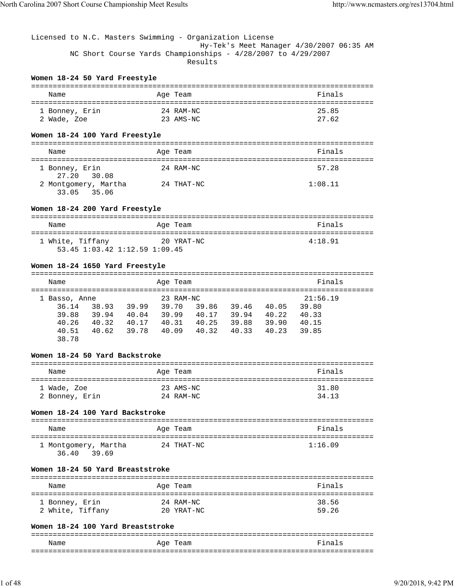# Licensed to N.C. Masters Swimming - Organization License Hy-Tek's Meet Manager 4/30/2007 06:35 AM NC Short Course Yards Championships - 4/28/2007 to 4/29/2007 Results

#### **Women 18-24 50 Yard Freestyle**

| Name           | Age Team  | Finals |
|----------------|-----------|--------|
| 1 Bonney, Erin | 24 RAM-NC | 25.85  |
| 2 Wade, Zoe    | 23 AMS-NC | 27.62  |

## **Women 18-24 100 Yard Freestyle**

| Name                                | Age Team   | Finals  |
|-------------------------------------|------------|---------|
| 1 Bonney, Erin<br>27.20 30.08       | 24 RAM-NC  | 57.28   |
| 2 Montgomery, Martha<br>33.05 35.06 | 24 THAT-NC | 1:08.11 |

#### **Women 18-24 200 Yard Freestyle**

| Name             | Age Team                                    | Finals  |
|------------------|---------------------------------------------|---------|
| 1 White, Tiffany | 20 YRAT-NC<br>53.45 1:03.42 1:12.59 1:09.45 | 4:18.91 |

#### **Women 18-24 1650 Yard Freestyle**

| Name          |       |       | Age Team  |       |       |       | Finals   |  |
|---------------|-------|-------|-----------|-------|-------|-------|----------|--|
| 1 Basso, Anne |       |       | 23 RAM-NC |       |       |       | 21:56.19 |  |
| 36.14         | 38.93 | 39.99 | 39.70     | 39.86 | 39.46 | 40.05 | 39.80    |  |
| 39.88         | 39.94 | 40.04 | 39.99     | 40.17 | 39.94 | 40.22 | 40.33    |  |
| 40.26         | 40.32 | 40.17 | 40.31     | 40.25 | 39.88 | 39.90 | 40.15    |  |
| 40.51         | 40.62 | 39.78 | 40.09     | 40.32 | 40.33 | 40.23 | 39.85    |  |
| 38.78         |       |       |           |       |       |       |          |  |

#### **Women 18-24 50 Yard Backstroke**

| Name           | Age Team  | Finals |
|----------------|-----------|--------|
| 1 Wade, Zoe    | 23 AMS-NC | 31.80  |
| 2 Bonney, Erin | 24 RAM-NC | 34.13  |

#### **Women 18-24 100 Yard Backstroke**

| Name                                   | Age Team   | Finals  |
|----------------------------------------|------------|---------|
| 1 Montgomery, Martha<br>36.40<br>39.69 | 24 THAT-NC | 1:16.09 |

#### **Women 18-24 50 Yard Breaststroke**

| Name             | Age Team   | Finals |
|------------------|------------|--------|
| 1 Bonney, Erin   | 24 RAM-NC  | 38.56  |
| 2 White, Tiffany | 20 YRAT-NC | 59.26  |

#### **Women 18-24 100 Yard Breaststroke**

| Name | . |  |
|------|---|--|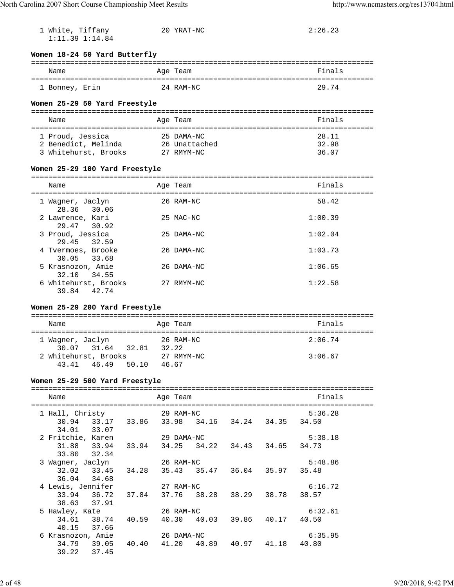| 1 White, Tiffany                                                                                   |       | 20 YRAT-NC    |  | 2:26.23 |  |
|----------------------------------------------------------------------------------------------------|-------|---------------|--|---------|--|
| $1:11.39$ $1:14.84$                                                                                |       |               |  |         |  |
| Women 18-24 50 Yard Butterfly                                                                      |       |               |  |         |  |
| Name                                                                                               |       | Age Team      |  | Finals  |  |
|                                                                                                    |       |               |  | 29.74   |  |
| 1 Bonney, Erin                                                                                     |       | 24 RAM-NC     |  |         |  |
| Women 25-29 50 Yard Freestyle                                                                      |       |               |  |         |  |
| Name                                                                                               |       | Age Team      |  | Finals  |  |
|                                                                                                    |       |               |  |         |  |
| 1 Proud, Jessica                                                                                   |       | 25 DAMA-NC    |  | 28.11   |  |
| 2 Benedict, Melinda                                                                                |       | 26 Unattached |  | 32.98   |  |
| 3 Whitehurst, Brooks                                                                               |       | 27 RMYM-NC    |  | 36.07   |  |
| Women 25-29 100 Yard Freestyle                                                                     |       |               |  |         |  |
|                                                                                                    |       |               |  |         |  |
| Name                                                                                               |       | Age Team      |  | Finals  |  |
| 1 Wagner, Jaclyn                                                                                   |       | 26 RAM-NC     |  | 58.42   |  |
| 28.36<br>30.06                                                                                     |       |               |  |         |  |
| 2 Lawrence, Kari                                                                                   |       | 25 MAC-NC     |  | 1:00.39 |  |
| 29.47<br>30.92                                                                                     |       |               |  |         |  |
| 3 Proud, Jessica<br>29.45<br>32.59                                                                 |       | 25 DAMA-NC    |  | 1:02.04 |  |
| 4 Tvermoes, Brooke                                                                                 |       | 26 DAMA-NC    |  | 1:03.73 |  |
| 30.05 33.68                                                                                        |       |               |  |         |  |
| 5 Krasnozon, Amie                                                                                  |       | 26 DAMA-NC    |  | 1:06.65 |  |
| 32.10<br>34.55<br>6 Whitehurst, Brooks                                                             |       | 27 RMYM-NC    |  | 1:22.58 |  |
| 39.84<br>42.74                                                                                     |       |               |  |         |  |
|                                                                                                    |       |               |  |         |  |
| Women 25-29 200 Yard Freestyle                                                                     |       |               |  |         |  |
| Name                                                                                               |       | Age Team      |  | Finals  |  |
| 1 Waqner, Jaclyn                                                                                   |       | 26 RAM-NC     |  | 2:06.74 |  |
| 31.64 32.81<br>30.07                                                                               | 32.22 |               |  |         |  |
| 2 Whitehurst, Brooks                                                                               |       | 27 RMYM-NC    |  | 3:06.67 |  |
| 43.41  46.49  50.10  46.67                                                                         |       |               |  |         |  |
|                                                                                                    |       |               |  |         |  |
| Women 25-29 500 Yard Freestyle                                                                     |       |               |  |         |  |
| Name                                                                                               |       | Age Team      |  | Finals  |  |
| 1 Hall, Christy                                                                                    |       | 29 RAM-NC     |  | 5:36.28 |  |
| 30.94 33.17 33.86 33.98 34.16 34.24 34.35 34.50                                                    |       |               |  |         |  |
| 34.01 33.07                                                                                        |       |               |  |         |  |
| 2 Fritchie, Karen 29 DAMA-NC                                                                       |       |               |  | 5:38.18 |  |
| $31.88 \qquad 33.94 \qquad 33.94 \qquad 34.25 \qquad 34.22 \qquad 34.43 \qquad 34.65 \qquad 34.73$ |       |               |  |         |  |
| 33.80 32.34                                                                                        |       |               |  |         |  |
| 3 Wagner, Jaclyn<br>33.45 34.28 35.43 35.47 36.04 35.97 35.48                                      |       | 26 RAM-NC     |  | 5:48.86 |  |
| 32.02<br>36.04 34.68                                                                               |       |               |  |         |  |
| 4 Lewis, Jennifer                                                                                  |       | 27 RAM-NC     |  | 6:16.72 |  |
| 33.94 36.72 37.84 37.76 38.28 38.29 38.78                                                          |       |               |  | 38.57   |  |
| 38.63 37.91                                                                                        |       |               |  |         |  |
| 5 Hawley, Kate                                                                                     |       | 26 RAM-NC     |  | 6:32.61 |  |
| 34.61 38.74 40.59 40.30 40.03 39.86 40.17 40.50                                                    |       |               |  |         |  |
| 40.15<br>37.66<br>6 Krasnozon, Amie                                                                |       | 26 DAMA-NC    |  | 6:35.95 |  |
| $34.79 \qquad 39.05 \qquad 40.40 \qquad 41.20 \qquad 40.89 \qquad 40.97 \qquad 41.18 \qquad 40.80$ |       |               |  |         |  |
| 39.22 37.45                                                                                        |       |               |  |         |  |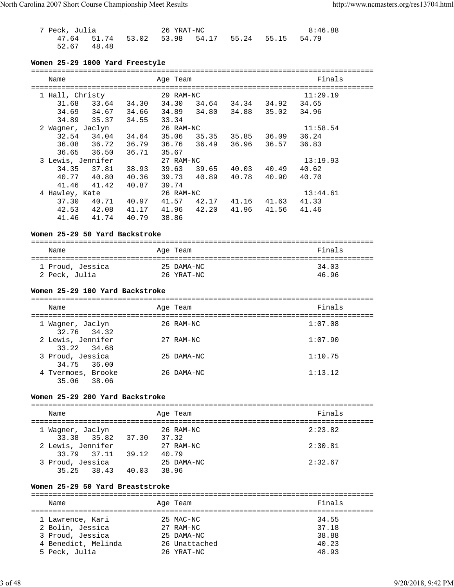7 Peck, Julia 26 YRAT-NC 8:46.88 47.64 51.74 53.02 53.98 54.17 55.24 55.15 54.79 52.67 48.48

# **Women 25-29 1000 Yard Freestyle**

| Name              |       |       | Age Team  |       |       |       | Finals   |  |
|-------------------|-------|-------|-----------|-------|-------|-------|----------|--|
| 1 Hall, Christy   |       |       | 29 RAM-NC |       |       |       | 11:29.19 |  |
| 31.68             | 33.64 | 34.30 | 34.30     | 34.64 | 34.34 | 34.92 | 34.65    |  |
| 34.69             | 34.67 | 34.66 | 34.89     | 34.80 | 34.88 | 35.02 | 34.96    |  |
| 34.89             | 35.37 | 34.55 | 33.34     |       |       |       |          |  |
| 2 Wagner, Jaclyn  |       |       | 26 RAM-NC |       |       |       | 11:58.54 |  |
| 32.54             | 34.04 | 34.64 | 35.06     | 35.35 | 35.85 | 36.09 | 36.24    |  |
| 36.08             | 36.72 | 36.79 | 36.76     | 36.49 | 36.96 | 36.57 | 36.83    |  |
| 36.65             | 36.50 | 36.71 | 35.67     |       |       |       |          |  |
| 3 Lewis, Jennifer |       |       | 27 RAM-NC |       |       |       | 13:19.93 |  |
| 34.35             | 37.81 | 38.93 | 39.63     | 39.65 | 40.03 | 40.49 | 40.62    |  |
| 40.77             | 40.80 | 40.36 | 39.73     | 40.89 | 40.78 | 40.90 | 40.70    |  |
| 41.46             | 41.42 | 40.87 | 39.74     |       |       |       |          |  |
| 4 Hawley, Kate    |       |       | 26 RAM-NC |       |       |       | 13:44.61 |  |
| 37.30             | 40.71 | 40.97 | 41.57     | 42.17 | 41.16 | 41.63 | 41.33    |  |
| 42.53             | 42.08 | 41.17 | 41.96     | 42.20 | 41.96 | 41.56 | 41.46    |  |
| 41.46             | 41.74 | 40.79 | 38.86     |       |       |       |          |  |

## **Women 25-29 50 Yard Backstroke**

| Name             | Age Team   | Finals |
|------------------|------------|--------|
| 1 Proud, Jessica | 25 DAMA-NC | 34.03  |
| 2 Peck, Julia    | 26 YRAT-NC | 46.96  |

#### **Women 25-29 100 Yard Backstroke**

| Name                              | Age Team   | Finals  |
|-----------------------------------|------------|---------|
| 1 Wagner, Jaclyn<br>32.76 34.32   | 26 RAM-NC  | 1:07.08 |
| 2 Lewis, Jennifer<br>33.22 34.68  | 27 RAM-NC  | 1:07.90 |
| 3 Proud, Jessica<br>34.75 36.00   | 25 DAMA-NC | 1:10.75 |
| 4 Tvermoes, Brooke<br>35.06 38.06 | 26 DAMA-NC | 1:13.12 |

## **Women 25-29 200 Yard Backstroke**

## =============================================================================== Name Research Age Team and the Search School and Times and Times and Times and Times are not the New School and Times and Times and Times and Times and Times and Times and Times and Times and Times and Times and Times and =============================================================================== 1 Wagner, Jaclyn 26 RAM-NC 2:23.82 33.38 35.82 37.30 37.32 2 Lewis, Jennifer 27 RAM-NC 2:30.81 33.79 37.11 39.12 40.79 3 Proud, Jessica 25 DAMA-NC 2:32.67 35.25 38.43 40.03 38.96

#### **Women 25-29 50 Yard Breaststroke**

| Name                |  | Age Team      | Finals |  |  |  |  |  |
|---------------------|--|---------------|--------|--|--|--|--|--|
|                     |  |               |        |  |  |  |  |  |
| 1 Lawrence, Kari    |  | 25 MAC-NC     | 34.55  |  |  |  |  |  |
| 2 Bolin, Jessica    |  | 27 RAM-NC     | 37.18  |  |  |  |  |  |
| 3 Proud, Jessica    |  | 25 DAMA-NC    | 38.88  |  |  |  |  |  |
| 4 Benedict, Melinda |  | 26 Unattached | 40.23  |  |  |  |  |  |
| 5 Peck, Julia       |  | 26 YRAT-NC    | 48.93  |  |  |  |  |  |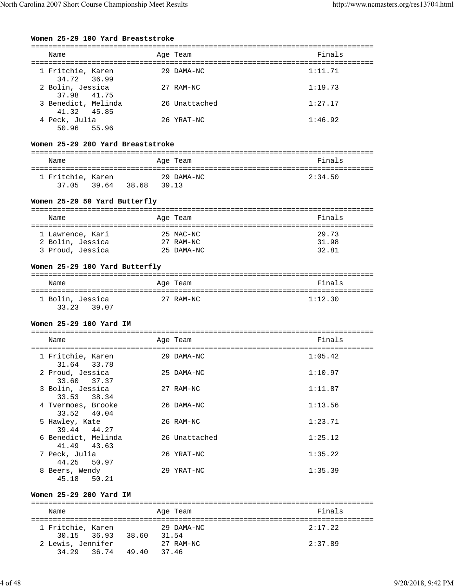# **Women 25-29 100 Yard Breaststroke**

| Name                               | Age Team      | Finals  |
|------------------------------------|---------------|---------|
| 1 Fritchie, Karen<br>34.72 36.99   | 29 DAMA-NC    | 1:11.71 |
| 2 Bolin, Jessica<br>37.98 41.75    | 27 RAM-NC     | 1:19.73 |
| 3 Benedict, Melinda<br>41.32 45.85 | 26 Unattached | 1:27.17 |
| 4 Peck, Julia<br>50.96 55.96       | 26 YRAT-NC    | 1:46.92 |

## **Women 25-29 200 Yard Breaststroke**

| Name              | Age Team       | Finals  |
|-------------------|----------------|---------|
|                   |                |         |
| 1 Fritchie, Karen | 29 DAMA-NC     | 2:34.50 |
| 37.05 39.64       | 38.68<br>39.13 |         |

# **Women 25-29 50 Yard Butterfly**

| Name             |  | Age Team   | Finals |  |  |  |  |  |
|------------------|--|------------|--------|--|--|--|--|--|
|                  |  |            |        |  |  |  |  |  |
| 1 Lawrence, Kari |  | 25 MAC-NC  | 29.73  |  |  |  |  |  |
| 2 Bolin, Jessica |  | 27 RAM-NC  | 31.98  |  |  |  |  |  |
| 3 Proud, Jessica |  | 25 DAMA-NC | 32.81  |  |  |  |  |  |

# **Women 25-29 100 Yard Butterfly**

| Name             | Age Team  | Finals  |
|------------------|-----------|---------|
| 1 Bolin, Jessica | 27 RAM-NC | 1:12.30 |
| 33.23 39.07      |           |         |

# **Women 25-29 100 Yard IM**

| Name                               |       | Age Team      | Finals  |
|------------------------------------|-------|---------------|---------|
| 1 Fritchie, Karen<br>31.64 33.78   |       | 29 DAMA-NC    | 1:05.42 |
| 2 Proud, Jessica<br>33.60 37.37    |       | 25 DAMA-NC    | 1:10.97 |
| 3 Bolin, Jessica<br>33.53 38.34    |       | 27 RAM-NC     | 1:11.87 |
| 4 Tvermoes, Brooke<br>33.52 40.04  |       | 26 DAMA-NC    | 1:13.56 |
| 5 Hawley, Kate<br>39.44 44.27      |       | 26 RAM-NC     | 1:23.71 |
| 6 Benedict, Melinda<br>41.49 43.63 |       | 26 Unattached | 1:25.12 |
| 7 Peck, Julia<br>44.25 50.97       |       | 26 YRAT-NC    | 1:35.22 |
| 8 Beers, Wendy<br>45.18            | 50.21 | 29 YRAT-NC    | 1:35.39 |

## **Women 25-29 200 Yard IM**

| Name                             |                | Age Team            | Finals  |  |  |  |  |
|----------------------------------|----------------|---------------------|---------|--|--|--|--|
| 1 Fritchie, Karen<br>30.15 36.93 | 38.60          | 29 DAMA-NC<br>31.54 | 2:17.22 |  |  |  |  |
| 2 Lewis, Jennifer<br>34.29 36.74 | 49.40<br>37.46 | 27 RAM-NC           | 2:37.89 |  |  |  |  |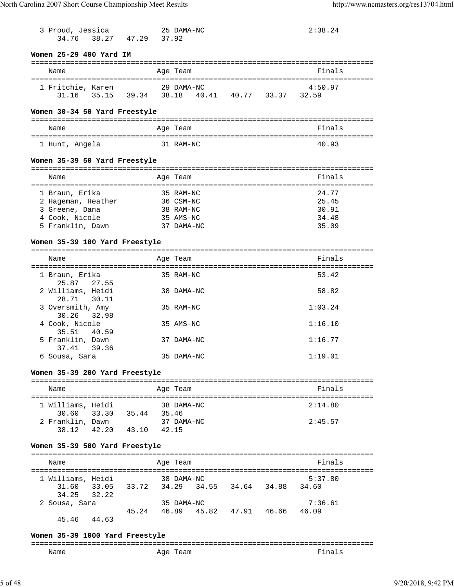| 3 Proud, Jessica<br>34.76          | 38.27 47.29 37.92       |  | 25 DAMA-NC              |  | 2:38.24                                         |        |
|------------------------------------|-------------------------|--|-------------------------|--|-------------------------------------------------|--------|
| Women 25-29 400 Yard IM            |                         |  |                         |  |                                                 |        |
|                                    |                         |  |                         |  |                                                 |        |
| Name                               |                         |  | Age Team                |  |                                                 | Finals |
| 1 Fritchie, Karen                  |                         |  | 29 DAMA-NC              |  | 4:50.97                                         |        |
|                                    |                         |  |                         |  | 31.16 35.15 39.34 38.18 40.41 40.77 33.37 32.59 |        |
| Women 30-34 50 Yard Freestyle      |                         |  |                         |  |                                                 |        |
| Name                               |                         |  | Age Team                |  |                                                 | Finals |
| 1 Hunt, Angela                     |                         |  | 31 RAM-NC               |  |                                                 | 40.93  |
| Women 35-39 50 Yard Freestyle      |                         |  |                         |  |                                                 |        |
| Name                               |                         |  | Age Team                |  |                                                 | Finals |
|                                    |                         |  |                         |  |                                                 |        |
| 1 Braun, Erika                     |                         |  | 35 RAM-NC               |  |                                                 | 24.77  |
| 2 Hageman, Heather 36 CSM-NC       |                         |  |                         |  | 25.45                                           |        |
| 3 Greene, Dana                     |                         |  | 38 RAM-NC               |  | 34.48                                           | 30.91  |
| 4 Cook, Nicole<br>5 Franklin, Dawn |                         |  | 35 AMS-NC<br>37 DAMA-NC |  |                                                 | 35.09  |
| Women 35-39 100 Yard Freestyle     |                         |  |                         |  |                                                 |        |
|                                    |                         |  |                         |  |                                                 |        |
| Name                               |                         |  | Age Team                |  |                                                 | Finals |
| 1 Braun, Erika<br>25.87 27.55      |                         |  | 35 RAM-NC               |  |                                                 | 53.42  |
| 2 Williams, Heidi<br>28.71 30.11   |                         |  | 38 DAMA-NC              |  |                                                 | 58.82  |
| 3 Oversmith, Amy<br>30.26          | 32.98                   |  | 35 RAM-NC               |  | 1:03.24                                         |        |
| 4 Cook, Nicole<br>35.51            | 40.59                   |  | 35 AMS-NC               |  | 1:16.10                                         |        |
| 5 Franklin, Dawn<br>37.41          | 39.36                   |  | 37 DAMA-NC              |  | 1:16.77                                         |        |
| 6 Sousa, Sara                      |                         |  | 35 DAMA-NC              |  | 1:19.01                                         |        |
| Women 35-39 200 Yard Freestyle     |                         |  |                         |  |                                                 |        |
| Name                               |                         |  | Age Team                |  |                                                 | Finals |
| 1 Williams, Heidi                  |                         |  | 38 DAMA-NC              |  | 2:14.80                                         |        |
| 30.60                              | 33.30 35.44 35.46       |  |                         |  |                                                 |        |
| 2 Franklin, Dawn                   |                         |  | 37 DAMA-NC              |  | 2:45.57                                         |        |
|                                    | 38.12 42.20 43.10 42.15 |  |                         |  |                                                 |        |
| Women 35-39 500 Yard Freestyle     |                         |  |                         |  |                                                 |        |
| Name                               |                         |  | Age Team                |  |                                                 | Finals |
| 1 Williams, Heidi                  |                         |  | 38 DAMA-NC              |  | 5:37.80                                         |        |
| 34.25                              | 32.22                   |  |                         |  | 31.60 33.05 33.72 34.29 34.55 34.64 34.88 34.60 |        |
| 2 Sousa, Sara                      |                         |  | 35 DAMA-NC              |  | 7:36.61                                         |        |
| 45.46 44.63                        |                         |  |                         |  | 45.24 46.89 45.82 47.91 46.66 46.09             |        |
| Women 35-39 1000 Yard Freestyle    |                         |  |                         |  |                                                 |        |
| Name                               |                         |  | Age Team                |  |                                                 | Finals |
|                                    |                         |  |                         |  |                                                 |        |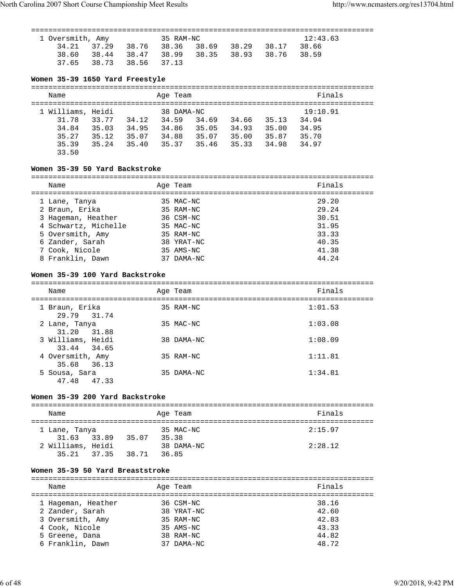===============================================================================

| 1 Oversmith, Amy | 12:43.63<br>35 RAM-NC                           |  |  |  |  |  |
|------------------|-------------------------------------------------|--|--|--|--|--|
|                  | 34.21 37.29 38.76 38.36 38.69 38.29 38.17 38.66 |  |  |  |  |  |
|                  | 38.60 38.44 38.47 38.99 38.35 38.93 38.76 38.59 |  |  |  |  |  |
|                  | 37.65 38.73 38.56 37.13                         |  |  |  |  |  |

## **Women 35-39 1650 Yard Freestyle**

| Name                                         |                         |                         | Age Team                              |                         |                         |                         | Finals                              |  |
|----------------------------------------------|-------------------------|-------------------------|---------------------------------------|-------------------------|-------------------------|-------------------------|-------------------------------------|--|
| 1 Williams, Heidi<br>31.78<br>34.84<br>35.27 | 33.77<br>35.03<br>35.12 | 34.12<br>34.95<br>35.07 | 38 DAMA-NC<br>34.59<br>34.86<br>34.88 | 34.69<br>35.05<br>35.07 | 34.66<br>34.93<br>35.00 | 35.13<br>35.00<br>35.87 | 19:10.91<br>34.94<br>34.95<br>35.70 |  |
| 35.39<br>33.50                               | 35.24                   | 35.40                   | 35.37                                 | 35.46                   | 35.33                   | 34.98                   | 34.97                               |  |

# **Women 35-39 50 Yard Backstroke**

| Name                 |    | Age Team   | Finals |
|----------------------|----|------------|--------|
| 1 Lane, Tanya        |    | 35 MAC-NC  | 29.20  |
| 2 Braun, Erika       |    | 35 RAM-NC  | 29.24  |
| 3 Hageman, Heather   |    | 36 CSM-NC  | 30.51  |
| 4 Schwartz, Michelle |    | 35 MAC-NC  | 31.95  |
| 5 Oversmith, Amy     |    | 35 RAM-NC  | 33.33  |
| 6 Zander, Sarah      |    | 38 YRAT-NC | 40.35  |
| 7 Cook, Nicole       |    | 35 AMS-NC  | 41.38  |
| 8 Franklin, Dawn     | 37 | DAMA-NC    | 44.24  |
|                      |    |            |        |

# **Women 35-39 100 Yard Backstroke**

| Name                             | Age Team   | Finals  |
|----------------------------------|------------|---------|
| 1 Braun, Erika<br>29.79 31.74    | 35 RAM-NC  | 1:01.53 |
| 2 Lane, Tanya<br>31.20 31.88     | 35 MAC-NC  | 1:03.08 |
| 3 Williams, Heidi<br>33.44 34.65 | 38 DAMA-NC | 1:08.09 |
| 4 Oversmith, Amy<br>35.68 36.13  | 35 RAM-NC  | 1:11.81 |
| 5 Sousa, Sara<br>47.48<br>47.33  | 35 DAMA-NC | 1:34.81 |

# **Women 35-39 200 Yard Backstroke**

| Name              |       | Age Team   | Finals  |
|-------------------|-------|------------|---------|
| 1 Lane, Tanya     |       | 35 MAC-NC  | 2:15.97 |
| 31.63 33.89       | 35.07 | 35.38      |         |
| 2 Williams, Heidi |       | 38 DAMA-NC | 2:28.12 |
| 35.21 37.35       | 38.71 | 36.85      |         |

# **Women 35-39 50 Yard Breaststroke**

| Name               | Age Team   | Finals |
|--------------------|------------|--------|
| 1 Hageman, Heather | 36 CSM-NC  | 38.16  |
| 2 Zander, Sarah    | 38 YRAT-NC | 42.60  |
| 3 Oversmith, Amy   | 35 RAM-NC  | 42.83  |
| 4 Cook, Nicole     | 35 AMS-NC  | 43.33  |
| 5 Greene, Dana     | 38 RAM-NC  | 44.82  |
| 6 Franklin, Dawn   | DAMA-NC    | 48.72  |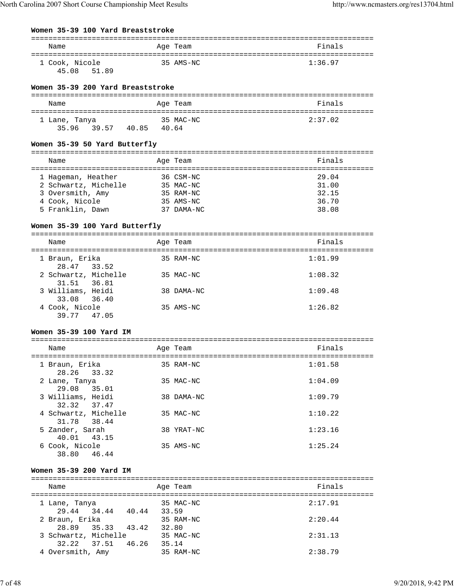## **Women 35-39 100 Yard Breaststroke**

| Name                             | Age Team  | Finals  |
|----------------------------------|-----------|---------|
| 1 Cook, Nicole<br>45.08<br>51.89 | 35 AMS-NC | 1:36.97 |

## **Women 35-39 200 Yard Breaststroke**

| Name          |       |       |       | Age Team  | Finals  |
|---------------|-------|-------|-------|-----------|---------|
| 1 Lane, Tanya |       |       |       | 35 MAC-NC | 2:37.02 |
| 3596          | 39.57 | 40.85 | 40.64 |           |         |

#### **Women 35-39 50 Yard Butterfly**

| Name                 | Age Team   | Finals |
|----------------------|------------|--------|
| 1 Hageman, Heather   | 36 CSM-NC  | 29.04  |
| 2 Schwartz, Michelle | 35 MAC-NC  | 31.00  |
| 3 Oversmith, Amy     | 35 RAM-NC  | 32.15  |
| 4 Cook, Nicole       | 35 AMS-NC  | 36.70  |
| 5 Franklin, Dawn     | 37 DAMA-NC | 38.08  |
|                      |            |        |

#### **Women 35-39 100 Yard Butterfly**

=============================================================================== Name **Age Team** Age Team Finals ===============================================================================

| 1 Braun, Erika<br>28.47 33.52                   | 35 RAM-NC  | 1:01.99 |
|-------------------------------------------------|------------|---------|
| 2 Schwartz, Michelle                            | 35 MAC-NC  | 1:08.32 |
| 31.51 36.81<br>3 Williams, Heidi                | 38 DAMA-NC | 1:09.48 |
| 33.08 36.40<br>4 Cook, Nicole<br>39.77<br>47.05 | 35 AMS-NC  | 1:26.82 |

## **Women 35-39 100 Yard IM**

| Name                                | Age Team   | Finals  |
|-------------------------------------|------------|---------|
| 1 Braun, Erika<br>28.26 33.32       | 35 RAM-NC  | 1:01.58 |
| 2 Lane, Tanya<br>29.08<br>35.01     | 35 MAC-NC  | 1:04.09 |
| 3 Williams, Heidi<br>32.32 37.47    | 38 DAMA-NC | 1:09.79 |
| 4 Schwartz, Michelle<br>31.78 38.44 | 35 MAC-NC  | 1:10.22 |
| 5 Zander, Sarah<br>40.01<br>43.15   | 38 YRAT-NC | 1:23.16 |
| 6 Cook, Nicole<br>38.80<br>46.44    | 35 AMS-NC  | 1:25.24 |

#### **Women 35-39 200 Yard IM**

| Name                         |       | Age Team           | Finals  |
|------------------------------|-------|--------------------|---------|
| 1 Lane, Tanya<br>29.44 34.44 | 40.44 | 35 MAC-NC<br>33.59 | 2:17.91 |
| 2 Braun, Erika               |       | 35 RAM-NC          | 2:20.44 |
| 28.89 35.33                  | 43.42 | 32.80              |         |
| 3 Schwartz, Michelle         |       | 35 MAC-NC          | 2:31.13 |
| 32.22 37.51                  | 46.26 | 35.14              |         |
| 4 Oversmith, Amy             |       | 35 RAM-NC          | 2:38.79 |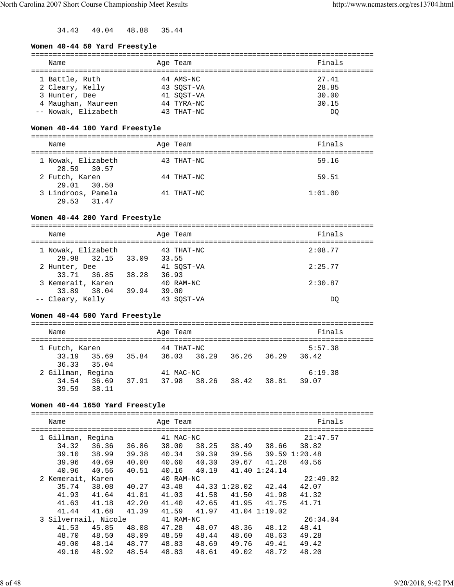34.43 40.04 48.88 35.44

## **Women 40-44 50 Yard Freestyle**

| Name                | Age Team   | Finals |
|---------------------|------------|--------|
|                     |            |        |
| 1 Battle, Ruth      | 44 AMS-NC  | 27.41  |
| 2 Cleary, Kelly     | 43 SOST-VA | 28.85  |
| 3 Hunter, Dee       | 41 SOST-VA | 30.00  |
| 4 Maughan, Maureen  | 44 TYRA-NC | 30.15  |
| -- Nowak, Elizabeth | 43 THAT-NC | DO     |

# **Women 40-44 100 Yard Freestyle**

| Name                              | Age Team   | Finals  |
|-----------------------------------|------------|---------|
| 1 Nowak, Elizabeth<br>28.59 30.57 | 43 THAT-NC | 59.16   |
| 2 Futch, Karen<br>29.01 30.50     | 44 THAT-NC | 59.51   |
| 3 Lindroos, Pamela<br>29.53 31.47 | 41 THAT-NC | 1:01.00 |

# **Women 40-44 200 Yard Freestyle**

| Name                                    | Age Team                     | Finals  |
|-----------------------------------------|------------------------------|---------|
| 1 Nowak, Elizabeth<br>29.98 32.15 33.09 | 43 THAT-NC<br>33.55          | 2:08.77 |
| 2 Hunter, Dee<br>33.71 36.85            | 41 SOST-VA<br>38.28<br>36.93 | 2:25.77 |
| 3 Kemerait, Karen<br>33.89 38.04        | 40 RAM-NC<br>39.94<br>39.00  | 2:30.87 |
| -- Cleary, Kelly                        | 43 SOST-VA                   | DO      |

# **Women 40-44 500 Yard Freestyle**

| Name                             |       | Age Team    |       |             |       | Finals  |  |
|----------------------------------|-------|-------------|-------|-------------|-------|---------|--|
| 1 Futch, Karen                   |       | 44 THAT-NC  |       |             |       | 5:57.38 |  |
| 33.19 35.69<br>36.33 35.04       | 35.84 | 36.03 36.29 |       | 36.26 36.29 |       | 36.42   |  |
| 2 Gillman, Regina                |       | 41 MAC-NC   |       |             |       | 6:19.38 |  |
| 36.69<br>34.54<br>38.11<br>39.59 | 37.91 | 37.98       | 38.26 | 38.42       | 38.81 | 39.07   |  |

# **Women 40-44 1650 Yard Freestyle**

| Name                 |       |       | Age Team  |       |               |               | Finals        |
|----------------------|-------|-------|-----------|-------|---------------|---------------|---------------|
|                      |       |       |           |       |               |               |               |
| 1 Gillman, Regina    |       |       | 41 MAC-NC |       |               |               | 21:47.57      |
| 34.32                | 36.36 | 36.86 | 38.00     | 38.25 | 38.49         | 38.66         | 38.82         |
| 39.10                | 38.99 | 39.38 | 40.34     | 39.39 | 39.56         |               | 39.59 1:20.48 |
| 39.96                | 40.69 | 40.00 | 40.60     | 40.30 |               | 39.67 41.28   | 40.56         |
| 40.96                | 40.56 | 40.51 | 40.16     | 40.19 |               | 41.40 1:24.14 |               |
| 2 Kemerait, Karen    |       |       | 40 RAM-NC |       |               |               | 22:49.02      |
| 35.74                | 38.08 | 40.27 | 43.48     |       | 44.33 1:28.02 | 42.44         | 42.07         |
| 41.93                | 41.64 | 41.01 | 41.03     | 41.58 | 41.50         | 41.98         | 41.32         |
| 41.63                | 41.18 | 42.20 | 41.40     | 42.65 |               | 41.95 41.75   | 41.71         |
| 41.44                | 41.68 | 41.39 | 41.59     | 41.97 | 41.04 1:19.02 |               |               |
| 3 Silvernail, Nicole |       |       | 41 RAM-NC |       |               |               | 26:34.04      |
| 41.53                | 45.85 | 48.08 | 47.28     | 48.07 | 48.36         | 48.12         | 48.41         |
| 48.70                | 48.50 | 48.09 | 48.59     | 48.44 | 48.60         | 48.63         | 49.28         |
| 49.00                | 48.14 | 48.77 | 48.83     | 48.69 | 49.76         | 49.41         | 49.42         |
| 49.10                | 48.92 | 48.54 | 48.83     | 48.61 | 49.02         | 48.72         | 48.20         |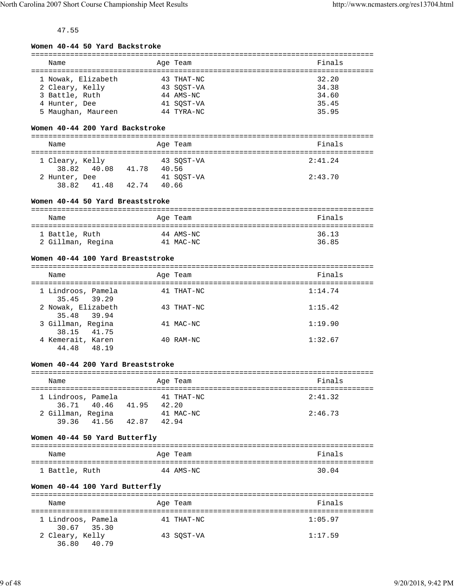# 47.55

|  |  | Women 40-44 50 Yard Backstroke |
|--|--|--------------------------------|
|  |  |                                |

| Name               | Age Team   | Finals |
|--------------------|------------|--------|
|                    |            |        |
| 1 Nowak, Elizabeth | 43 THAT-NC | 32.20  |
| 2 Cleary, Kelly    | 43 SOST-VA | 34.38  |
| 3 Battle, Ruth     | 44 AMS-NC  | 34.60  |
| 4 Hunter, Dee      | 41 SOST-VA | 35.45  |
| 5 Maughan, Maureen | 44 TYRA-NC | 35.95  |

# **Women 40-44 200 Yard Backstroke**

| Name                     |       |       | Age Team            | Finals  |
|--------------------------|-------|-------|---------------------|---------|
| 1 Cleary, Kelly<br>38.82 | 40.08 | 41.78 | 43 SOST-VA<br>40.56 | 2:41.24 |
| 2 Hunter, Dee<br>38.82   | 41.48 | 42.74 | 41 SOST-VA<br>40.66 | 2:43.70 |

# **Women 40-44 50 Yard Breaststroke**

| Name              | Age Team  | Finals |
|-------------------|-----------|--------|
| 1 Battle, Ruth    | 44 AMS-NC | 36.13  |
| 2 Gillman, Regina | 41 MAC-NC | 36.85  |

## **Women 40-44 100 Yard Breaststroke**

| Name                                | Age Team   | Finals  |
|-------------------------------------|------------|---------|
| 1 Lindroos, Pamela<br>35.45 39.29   | 41 THAT-NC | 1:14.74 |
| 2 Nowak, Elizabeth<br>35.48 39.94   | 43 THAT-NC | 1:15.42 |
| 3 Gillman, Regina<br>38.15 41.75    | 41 MAC-NC  | 1:19.90 |
| 4 Kemerait, Karen<br>44.48<br>48.19 | 40 RAM-NC  | 1:32.67 |

## **Women 40-44 200 Yard Breaststroke**

| Name                              |       | Age Team            | Finals  |
|-----------------------------------|-------|---------------------|---------|
| 1 Lindroos, Pamela<br>36.71 40.46 | 41.95 | 41 THAT-NC<br>42.20 | 2:41.32 |
| 2 Gillman, Regina<br>39.36 41.56  | 42.87 | 41 MAC-NC<br>42.94  | 2:46.73 |

#### **Women 40-44 50 Yard Butterfly**

| Name           |  | Age Team  | Finals |
|----------------|--|-----------|--------|
| 1 Battle, Ruth |  | 44 AMS-NC | 30.04  |

## **Women 40-44 100 Yard Butterfly**

| Name                              | Age Team   | Finals  |
|-----------------------------------|------------|---------|
| 1 Lindroos, Pamela<br>30.67 35.30 | 41 THAT-NC | 1:05.97 |
| 2 Cleary, Kelly<br>36.80 40.79    | 43 SOST-VA | 1:17.59 |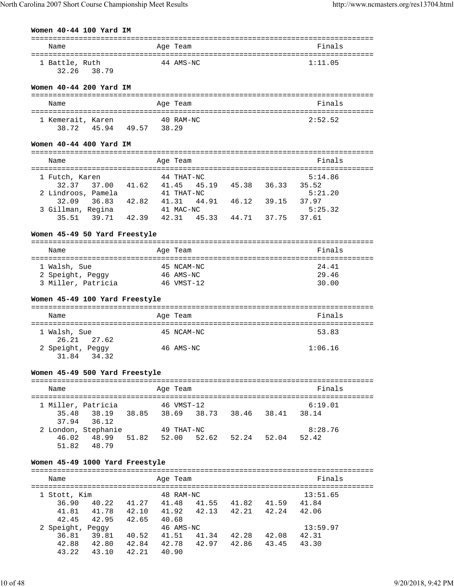# **Women 40-44 100 Yard IM**

|                                                          |       | $=$ = = = = = = =                         | ======================== |
|----------------------------------------------------------|-------|-------------------------------------------|--------------------------|
| Name                                                     |       | Age Team                                  | Finals                   |
|                                                          |       |                                           |                          |
| 1 Battle, Ruth                                           |       | 44 AMS-NC                                 | 1:11.05                  |
| 32.26 38.79                                              |       |                                           |                          |
|                                                          |       |                                           |                          |
| Women 40-44 200 Yard IM                                  |       |                                           |                          |
|                                                          |       |                                           |                          |
| Name                                                     |       | Age Team                                  | Finals                   |
|                                                          |       |                                           |                          |
| 1 Kemerait, Karen                                        |       | 40 RAM-NC                                 | 2:52.52                  |
| 45.94 49.57 38.29<br>38.72                               |       |                                           |                          |
|                                                          |       |                                           |                          |
|                                                          |       |                                           |                          |
| Women 40-44 400 Yard IM                                  |       |                                           |                          |
|                                                          |       |                                           |                          |
| Name                                                     |       | Age Team                                  | Finals                   |
|                                                          |       |                                           |                          |
| 1 Futch, Karen                                           |       | 44 THAT-NC                                | 5:14.86                  |
| 32.37 37.00 41.62 41.45                                  |       | 45.19  45.38  36.33  35.52                |                          |
| 2 Lindroos, Pamela                                       |       | 41 THAT-NC                                | 5:21.20                  |
| 32.09<br>36.83 42.82 41.31                               |       | 46.12 39.15<br>44.91                      | 37.97                    |
| 3 Gillman, Regina                                        |       | 41 MAC-NC                                 | 5:25.32                  |
| 35.51                                                    |       | 39.71 42.39 42.31 45.33 44.71 37.75 37.61 |                          |
|                                                          |       |                                           |                          |
| Women 45-49 50 Yard Freestyle                            |       |                                           |                          |
|                                                          |       |                                           |                          |
| Name                                                     |       | Age Team                                  | Finals                   |
|                                                          |       |                                           |                          |
| 1 Walsh, Sue                                             |       | 45 NCAM-NC                                | 24.41                    |
| 2 Speight, Peggy                                         |       | 46 AMS-NC                                 | 29.46                    |
| 3 Miller, Patricia                                       |       |                                           |                          |
|                                                          |       | 46 VMST-12                                | 30.00                    |
|                                                          |       |                                           |                          |
|                                                          |       |                                           |                          |
| Women 45-49 100 Yard Freestyle                           |       |                                           |                          |
|                                                          |       |                                           |                          |
| Name                                                     |       | Age Team                                  | Finals                   |
|                                                          |       |                                           |                          |
| 1 Walsh, Sue                                             |       | 45 NCAM-NC                                | 53.83                    |
| 27.62<br>26.21                                           |       |                                           |                          |
| 2 Speight, Peggy                                         |       | 46 AMS-NC                                 | 1:06.16                  |
| 34.32<br>31.84                                           |       |                                           |                          |
|                                                          |       |                                           |                          |
| Women 45-49 500 Yard Freestyle                           |       |                                           |                          |
|                                                          |       |                                           |                          |
|                                                          |       |                                           |                          |
| Name                                                     |       | Age Team                                  | Finals                   |
|                                                          |       |                                           |                          |
| 1 Miller, Patricia                                       |       | 46 VMST-12                                | 6:19.01                  |
| 38.19 38.85<br>35.48                                     |       | 38.69 38.73 38.46<br>38.41                | 38.14                    |
| 37.94<br>36.12                                           |       |                                           |                          |
| 2 London, Stephanie                                      |       | 49 THAT-NC                                | 8:28.76                  |
| 48.99<br>51.82    52.00<br>46.02                         |       | 52.62 52.24 52.04                         | 52.42                    |
| 48.79<br>51.82                                           |       |                                           |                          |
|                                                          |       |                                           |                          |
| Women 45-49 1000 Yard Freestyle                          |       |                                           |                          |
|                                                          |       |                                           |                          |
| Name                                                     |       | Age Team                                  | Finals                   |
|                                                          |       |                                           |                          |
| 1 Stott, Kim                                             |       | 48 RAM-NC                                 | 13:51.65                 |
| 36.90                                                    |       | 40.22 41.27 41.48 41.55 41.82 41.59 41.84 |                          |
| 41.81<br>41.78<br>42.10 41.92                            |       | 42.13<br>42.21 42.24 42.06                |                          |
|                                                          |       |                                           |                          |
| 42.45<br>42.95<br>42.65                                  | 40.68 |                                           |                          |
| 2 Speight, Peggy                                         |       | 46 AMS-NC                                 | 13:59.97                 |
| 39.81 40.52 41.51<br>36.81                               |       | 41.34 42.28 42.08 42.31                   |                          |
| 42.80<br>42.84 42.78<br>42.88<br>43.22<br>43.10<br>42.21 | 40.90 | 42.97 42.86 43.45                         | 43.30                    |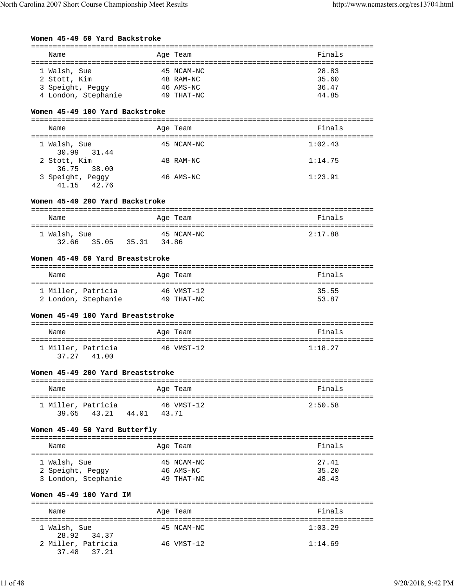|  |  |  |  | Women 45-49 50 Yard Backstroke |
|--|--|--|--|--------------------------------|
|--|--|--|--|--------------------------------|

| Name                                                                    | Age Team                                           | Finals                           |
|-------------------------------------------------------------------------|----------------------------------------------------|----------------------------------|
| 1 Walsh, Sue<br>2 Stott, Kim<br>3 Speight, Peggy<br>4 London, Stephanie | 45 NCAM-NC<br>48 RAM-NC<br>46 AMS-NC<br>49 THAT-NC | 28.83<br>35.60<br>36.47<br>44.85 |

# **Women 45-49 100 Yard Backstroke**

| Name                               | Age Team   | Finals  |
|------------------------------------|------------|---------|
| 1 Walsh, Sue<br>30.99 31.44        | 45 NCAM-NC | 1:02.43 |
| 2 Stott, Kim<br>36.75 38.00        | 48 RAM-NC  | 1:14.75 |
| 3 Speight, Peggy<br>42.76<br>41.15 | 46 AMS-NC  | 1:23.91 |

# **Women 45-49 200 Yard Backstroke**

| Name         |       | Age Team   | Finals  |
|--------------|-------|------------|---------|
| 1 Walsh, Sue |       | 45 NCAM-NC | 2:17.88 |
| 32.66 35.05  | 35.31 | 34.86      |         |

## **Women 45-49 50 Yard Breaststroke**

| Name                | Age Team   | Finals |
|---------------------|------------|--------|
| 1 Miller, Patricia  | 46 VMST-12 | 35.55  |
| 2 London, Stephanie | 49 THAT-NC | 53.87  |

### **Women 45-49 100 Yard Breaststroke**

| Name                                 | Age Team   | Finals  |
|--------------------------------------|------------|---------|
| 1 Miller, Patricia<br>37.27<br>41.00 | 46 VMST-12 | 1:18.27 |

## **Women 45-49 200 Yard Breaststroke**

| Name               |             |       | Age Team   | Finals  |
|--------------------|-------------|-------|------------|---------|
| 1 Miller, Patricia |             |       | 46 VMST-12 | 2:50.58 |
|                    | 39.65 43.21 | 44.01 | 43.71      |         |

# **Women 45-49 50 Yard Butterfly**

| Name                | Age Team   | Finals |
|---------------------|------------|--------|
| 1 Walsh, Sue        | 45 NCAM-NC | 27.41  |
| 2 Speight, Peggy    | 46 AMS-NC  | 35.20  |
| 3 London, Stephanie | 49 THAT-NC | 48.43  |

## **Women 45-49 100 Yard IM**

| Name                              | Age Team   | Finals  |
|-----------------------------------|------------|---------|
| 1 Walsh, Sue<br>28.92 34.37       | 45 NCAM-NC | 1:03.29 |
| 2 Miller, Patricia<br>37.48 37.21 | 46 VMST-12 | 1:14.69 |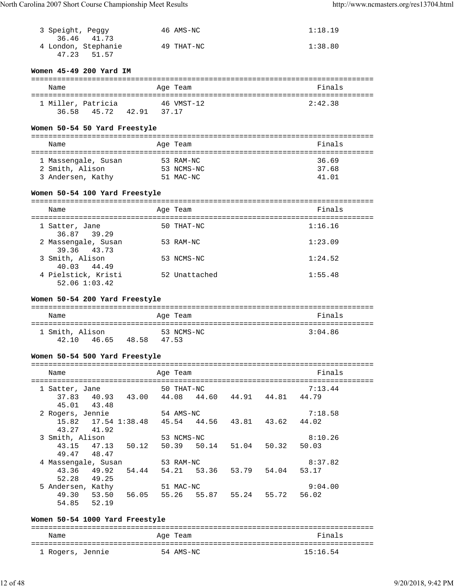| 3 Speight, Peggy<br>36.46 41.73                                                                   | 46 AMS-NC                                       | 1:18.19        |
|---------------------------------------------------------------------------------------------------|-------------------------------------------------|----------------|
| 4 London, Stephanie<br>51.57<br>47.23                                                             | 49 THAT-NC                                      | 1:38.80        |
|                                                                                                   |                                                 |                |
| Women 45-49 200 Yard IM                                                                           |                                                 |                |
| Name                                                                                              | Age Team                                        | Finals         |
| 1 Miller, Patricia 46 VMST-12                                                                     |                                                 | 2:42.38        |
| 36.58 45.72 42.91 37.17                                                                           |                                                 |                |
| Women 50-54 50 Yard Freestyle                                                                     |                                                 |                |
| Name                                                                                              | Age Team                                        | Finals         |
|                                                                                                   |                                                 |                |
| 1 Massengale, Susan<br>2 Smith, Alison                                                            | 53 RAM-NC<br>53 NCMS-NC                         | 36.69<br>37.68 |
| 3 Andersen, Kathy                                                                                 | 51 MAC-NC                                       | 41.01          |
|                                                                                                   |                                                 |                |
| Women 50-54 100 Yard Freestyle                                                                    |                                                 |                |
| Name                                                                                              | Age Team                                        | Finals         |
| 1 Satter, Jane                                                                                    | 50 THAT-NC                                      | 1:16.16        |
| 36.87 39.29                                                                                       |                                                 |                |
| 2 Massengale, Susan<br>39.36<br>43.73                                                             | 53 RAM-NC                                       | 1:23.09        |
| 3 Smith, Alison                                                                                   | 53 NCMS-NC                                      | 1:24.52        |
| 40.03 44.49<br>4 Pielstick, Kristi                                                                | 52 Unattached                                   | 1:55.48        |
| 52.06 1:03.42                                                                                     |                                                 |                |
| Women 50-54 200 Yard Freestyle                                                                    |                                                 |                |
| Name                                                                                              | Age Team                                        | Finals         |
|                                                                                                   |                                                 |                |
| 1 Smith, Alison                                                                                   | 53 NCMS-NC                                      | 3:04.86        |
| 46.65 48.58 47.53<br>42.10                                                                        |                                                 |                |
|                                                                                                   |                                                 |                |
| Women 50-54 500 Yard Freestyle                                                                    |                                                 |                |
| Name                                                                                              | Age Team                                        | Finals         |
|                                                                                                   |                                                 |                |
| 1 Satter, Jane 50 THAT-NC                                                                         |                                                 | 7:13.44        |
|                                                                                                   | 37.83 40.93 43.00 44.08 44.60 44.91 44.81 44.79 |                |
| 45.01 43.48                                                                                       |                                                 |                |
| 2 Rogers, Jennie 54 AMS-NC 7:18<br>15.82 17.54 1:38.48 45.54 44.56 43.81 43.62 44.02              |                                                 | 7:18.58        |
| 43.27 41.92                                                                                       |                                                 |                |
|                                                                                                   |                                                 | 8:10.26        |
| 3 Smith, Alison 53 NCMS-NC 8:10<br>43.15 47.13 50.12 50.39 50.14 51.04 50.32 50.03<br>49.47 48.47 |                                                 |                |
|                                                                                                   |                                                 | 8:37.82        |
| 4 Massengale, Susan 53 RAM-NC                                                                     | 43.36 49.92 54.44 54.21 53.36 53.79 54.04 53.17 |                |
| 52.28 49.25                                                                                       |                                                 |                |
| 5 Andersen, Kathy 51 MAC-NC                                                                       | 49.30 53.50 56.05 55.26 55.87 55.24 55.72 56.02 | 9:04.00        |
| 54.85 52.19                                                                                       |                                                 |                |

# **Women 50-54 1000 Yard Freestyle** =============================================================================== Name **Age Team** Age Team **Finals** =============================================================================== 1 Rogers, Jennie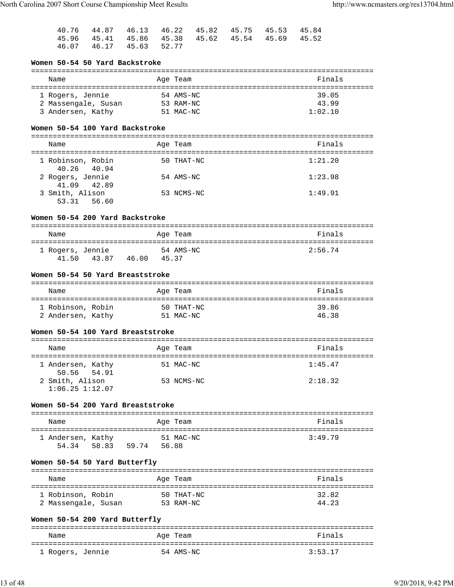|                         |  |  | 40.76 44.87 46.13 46.22 45.82 45.75 45.53 45.84 |  |
|-------------------------|--|--|-------------------------------------------------|--|
|                         |  |  | 45.96 45.41 45.86 45.38 45.62 45.54 45.69 45.52 |  |
| 46.07 46.17 45.63 52.77 |  |  |                                                 |  |

# **Women 50-54 50 Yard Backstroke**

| Name                | Age Team  | Finals  |
|---------------------|-----------|---------|
| 1 Rogers, Jennie    | 54 AMS-NC | 39.05   |
| 2 Massengale, Susan | 53 RAM-NC | 43.99   |
| 3 Andersen, Kathy   | 51 MAC-NC | 1:02.10 |

## **Women 50-54 100 Yard Backstroke**

| Name                              | Age Team   | Finals  |
|-----------------------------------|------------|---------|
| 1 Robinson, Robin<br>40.26 40.94  | 50 THAT-NC | 1:21.20 |
| 2 Rogers, Jennie<br>41.09 42.89   | 54 AMS-NC  | 1:23.98 |
| 3 Smith, Alison<br>53.31<br>56.60 | 53 NCMS-NC | 1:49.91 |

## **Women 50-54 200 Yard Backstroke**

| Name             |       |       | Age Team  | Finals  |
|------------------|-------|-------|-----------|---------|
| 1 Rogers, Jennie |       |       | 54 AMS-NC | 2:56.74 |
| 41.50            | 43.87 | 46.00 | 45.37     |         |

## **Women 50-54 50 Yard Breaststroke**

| Name              | Age Team   | Finals |
|-------------------|------------|--------|
| 1 Robinson, Robin | 50 THAT-NC | 39.86  |
| 2 Andersen, Kathy | 51 MAC-NC  | 46.38  |

## **Women 50-54 100 Yard Breaststroke**

| Name                                   | Age Team   | Finals  |
|----------------------------------------|------------|---------|
| 1 Andersen, Kathy<br>50.56 54.91       | 51 MAC-NC  | 1:45.47 |
| 2 Smith, Alison<br>$1:06.25$ $1:12.07$ | 53 NCMS-NC | 2:18.32 |

#### **Women 50-54 200 Yard Breaststroke**

| Name              |       |       |       | Age Team  | Finals  |
|-------------------|-------|-------|-------|-----------|---------|
| 1 Andersen, Kathy |       |       |       | 51 MAC-NC | 3:49.79 |
| 5434              | 58.83 | 59.74 | 56.88 |           |         |

# **Women 50-54 50 Yard Butterfly**

| Name                | Age Team   | Finals |
|---------------------|------------|--------|
| 1 Robinson, Robin   | 50 THAT-NC | 32.82  |
| 2 Massengale, Susan | 53 RAM-NC  | 44.23  |

## **Women 50-54 200 Yard Butterfly**

| Name             | Age Team  | Finals  |
|------------------|-----------|---------|
|                  |           |         |
| 1 Rogers, Jennie | 54 AMS-NC | 3:53.17 |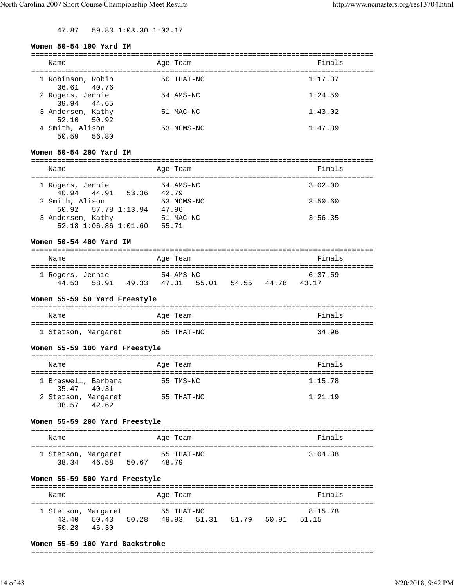47.87 59.83 1:03.30 1:02.17

#### **Women 50-54 100 Yard IM**

| Name                             | Age Team   | Finals  |
|----------------------------------|------------|---------|
| 1 Robinson, Robin<br>36.61 40.76 | 50 THAT-NC | 1:17.37 |
| 2 Rogers, Jennie<br>39.94 44.65  | 54 AMS-NC  | 1:24.59 |
| 3 Andersen, Kathy<br>52.10 50.92 | 51 MAC-NC  | 1:43.02 |
| 4 Smith, Alison<br>50.59 56.80   | 53 NCMS-NC | 1:47.39 |

#### **Women 50-54 200 Yard IM**

| Name                                       | Age Team            | Finals  |
|--------------------------------------------|---------------------|---------|
| 1 Rogers, Jennie<br>40.94 44.91 53.36      | 54 AMS-NC<br>42.79  | 3:02.00 |
| 2 Smith, Alison<br>50.92 57.78 1:13.94     | 53 NCMS-NC<br>47.96 | 3:50.60 |
| 3 Andersen, Kathy<br>52.18 1:06.86 1:01.60 | 51 MAC-NC<br>55.71  | 3:56.35 |

#### **Women 50-54 400 Yard IM**

| Name             |       |       | Age Team  |       |       |       | Finals  |  |
|------------------|-------|-------|-----------|-------|-------|-------|---------|--|
| 1 Rogers, Jennie |       |       | 54 AMS-NC |       |       |       | 6:37.59 |  |
| 44 53            | 58.91 | 49.33 | 47.31     | 55.01 | 54.55 | 44.78 | 43 17   |  |

#### **Women 55-59 50 Yard Freestyle**

| Name                | Age Team   | Finals |
|---------------------|------------|--------|
| 1 Stetson, Margaret | 55 THAT-NC | 34.96  |

#### **Women 55-59 100 Yard Freestyle**

| Name                               | Age Team   | Finals  |
|------------------------------------|------------|---------|
| 1 Braswell, Barbara<br>35.47 40.31 | 55 TMS-NC  | 1:15.78 |
| 2 Stetson, Margaret<br>38.57 42.62 | 55 THAT-NC | 1:21.19 |

## **Women 55-59 200 Yard Freestyle**

| Name                |       | Age Team   | Finals  |
|---------------------|-------|------------|---------|
| 1 Stetson, Margaret | 46.58 | 55 THAT-NC | 3:04.38 |
| 38.34               | 50.67 | 48.79      |         |

## **Women 55-59 500 Yard Freestyle**

| Name                         |       |       |       | Age Team   |             |       | Finals           |  |
|------------------------------|-------|-------|-------|------------|-------------|-------|------------------|--|
| 1 Stetson, Margaret<br>43.40 | 50.43 | 50.28 | 49.93 | 55 THAT-NC | 51.31 51.79 | 50.91 | 8:15.78<br>51.15 |  |
| 50.28                        | 46.30 |       |       |            |             |       |                  |  |

#### **Women 55-59 100 Yard Backstroke**

#### ===============================================================================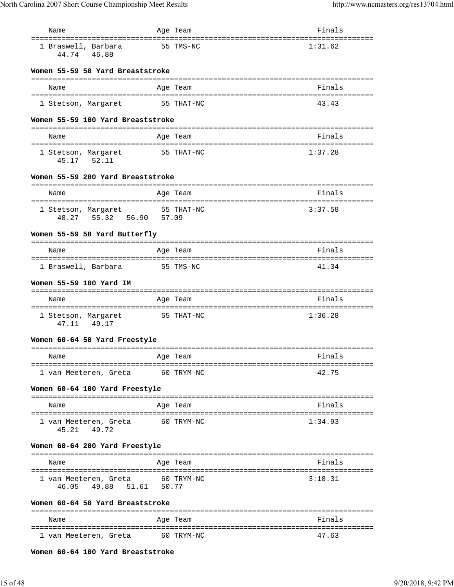| Name                                                      | Age Team   | Finals  |
|-----------------------------------------------------------|------------|---------|
| 1 Braswell, Barbara<br>44.74<br>46.88                     | 55 TMS-NC  | 1:31.62 |
| Women 55-59 50 Yard Breaststroke                          |            |         |
| Name                                                      | Age Team   | Finals  |
|                                                           |            |         |
| 1 Stetson, Margaret                                       | 55 THAT-NC | 43.43   |
| Women 55-59 100 Yard Breaststroke                         |            |         |
| Name                                                      | Age Team   | Finals  |
|                                                           |            |         |
| 1 Stetson, Margaret<br>45.17 52.11                        | 55 THAT-NC | 1:37.28 |
| Women 55-59 200 Yard Breaststroke                         |            |         |
| Name                                                      | Age Team   | Finals  |
|                                                           |            |         |
| 1 Stetson, Margaret 55 THAT-NC<br>48.27 55.32 56.90 57.09 |            | 3:37.58 |
|                                                           |            |         |
| Women 55-59 50 Yard Butterfly                             |            |         |
| Name                                                      | Age Team   | Finals  |
| 1 Braswell, Barbara                                       | 55 TMS-NC  | 41.34   |
|                                                           |            |         |
| Women 55-59 100 Yard IM                                   |            |         |
| Name                                                      | Age Team   | Finals  |
| 1 Stetson, Margaret                                       | 55 THAT-NC | 1:36.28 |
| 47.11 49.17                                               |            |         |
| Women 60-64 50 Yard Freestyle                             |            |         |
| Name                                                      | Age Team   | Finals  |
|                                                           |            |         |
| 1 van Meeteren, Greta 60 TRYM-NC                          |            | 42.75   |
| Women 60-64 100 Yard Freestyle                            |            |         |
| Name                                                      | Age Team   | Finals  |
|                                                           |            |         |
| 1 van Meeteren, Greta<br>45.21 49.72                      | 60 TRYM-NC | 1:34.93 |
| Women 60-64 200 Yard Freestyle                            |            |         |
|                                                           |            |         |
| Name                                                      | Age Team   | Finals  |
| 1 van Meeteren, Greta<br>49.88 51.61 50.77<br>46.05       | 60 TRYM-NC | 3:18.31 |
| Women 60-64 50 Yard Breaststroke                          |            |         |
| Name                                                      | Age Team   | Finals  |
|                                                           |            |         |
| 1 van Meeteren, Greta                                     | 60 TRYM-NC | 47.63   |

**Women 60-64 100 Yard Breaststroke**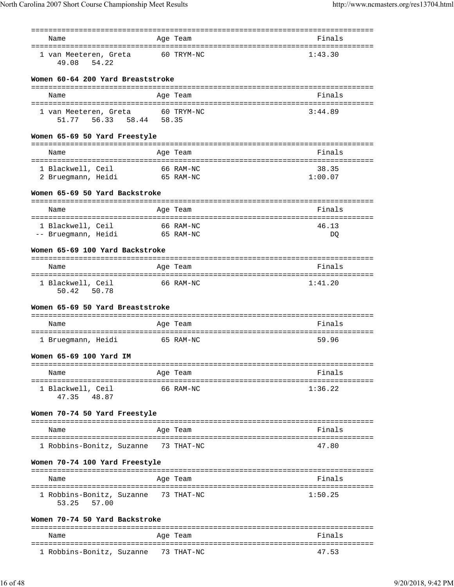|                                                                                   |       | =========                                        |                       |
|-----------------------------------------------------------------------------------|-------|--------------------------------------------------|-----------------------|
| Name                                                                              |       | Age Team                                         | Finals                |
| 1 van Meeteren, Greta<br>49.08<br>54.22                                           |       | 60 TRYM-NC                                       | 1:43.30               |
| Women 60-64 200 Yard Breaststroke                                                 |       |                                                  |                       |
| Name                                                                              |       | Age Team                                         | Finals                |
| 1 van Meeteren, Greta<br>56.33 58.44<br>51.77                                     | 58.35 | 60 TRYM-NC                                       | 3:44.89               |
| Women 65-69 50 Yard Freestyle                                                     |       |                                                  |                       |
| Name                                                                              |       | Age Team                                         | Finals                |
| --------------------------------------<br>1 Blackwell, Ceil<br>2 Bruegmann, Heidi |       | 66 RAM-NC<br>65 RAM-NC                           | 38.35<br>1:00.07      |
| Women 65-69 50 Yard Backstroke                                                    |       |                                                  |                       |
| Name                                                                              |       | Age Team                                         | Finals                |
| 1 Blackwell, Ceil<br>-- Bruegmann, Heidi                                          |       | 66 RAM-NC<br>65 RAM-NC                           | 46.13<br>DO           |
| Women 65-69 100 Yard Backstroke                                                   |       |                                                  |                       |
| Name                                                                              |       | ------------------------------------<br>Age Team | Finals                |
| 1 Blackwell, Ceil<br>50.42<br>50.78                                               |       | 66 RAM-NC                                        | 1:41.20               |
| Women 65-69 50 Yard Breaststroke                                                  |       |                                                  |                       |
| Name                                                                              |       | Age Team                                         | Finals                |
| 1 Bruegmann, Heidi                                                                |       | 65 RAM-NC                                        | 59.96                 |
| Women 65-69 100 Yard IM                                                           |       |                                                  |                       |
| Name                                                                              |       | Age Team                                         | Finals                |
| ===================================<br>1 Blackwell, Ceil<br>47.35<br>48.87        |       | ---------------------------------<br>66 RAM-NC   | 1:36.22               |
| Women 70-74 50 Yard Freestyle                                                     |       |                                                  |                       |
| Name                                                                              |       | Age Team                                         | Finals                |
| 1 Robbins-Bonitz, Suzanne                                                         |       | 73 THAT-NC                                       | 47.80                 |
| Women 70-74 100 Yard Freestyle                                                    |       |                                                  |                       |
| Name                                                                              |       | Age Team                                         | Finals                |
| 1 Robbins-Bonitz, Suzanne 73 THAT-NC<br>53.25<br>57.00                            |       |                                                  | ==========<br>1:50.25 |
| Women 70-74 50 Yard Backstroke                                                    |       |                                                  |                       |

| Name                      | Age Team   | Finals |
|---------------------------|------------|--------|
| 1 Robbins-Bonitz, Suzanne | 73 THAT-NC | 47.53  |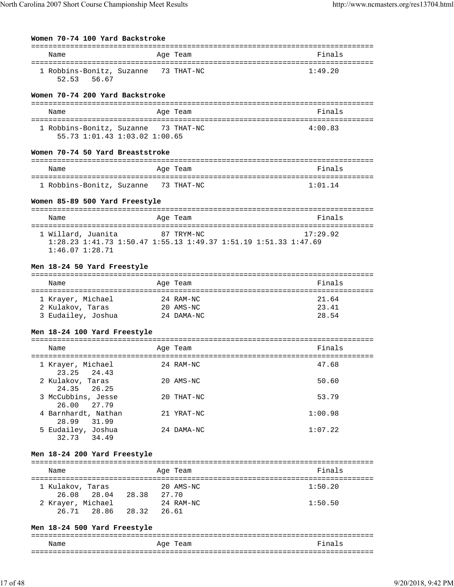# **Women 70-74 100 Yard Backstroke**

| Name                      | Age Team   | Finals  |
|---------------------------|------------|---------|
| 1 Robbins-Bonitz, Suzanne | 73 THAT-NC | 1:49.20 |
| 52.53<br>56.67            |            |         |

#### **Women 70-74 200 Yard Backstroke**

| Name                                 | Age Team | Finals  |
|--------------------------------------|----------|---------|
| 1 Robbins-Bonitz, Suzanne 73 THAT-NC |          | 4:00.83 |
| 55.73 1:01.43 1:03.02 1:00.65        |          |         |

## **Women 70-74 50 Yard Breaststroke**

| Name                                 | Age Team | Finals  |
|--------------------------------------|----------|---------|
|                                      |          |         |
| 1 Robbins-Bonitz, Suzanne 73 THAT-NC |          | 1:01.14 |

# **Women 85-89 500 Yard Freestyle**

| Name                                  |                                                                                               | Age Team   | Finals   |
|---------------------------------------|-----------------------------------------------------------------------------------------------|------------|----------|
| 1 Willard, Juanita<br>1:46.07.1:28.71 | $1:28$ $23$ $1:41$ $73$ $1:50$ $47$ $1:55$ $13$ $1:49$ $37$ $1:51$ $19$ $1:51$ $33$ $1:47$ 69 | 87 TRYM-NC | 17:29.92 |

# **Men 18-24 50 Yard Freestyle**

| Name               | Age Team      | Finals |
|--------------------|---------------|--------|
| 1 Krayer, Michael  | 24 RAM-NC     | 21.64  |
| 2 Kulakov, Taras   | $20$ $AMS-NC$ | 23.41  |
| 3 Eudailey, Joshua | 24 DAMA-NC    | 28.54  |

## **Men 18-24 100 Yard Freestyle**

| Name                                  | Age Team    | Finals  |
|---------------------------------------|-------------|---------|
| 1 Krayer, Michael<br>23.25 24.43      | 24 RAM-NC   | 47.68   |
| 2 Kulakov, Taras<br>24.35 26.25       | $20$ AMS-NC | 50.60   |
| 3 McCubbins, Jesse<br>26.00 27.79     | 20 THAT-NC  | 53.79   |
| 4 Barnhardt, Nathan<br>28.99<br>31.99 | 21 YRAT-NC  | 1:00.98 |
| 5 Eudailey, Joshua<br>34.49<br>32.73  | 24 DAMA-NC  | 1:07.22 |

# **Men 18-24 200 Yard Freestyle**

| Name              |             |       | Age Team           | Finals  |
|-------------------|-------------|-------|--------------------|---------|
| 1 Kulakov, Taras  | 26.08 28.04 | 28.38 | 20 AMS-NC<br>27.70 | 1:50.20 |
| 2 Krayer, Michael | 26.71 28.86 | 28.32 | 24 RAM-NC<br>26.61 | 1:50.50 |

# **Men 18-24 500 Yard Freestyle**

|      |          | - - -               |
|------|----------|---------------------|
| Name | Age Team | Final<br>$\epsilon$ |
|      |          | - - -               |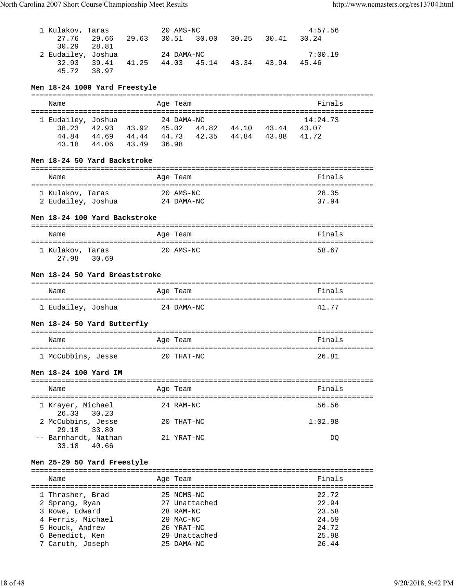| 1 Kulakov, Taras<br>27.76<br>30.29    | 28.81                   |  | 20 AMS-NC                   | 29.66 29.63 30.51 30.00 30.25 30.41 30.24       | 4:57.56        |  |
|---------------------------------------|-------------------------|--|-----------------------------|-------------------------------------------------|----------------|--|
| 2 Eudailey, Joshua                    | 45.72 38.97             |  | 24 DAMA-NC                  | 32.93 39.41 41.25 44.03 45.14 43.34 43.94 45.46 | 7:00.19        |  |
| Men 18-24 1000 Yard Freestyle         |                         |  |                             |                                                 |                |  |
| Name                                  |                         |  | Age Team                    |                                                 | Finals         |  |
|                                       |                         |  |                             |                                                 |                |  |
| 1 Eudailey, Joshua                    |                         |  | 24 DAMA-NC                  | 38.23 42.93 43.92 45.02 44.82 44.10 43.44 43.07 | 14:24.73       |  |
|                                       |                         |  |                             | 44.84 44.69 44.44 44.73 42.35 44.84 43.88 41.72 |                |  |
|                                       | 43.18 44.06 43.49 36.98 |  |                             |                                                 |                |  |
| Men 18-24 50 Yard Backstroke          |                         |  |                             |                                                 |                |  |
| Name                                  |                         |  | Age Team                    |                                                 | Finals         |  |
|                                       |                         |  |                             |                                                 |                |  |
| 1 Kulakov, Taras                      |                         |  | 20 AMS-NC                   |                                                 | 28.35          |  |
| 2 Eudailey, Joshua 24 DAMA-NC         |                         |  |                             |                                                 | 37.94          |  |
| Men 18-24 100 Yard Backstroke         |                         |  |                             |                                                 |                |  |
| Name                                  |                         |  | Age Team                    |                                                 | Finals         |  |
|                                       |                         |  |                             |                                                 |                |  |
| 1 Kulakov, Taras<br>27.98 30.69       |                         |  | 20 AMS-NC                   |                                                 | 58.67          |  |
| Men 18-24 50 Yard Breaststroke        |                         |  |                             |                                                 |                |  |
| Name                                  |                         |  | Age Team                    |                                                 | Finals         |  |
|                                       |                         |  |                             |                                                 |                |  |
| 1 Eudailey, Joshua <a> 24 DAMA-NC</a> |                         |  |                             |                                                 | 41.77          |  |
| Men 18-24 50 Yard Butterfly           |                         |  |                             |                                                 |                |  |
|                                       |                         |  |                             |                                                 |                |  |
| Name                                  |                         |  | Age Team                    |                                                 | Finals         |  |
| 1 McCubbins, Jesse 20 THAT-NC         |                         |  |                             |                                                 | 26.81          |  |
| Men 18-24 100 Yard IM                 |                         |  |                             |                                                 |                |  |
| Name                                  |                         |  | Age Team                    |                                                 | Finals         |  |
|                                       |                         |  |                             |                                                 |                |  |
| 1 Krayer, Michael<br>26.33            | 30.23                   |  | 24 RAM-NC                   |                                                 | 56.56          |  |
| 2 McCubbins, Jesse                    |                         |  | 20 THAT-NC                  |                                                 | 1:02.98        |  |
| 29.18                                 | 33.80                   |  | 21 YRAT-NC                  |                                                 | DQ             |  |
| -- Barnhardt, Nathan                  | 33.18 40.66             |  |                             |                                                 |                |  |
| Men 25-29 50 Yard Freestyle           |                         |  |                             |                                                 |                |  |
| Name                                  |                         |  | Age Team                    |                                                 | Finals         |  |
|                                       |                         |  |                             |                                                 |                |  |
| 1 Thrasher, Brad                      |                         |  | 25 NCMS-NC                  |                                                 | 22.72          |  |
| 2 Sprang, Ryan                        |                         |  | 27 Unattached               |                                                 | 22.94          |  |
| 3 Rowe, Edward                        |                         |  | 28 RAM-NC                   |                                                 | 23.58          |  |
| 4 Ferris, Michael                     |                         |  | 29 MAC-NC                   |                                                 | 24.59          |  |
| 5 Houck, Andrew                       |                         |  | 26 YRAT-NC                  |                                                 | 24.72          |  |
| 6 Benedict, Ken<br>7 Caruth, Joseph   |                         |  | 29 Unattached<br>25 DAMA-NC |                                                 | 25.98<br>26.44 |  |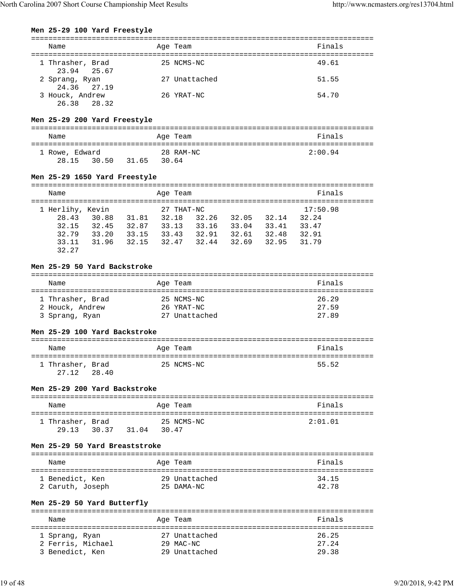#### **Men 25-29 100 Yard Freestyle**

| Name                            | Age Team      | Finals |
|---------------------------------|---------------|--------|
| 1 Thrasher, Brad<br>23.94 25.67 | 25 NCMS-NC    | 49.61  |
| 2 Sprang, Ryan<br>24.36 27.19   | 27 Unattached | 51.55  |
| 3 Houck, Andrew<br>26.38 28.32  | 26 YRAT-NC    | 54.70  |

## **Men 25-29 200 Yard Freestyle**

| Name           |       |       | Age Team  | Finals  |
|----------------|-------|-------|-----------|---------|
| 1 Rowe, Edward |       |       | 28 RAM-NC | 2:00.94 |
| 28.15          | 30.50 | 31.65 | 30.64     |         |

#### **Men 25-29 1650 Yard Freestyle**

| Name             |       |       | Age Team   |       |       |       | Finals   |
|------------------|-------|-------|------------|-------|-------|-------|----------|
|                  |       |       |            |       |       |       |          |
| 1 Herlihy, Kevin |       |       | 27 THAT-NC |       |       |       | 17:50.98 |
| 28.43            | 30.88 | 31.81 | 32.18      | 32.26 | 32.05 | 32.14 | 32.24    |
| 32.15            | 32.45 | 32.87 | 33.13      | 33.16 | 33.04 | 33.41 | 33.47    |
| 32.79            | 33.20 | 33.15 | 33.43      | 32.91 | 32.61 | 32.48 | 32.91    |
| 33.11            | 31.96 | 32.15 | 32.47      | 32.44 | 32.69 | 32.95 | 31.79    |
| 32.27            |       |       |            |       |       |       |          |

#### **Men 25-29 50 Yard Backstroke**

## =============================================================================== Name **Age Team** Age Team Finals =============================================================================== 1 Thrasher, Brad 25 NCMS-NC 26.29 1 Inference .<br>2 Houck, Andrew 2011 3 Sprang, Ryan 27 Unattached 27.89

#### **Men 25-29 100 Yard Backstroke**

| Name             |       | Age Team   | Finals |
|------------------|-------|------------|--------|
| 1 Thrasher, Brad |       | 25 NCMS-NC | 55.52  |
| 27.12            | 28.40 |            |        |

#### **Men 25-29 200 Yard Backstroke**

| Name                      |       |       | Age Team            | Finals  |
|---------------------------|-------|-------|---------------------|---------|
| 1 Thrasher, Brad<br>29.13 | 30.37 | 31.04 | 25 NCMS-NC<br>30.47 | 2:01.01 |

#### **Men 25-29 50 Yard Breaststroke**

| Name             | Age Team      | Finals |
|------------------|---------------|--------|
| 1 Benedict, Ken  | 29 Unattached | 34.15  |
| 2 Caruth, Joseph | 25 DAMA-NC    | 42.78  |

## **Men 25-29 50 Yard Butterfly**

| Name                                | Age Team                   | Finals         |
|-------------------------------------|----------------------------|----------------|
| 1 Sprang, Ryan<br>2 Ferris, Michael | 27 Unattached<br>29 MAC-NC | 26.25<br>27.24 |
| 3 Benedict, Ken                     | 29 Unattached              | 29.38          |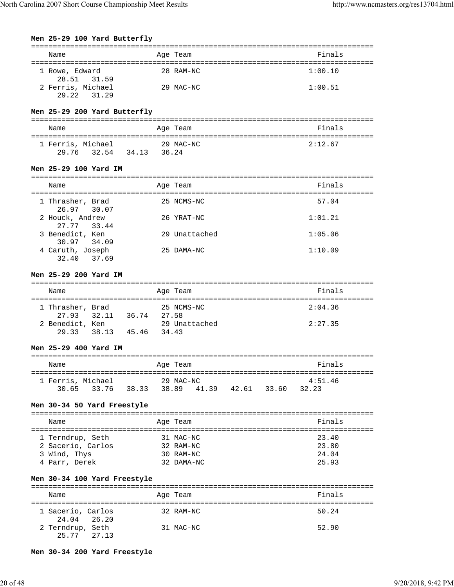# **Men 25-29 100 Yard Butterfly** =============================================================================== Name **Age Team** Age Team Finals =============================================================================== 1 Rowe, Edward 28 RAM-NC 1:00.10 28.51 31.59 2 Ferris, Michael 29 MAC-NC 1:00.51 29.22 31.29 **Men 25-29 200 Yard Butterfly** =============================================================================== Name **Age Team** Age Team **Finals** =============================================================================== 1 Ferris, Michael 29 MAC-NC 2:12.67 29.76 32.54 34.13 36.24 **Men 25-29 100 Yard IM** =============================================================================== Name **Age Team** Age Team **Finals** =============================================================================== 1 Thrasher, Brad 25 NCMS-NC 57.04 26.97 30.07 2 Houck, Andrew 26 YRAT-NC 1:01.21 27.77 33.44 3 Benedict, Ken 29 Unattached 1:05.06 30.97 34.09 4 Caruth, Joseph 25 DAMA-NC 1:10.09 32.40 37.69 **Men 25-29 200 Yard IM** =============================================================================== Name Age Team Finals =============================================================================== 1 Thrasher, Brad 25 NCMS-NC 2:04.36 27.93 32.11 36.74 27.58<br>
enedict, Ken 29 Unattached 2 Benedict, Ken 29 Unattached 2:27.35 29.33 38.13 45.46 34.43 **Men 25-29 400 Yard IM** =============================================================================== Name Age Team =============================================================================== 1 Ferris, Michael 29 MAC-NC 4:51.46 30.65 33.76 38.33 38.89 41.39 42.61 33.60 32.23 **Men 30-34 50 Yard Freestyle** =============================================================================== Name Age Team Finals =============================================================================== 1 Terndrup, Seth 31 MAC-NC 23.40 2 Sacerio, Carlos 32 RAM-NC 23.80 3 Wind, Thys 30 RAM-NC 24.04 4 Parr, Derek 32 DAMA-NC 25.93 **Men 30-34 100 Yard Freestyle** =============================================================================== Name and Age Team and Age Team and Age Team and Age Team and Age of the Age of the Age of the Age of the Age o =============================================================================== 1 Sacerio, Carlos 32 RAM-NC 50.24 24.04 26.20<br>2 Terndrup, Seth 31 MAC-NC 52.90 25.77 27.13

**Men 30-34 200 Yard Freestyle**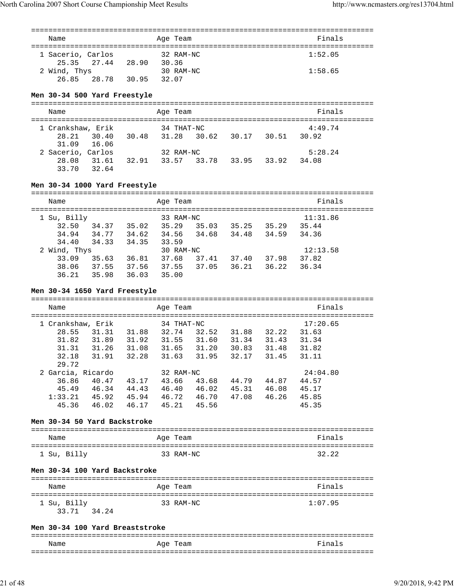| Name                                              |       |                                                                                                          |       | Age Team   |  | Finals   |  |
|---------------------------------------------------|-------|----------------------------------------------------------------------------------------------------------|-------|------------|--|----------|--|
|                                                   |       |                                                                                                          |       |            |  |          |  |
| 1 Sacerio, Carlos                                 |       | 27.44 28.90                                                                                              |       | 32 RAM-NC  |  | 1:52.05  |  |
| 25.35<br>2 Wind, Thys                             |       |                                                                                                          | 30.36 | 30 RAM-NC  |  | 1:58.65  |  |
| 26.85                                             | 28.78 | 30.95 32.07                                                                                              |       |            |  |          |  |
|                                                   |       |                                                                                                          |       |            |  |          |  |
| Men 30-34 500 Yard Freestyle                      |       |                                                                                                          |       |            |  |          |  |
|                                                   |       |                                                                                                          |       |            |  |          |  |
| Name                                              |       |                                                                                                          |       | Age Team   |  | Finals   |  |
|                                                   |       |                                                                                                          |       |            |  |          |  |
| 1 Crankshaw, Erik                                 |       |                                                                                                          |       | 34 THAT-NC |  | 4:49.74  |  |
| 28.21                                             |       | 30.40 30.48 31.28 30.62 30.17 30.51 30.92                                                                |       |            |  |          |  |
| 31.09<br>2 Sacerio, Carlos                        | 16.06 |                                                                                                          |       |            |  | 5:28.24  |  |
|                                                   |       |                                                                                                          |       |            |  | 34.08    |  |
| 33.70 32.64                                       |       |                                                                                                          |       |            |  |          |  |
|                                                   |       |                                                                                                          |       |            |  |          |  |
| Men 30-34 1000 Yard Freestyle                     |       |                                                                                                          |       |            |  |          |  |
|                                                   |       |                                                                                                          |       |            |  |          |  |
| Name                                              |       |                                                                                                          |       | Age Team   |  | Finals   |  |
| 1 Su, Billy                                       |       |                                                                                                          |       | 33 RAM-NC  |  | 11:31.86 |  |
| 32.50                                             |       | $34.37$ 35.02 35.29 35.03 35.25 35.29 35.44                                                              |       |            |  |          |  |
| 34.94                                             |       | 34.77 34.62 34.56 34.68 34.48 34.59 34.36                                                                |       |            |  |          |  |
| 34.40                                             |       | 34.33 34.35 33.59                                                                                        |       |            |  |          |  |
| 2 Wind, Thys                                      |       |                                                                                                          |       | 30 RAM-NC  |  | 12:13.58 |  |
|                                                   |       | 33.09 35.63 36.81 37.68 37.41 37.40 37.98 37.82                                                          |       |            |  |          |  |
|                                                   |       | 38.06 37.55 37.56 37.55 37.05 36.21 36.22                                                                |       |            |  | 36.34    |  |
|                                                   |       | 36.21 35.98 36.03 35.00                                                                                  |       |            |  |          |  |
|                                                   |       |                                                                                                          |       |            |  |          |  |
|                                                   |       |                                                                                                          |       |            |  |          |  |
|                                                   |       | Men 30-34 1650 Yard Freestyle                                                                            |       |            |  |          |  |
| Name                                              |       |                                                                                                          |       | Age Team   |  | Finals   |  |
|                                                   |       |                                                                                                          |       |            |  |          |  |
| 1 Crankshaw, Erik                                 |       |                                                                                                          |       | 34 THAT-NC |  | 17:20.65 |  |
| 28.55                                             |       | 31.31 31.88 32.74 32.52 31.88 32.22                                                                      |       |            |  | 31.63    |  |
| 31.82                                             |       |                                                                                                          |       |            |  | 31.34    |  |
| 31.31                                             |       | 31.89    31.92    31.55    31.60    31.34    31.43<br>31.26    31.08    31.65    31.20    30.83    31.48 |       |            |  | 31.82    |  |
| 29.72                                             |       | 32.18 31.91 32.28 31.63 31.95 32.17 31.45 31.11                                                          |       |            |  |          |  |
| 2 Garcia, Ricardo                                 |       |                                                                                                          |       | 32 RAM-NC  |  | 24:04.80 |  |
| 36.86                                             |       | 40.47 43.17 43.66 43.68 44.79 44.87 44.57                                                                |       |            |  |          |  |
|                                                   |       | 45.49 46.34 44.43 46.40 46.02 45.31 46.08 45.17                                                          |       |            |  |          |  |
| 1:33.21 45.92 45.94 46.72 46.70 47.08 46.26 45.85 |       |                                                                                                          |       |            |  |          |  |
|                                                   |       | 45.36 46.02 46.17 45.21 45.56                                                                            |       |            |  | 45.35    |  |
| Men 30-34 50 Yard Backstroke                      |       |                                                                                                          |       |            |  |          |  |
|                                                   |       |                                                                                                          |       |            |  |          |  |
| Name                                              |       |                                                                                                          |       | Age Team   |  | Finals   |  |
|                                                   |       |                                                                                                          |       |            |  |          |  |
| 1 Su, Billy                                       |       |                                                                                                          |       | 33 RAM-NC  |  | 32.22    |  |
|                                                   |       |                                                                                                          |       |            |  |          |  |
| Men 30-34 100 Yard Backstroke                     |       |                                                                                                          |       |            |  |          |  |
| Name                                              |       |                                                                                                          |       | Age Team   |  | Finals   |  |
|                                                   |       |                                                                                                          |       |            |  |          |  |
| 1 Su, Billy                                       |       |                                                                                                          |       | 33 RAM-NC  |  | 1:07.95  |  |
| 33.71 34.24                                       |       |                                                                                                          |       |            |  |          |  |
|                                                   |       |                                                                                                          |       |            |  |          |  |
| Men 30-34 100 Yard Breaststroke                   |       |                                                                                                          |       |            |  |          |  |
| Name                                              |       |                                                                                                          |       | Age Team   |  | Finals   |  |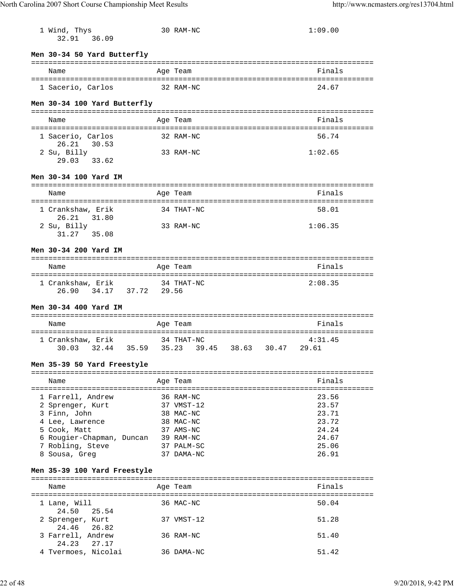| 1 Wind, Thys                              | 30 RAM-NC               | 1:09.00                                    |
|-------------------------------------------|-------------------------|--------------------------------------------|
| 36.09<br>32.91                            |                         |                                            |
| Men 30-34 50 Yard Butterfly               |                         |                                            |
|                                           |                         |                                            |
| Name                                      | Age Team                | Finals                                     |
| 1 Sacerio, Carlos                         | 32 RAM-NC               | 24.67                                      |
| Men 30-34 100 Yard Butterfly              |                         |                                            |
| Name                                      | Age Team                | Finals                                     |
| 1 Sacerio, Carlos                         | 32 RAM-NC               | 56.74                                      |
| 26.21 30.53<br>2 Su, Billy                | 33 RAM-NC               | 1:02.65                                    |
| 29.03 33.62                               |                         |                                            |
| Men 30-34 100 Yard IM                     |                         |                                            |
| Name                                      | Age Team                | Finals                                     |
| 1 Crankshaw, Erik                         | 34 THAT-NC              | 58.01                                      |
| 26.21<br>31.80<br>2 Su, Billy             | 33 RAM-NC               | 1:06.35                                    |
| 31.27 35.08                               |                         |                                            |
| Men 30-34 200 Yard IM                     |                         |                                            |
|                                           |                         |                                            |
| Name                                      | Age Team                | Finals                                     |
| 1 Crankshaw, Erik 34 THAT-NC              | ================        | ===============================<br>2:08.35 |
| 26.90 34.17 37.72 29.56                   |                         |                                            |
| Men 30-34 400 Yard IM                     |                         |                                            |
|                                           |                         |                                            |
| Name                                      | Age Team                | Finals                                     |
| 1 Crankshaw, Erik                         | 34 THAT-NC              | 4:31.45                                    |
| 32.44 35.59 35.23<br>30.03                | 39.45 38.63 30.47 29.61 |                                            |
| Men 35-39 50 Yard Freestyle               |                         |                                            |
|                                           |                         |                                            |
| Name                                      | Age Team                | Finals                                     |
| 1 Farrell, Andrew                         | 36 RAM-NC               | 23.56                                      |
| 2 Sprenger, Kurt                          | 37 VMST-12              | 23.57                                      |
| 3 Finn, John                              | 38 MAC-NC               | 23.71                                      |
| 4 Lee, Lawrence                           | 38 MAC-NC               | 23.72                                      |
| 5 Cook, Matt<br>6 Rougier-Chapman, Duncan | 37 AMS-NC<br>39 RAM-NC  | 24.24<br>24.67                             |
| 7 Robling, Steve                          | 37 PALM-SC              | 25.06                                      |
| 8 Sousa, Greg                             | 37 DAMA-NC              | 26.91                                      |
|                                           |                         |                                            |
| Men 35-39 100 Yard Freestyle              |                         |                                            |
| Name                                      | Age Team                | Finals                                     |
| 1 Lane, Will                              | 36 MAC-NC               | 50.04                                      |
| 24.50<br>25.54<br>2 Sprenger, Kurt        | 37 VMST-12              | 51.28                                      |
| 24.46<br>26.82                            |                         |                                            |
| 3 Farrell, Andrew<br>24.23<br>27.17       | 36 RAM-NC               | 51.40                                      |
| 4 Tvermoes, Nicolai                       | 36 DAMA-NC              | 51.42                                      |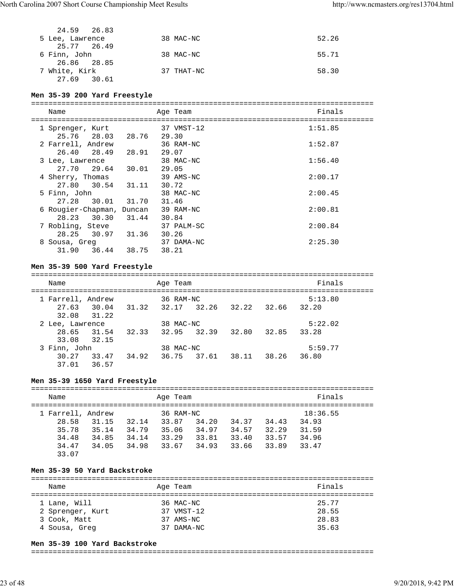| 24.59 26.83     |            |       |
|-----------------|------------|-------|
| 5 Lee, Lawrence | 38 MAC-NC  | 52.26 |
| 25.77 26.49     |            |       |
| 6 Finn, John    | 38 MAC-NC  | 55.71 |
| 26.86 28.85     |            |       |
| 7 White, Kirk   | 37 THAT-NC | 58.30 |
| 27.69 30.61     |            |       |

**Men 35-39 200 Yard Freestyle** =============================================================================== Name **Age Team** Age Team =============================================================================== 1 Sprenger, Kurt 37 VMST-12 1:51.85 25.76 28.03 28.76 29.30 2 Farrell, Andrew 36 RAM-NC 1:52.87 26.40 28.49 28.91 29.07<br>ee, Lawrence 38 MAC-NC 3 Lee, Lawrence 38 MAC-NC 1:56.40 27.70 29.64 30.01 29.05 4 Sherry, Thomas 39 AMS-NC 2:00.17 27.80 30.54 31.11 30.72 5 Finn, John 38 MAC-NC 2:00.45 27.28 30.01 31.70 31.46 6 Rougier-Chapman, Duncan 39 RAM-NC 2:00.81 28.23 30.30 31.44 30.84<br>
obling, Steve 37 PALM-SC 7 Robling, Steve 37 PALM-SC 2:00.84 28.25 30.97 31.36 30.26<br>ousa, Greg 37 DAMA-NC 8 Sousa, Greg 37 DAMA-NC 2:25.30 31.90 36.44 38.75 38.21

#### **Men 35-39 500 Yard Freestyle**

=============================================================================== Name Age Team Finals =============================================================================== 1 Farrell, Andrew 36 RAM-NC 5:13.80 27.63 30.04 31.32 32.17 32.26 32.22 32.66 32.20 32.08 31.22 2 Lee, Lawrence 38 MAC-NC 5:22.02 28.65 31.54 32.33 32.95 32.39 32.80 32.85 33.28 33.08 32.15 3 Finn, John 38 MAC-NC 5:59.77 30.27 33.47 34.92 36.75 37.61 38.11 38.26 36.80 37.01 36.57

#### **Men 35-39 1650 Yard Freestyle**

=============================================================================== Name Age Team Finals =============================================================================== 1 Farrell, Andrew 36 RAM-NC 18:36.55 28.58 31.15 32.14 33.87 34.20 34.37 34.43 34.93 35.78 35.14 34.79 35.06 34.97 34.57 32.29 31.59 34.48 34.85 34.14 33.29 33.81 33.40 33.57 34.96 34.47 34.05 34.98 33.67 34.93 33.66 33.89 33.47 33.07

#### **Men 35-39 50 Yard Backstroke**

=============================================================================== Name Age Team Finals =============================================================================== 1 Lane, Will 36 MAC-NC 25.77 2 Sprenger, Kurt 37 VMST-12 28.55<br>3 Cook, Matt 37 AMS-NC 37 28.83 3 Cook, Matt 37 AMS-NC 28.83 4 Sousa, Greg 37 DAMA-NC 35.63

#### **Men 35-39 100 Yard Backstroke**

===============================================================================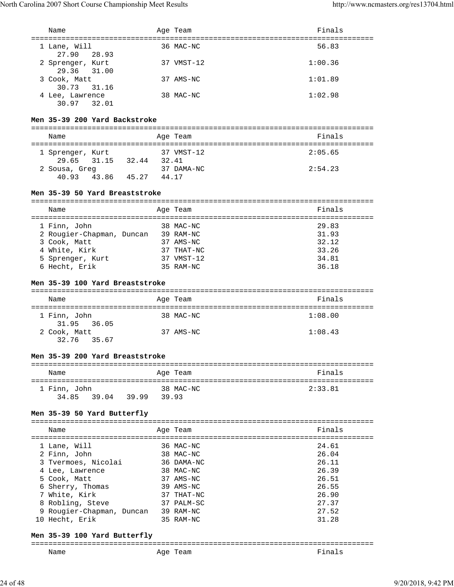| Name                                                  | Age Team                         | Finals         |
|-------------------------------------------------------|----------------------------------|----------------|
| =====================================                 | :=============================== |                |
| 1 Lane, Will<br>27.90<br>28.93                        | 36 MAC-NC                        | 56.83          |
| 2 Sprenger, Kurt                                      | 37 VMST-12                       | 1:00.36        |
| 29.36<br>31.00                                        |                                  |                |
| 3 Cook, Matt                                          | 37 AMS-NC                        | 1:01.89        |
| 30.73<br>31.16                                        |                                  |                |
| 4 Lee, Lawrence<br>30.97 32.01                        | 38 MAC-NC                        | 1:02.98        |
|                                                       |                                  |                |
| Men 35-39 200 Yard Backstroke                         |                                  |                |
|                                                       |                                  |                |
| Name                                                  | Age Team                         | Finals         |
|                                                       |                                  |                |
| 1 Sprenger, Kurt<br>31.15 32.44 32.41<br>29.65        | 37 VMST-12                       | 2:05.65        |
| 2 Sousa, Greg 37 DAMA-NC                              |                                  | 2:54.23        |
| 40.93 43.86 45.27 44.17                               |                                  |                |
|                                                       |                                  |                |
| Men 35-39 50 Yard Breaststroke                        |                                  |                |
|                                                       |                                  |                |
| Name                                                  | Age Team                         | Finals         |
| 1 Finn, John                                          | 38 MAC-NC                        | 29.83          |
| 2 Rougier-Chapman, Duncan 39 RAM-NC                   |                                  | 31.93          |
| 3 Cook, Matt                                          | 37 AMS-NC                        | 32.12          |
| 4 White, Kirk                                         | 37 THAT-NC                       | 33.26          |
| 5 Sprenger, Kurt                                      | 37 VMST-12                       | 34.81          |
| 6 Hecht, Erik                                         | 35 RAM-NC                        | 36.18          |
|                                                       |                                  |                |
|                                                       |                                  |                |
| Men 35-39 100 Yard Breaststroke                       |                                  |                |
| Name                                                  | Age Team                         | Finals         |
|                                                       |                                  |                |
| 1 Finn, John                                          | 38 MAC-NC                        | 1:08.00        |
| 31.95 36.05                                           |                                  |                |
| 2 Cook, Matt                                          | 37 AMS-NC                        | 1:08.43        |
| 32.76<br>35.67                                        |                                  |                |
| Men 35-39 200 Yard Breaststroke                       |                                  |                |
|                                                       |                                  |                |
| Name                                                  | Age Team                         | Finals         |
|                                                       |                                  |                |
| 1 Finn, John<br>34.85                                 | 38 MAC-NC                        | 2:33.81        |
| 39.04 39.99 39.93                                     |                                  |                |
| Men 35-39 50 Yard Butterfly                           |                                  |                |
|                                                       |                                  |                |
| Name                                                  | Age Team                         | Finals         |
|                                                       | 36 MAC-NC                        |                |
| 1 Lane, Will<br>2 Finn, John                          | 38 MAC-NC                        | 24.61<br>26.04 |
| 3 Tvermoes, Nicolai                                   | 36 DAMA-NC                       | 26.11          |
| 4 Lee, Lawrence                                       | 38 MAC-NC                        | 26.39          |
| 5 Cook, Matt                                          | 37 AMS-NC                        | 26.51          |
|                                                       | 39 AMS-NC                        | 26.55          |
| 6 Sherry, Thomas<br>7 White, Kirk                     | 37 THAT-NC                       | 26.90          |
| 8 Robling, Steve                                      | 37 PALM-SC                       | 27.37          |
|                                                       |                                  | 27.52          |
| 9 Rougier-Chapman, Duncan 39 RAM-NC<br>10 Hecht, Erik | 35 RAM-NC                        | 31.28          |
|                                                       |                                  |                |

# **Men 35-39 100 Yard Butterfly**

=============================================================================== Age Team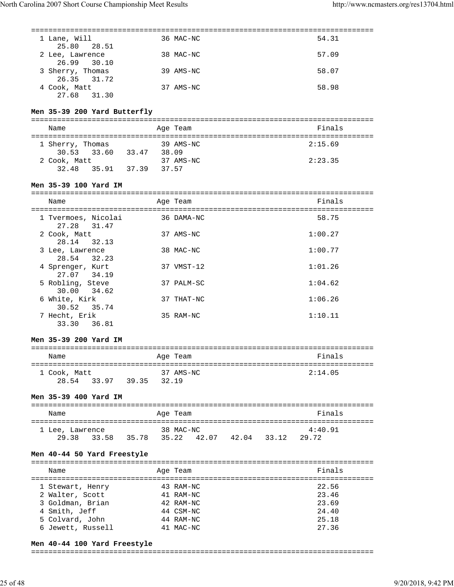| 1 Lane, Will<br>28.51<br>25.80          |  | 36 MAC-NC                                       | 54.31          |
|-----------------------------------------|--|-------------------------------------------------|----------------|
| 2 Lee, Lawrence                         |  | 38 MAC-NC                                       | 57.09          |
| 26.99<br>30.10<br>3 Sherry, Thomas      |  | 39 AMS-NC                                       | 58.07          |
| 26.35 31.72<br>4 Cook, Matt             |  | 37 AMS-NC                                       | 58.98          |
| 27.68 31.30                             |  |                                                 |                |
| Men 35-39 200 Yard Butterfly            |  |                                                 |                |
| Name                                    |  | Age Team                                        | Finals         |
| 1 Sherry, Thomas 39 AMS-NC              |  |                                                 | 2:15.69        |
| 30.53 33.60 33.47 38.09                 |  |                                                 |                |
| 2 Cook, Matt                            |  | 37 AMS-NC                                       | 2:23.35        |
| 32.48 35.91 37.39 37.57                 |  |                                                 |                |
| Men 35-39 100 Yard IM                   |  |                                                 |                |
|                                         |  |                                                 |                |
| Name                                    |  | Age Team                                        | Finals         |
| 1 Tvermoes, Nicolai                     |  | 36 DAMA-NC                                      | 58.75          |
| 27.28 31.47                             |  |                                                 |                |
| 2 Cook, Matt<br>28.14<br>32.13          |  | 37 AMS-NC                                       | 1:00.27        |
| 3 Lee, Lawrence<br>28.54 32.23          |  | 38 MAC-NC                                       | 1:00.77        |
| 4 Sprenger, Kurt<br>27.07 34.19         |  | 37 VMST-12                                      | 1:01.26        |
| 5 Robling, Steve<br>30.00 34.62         |  | 37 PALM-SC                                      | 1:04.62        |
| 6 White, Kirk<br>30.52 35.74            |  | 37 THAT-NC                                      | 1:06.26        |
| 7 Hecht, Erik<br>33.30 36.81            |  | 35 RAM-NC                                       | 1:10.11        |
| Men 35-39 200 Yard IM                   |  |                                                 |                |
| Name<br><b>Example 2</b> Age Team       |  |                                                 | Finals         |
|                                         |  |                                                 |                |
| 1 Cook, Matt<br>28.54 33.97 39.35 32.19 |  | 37 AMS-NC                                       | 2:14.05        |
|                                         |  |                                                 |                |
| Men 35-39 400 Yard IM                   |  |                                                 |                |
| Name                                    |  | Age Team                                        | Finals         |
| 1 Lee, Lawrence                         |  | 38 MAC-NC                                       | 4:40.91        |
|                                         |  | 29.38 33.58 35.78 35.22 42.07 42.04 33.12 29.72 |                |
| Men 40-44 50 Yard Freestyle             |  |                                                 |                |
| Name                                    |  | Age Team                                        | Finals         |
|                                         |  |                                                 |                |
| 1 Stewart, Henry                        |  | 43 RAM-NC                                       | 22.56          |
| 2 Walter, Scott                         |  | 41 RAM-NC                                       | 23.46          |
| 3 Goldman, Brian                        |  | 42 RAM-NC                                       | 23.69          |
|                                         |  | 44 CSM-NC                                       | 24.40          |
| 4 Smith, Jeff                           |  |                                                 |                |
| 5 Colvard, John<br>6 Jewett, Russell    |  | 44 RAM-NC<br>41 MAC-NC                          | 25.18<br>27.36 |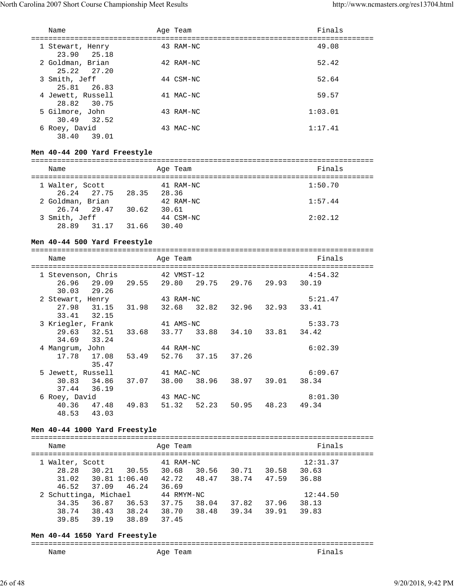| Name                             | Age Team  | Finals  |
|----------------------------------|-----------|---------|
| 1 Stewart, Henry<br>23.90 25.18  | 43 RAM-NC | 49.08   |
| 2 Goldman, Brian<br>25.22 27.20  | 42 RAM-NC | 52.42   |
| 3 Smith, Jeff<br>25.81 26.83     | 44 CSM-NC | 52.64   |
| 4 Jewett, Russell<br>28.82 30.75 | 41 MAC-NC | 59.57   |
| 5 Gilmore, John<br>30.49 32.52   | 43 RAM-NC | 1:03.01 |
| 6 Roey, David<br>38.40<br>39.01  | 43 MAC-NC | 1:17.41 |

## **Men 40-44 200 Yard Freestyle**

| Name                           |       | Age Team           | Finals  |
|--------------------------------|-------|--------------------|---------|
| 1 Walter, Scott<br>26.24 27.75 | 28.35 | 41 RAM-NC<br>28.36 | 1:50.70 |
| 2 Goldman, Brian               |       | 42 RAM-NC          | 1:57.44 |
| 26.74 29.47<br>3 Smith, Jeff   | 30.62 | 30.61<br>44 CSM-NC | 2:02.12 |
| 28.89<br>31.17                 | 31.66 | 30.40              |         |

## **Men 40-44 500 Yard Freestyle**

| Name                                            |       | Age Team                            |                               | Finals  |
|-------------------------------------------------|-------|-------------------------------------|-------------------------------|---------|
| 1 Stevenson, Chris                              |       | 42 VMST-12                          |                               | 4:54.32 |
| 26.96 29.09 29.55 29.80 29.75 29.76 29.93 30.19 |       |                                     |                               |         |
| 30.03 29.26<br>2 Stewart, Henry 43 RAM-NC       |       |                                     |                               | 5:21.47 |
|                                                 |       |                                     |                               |         |
| 27.98 31.15 31.98 32.68 32.82 32.96 32.93 33.41 |       |                                     |                               |         |
| 33.41 32.15                                     |       |                                     |                               |         |
| 3 Kriegler, Frank                               |       | 41 AMS-NC                           |                               | 5:33.73 |
| 29.63 32.51                                     |       | 33.68 33.77 33.88 34.10 33.81 34.42 |                               |         |
| 34.69 33.24                                     |       |                                     |                               |         |
| 4 Mangrum, John                                 |       | 44 RAM-NC                           |                               | 6:02.39 |
| 17.78 17.08                                     |       | 53.49 52.76 37.15 37.26             |                               |         |
| 35.47                                           |       |                                     |                               |         |
| 5 Jewett, Russell                               |       | 41 MAC-NC                           |                               | 6:09.67 |
| 30.83 34.86                                     | 37.07 |                                     | 38.00 38.96 38.97 39.01 38.34 |         |
| 37.44 36.19                                     |       |                                     |                               |         |
| 6 Roey, David                                   |       | 43 MAC-NC                           |                               | 8:01.30 |
| 40.36 47.48 49.83                               |       |                                     | 51.32 52.23 50.95 48.23 49.34 |         |
| 48.53 43.03                                     |       |                                     |                               |         |

# **Men 40-44 1000 Yard Freestyle**

| Name                  |               |       | Age Team   |       |       |       | Finals   |  |
|-----------------------|---------------|-------|------------|-------|-------|-------|----------|--|
| 1 Walter, Scott       |               |       | 41 RAM-NC  |       |       |       | 12:31.37 |  |
| 28.28                 | 30.21         | 30.55 | 30.68      | 30.56 | 30.71 | 30.58 | 30.63    |  |
| 31.02                 | 30.81 1:06.40 |       | 42.72      | 48.47 | 38.74 | 47.59 | 36.88    |  |
| 46.52                 | 37.09         | 46.24 | 36.69      |       |       |       |          |  |
| 2 Schuttinga, Michael |               |       | 44 RMYM-NC |       |       |       | 12:44.50 |  |
| 34.35                 | 36.87         | 36.53 | 37.75      | 38.04 | 37.82 | 37.96 | 38.13    |  |
| 38.74                 | 38.43         | 38.24 | 38.70      | 38.48 | 39.34 | 39.91 | 39.83    |  |
| 39.85                 | 39.19         | 38.89 | 37.45      |       |       |       |          |  |
|                       |               |       |            |       |       |       |          |  |

#### **Men 40-44 1650 Yard Freestyle**

## =============================================================================== Age Team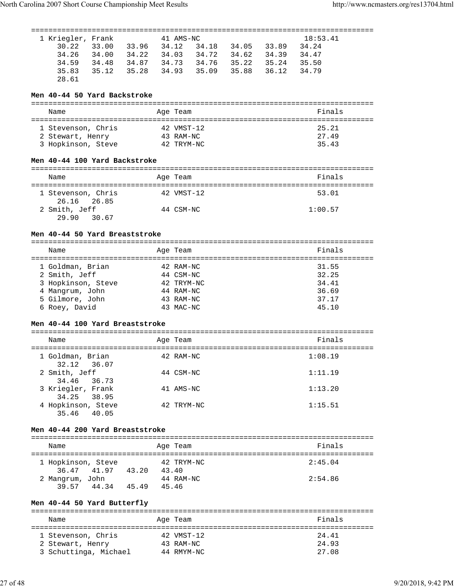| 1 Kriegler, Frank                         |       | 41 AMS-NC              |             |       | 18:53.41       |  |
|-------------------------------------------|-------|------------------------|-------------|-------|----------------|--|
| 30.22<br>33.00<br>33.96 34.12             |       | 34.18                  | 34.05       | 33.89 | 34.24          |  |
| 34.26<br>34.00                            |       | 34.22 34.03 34.72      | 34.62 34.39 |       | 34.47          |  |
| 34.59<br>34.48<br>34.87 34.73             |       | 34.76                  | 35.22 35.24 |       | 35.50          |  |
| 35.83<br>35.12<br>35.28                   | 34.93 | 35.09                  | 35.88       | 36.12 | 34.79          |  |
| 28.61                                     |       |                        |             |       |                |  |
|                                           |       |                        |             |       |                |  |
| Men 40-44 50 Yard Backstroke              |       |                        |             |       |                |  |
|                                           |       |                        |             |       |                |  |
| Name                                      |       | Age Team               |             |       | Finals         |  |
|                                           |       |                        |             |       |                |  |
| 1 Stevenson, Chris                        |       | 42 VMST-12             |             |       | 25.21          |  |
| 2 Stewart, Henry                          |       | 43 RAM-NC              |             |       | 27.49          |  |
| 3 Hopkinson, Steve 42 TRYM-NC             |       |                        |             |       | 35.43          |  |
|                                           |       |                        |             |       |                |  |
| Men 40-44 100 Yard Backstroke             |       |                        |             |       |                |  |
| Name                                      |       | Age Team               |             |       | Finals         |  |
|                                           |       |                        |             |       |                |  |
| 1 Stevenson, Chris                        |       | 42 VMST-12             |             |       | 53.01          |  |
| 26.16<br>26.85                            |       |                        |             |       |                |  |
| 2 Smith, Jeff                             |       | 44 CSM-NC              |             |       | 1:00.57        |  |
| 29.90<br>30.67                            |       |                        |             |       |                |  |
|                                           |       |                        |             |       |                |  |
| Men 40-44 50 Yard Breaststroke            |       |                        |             |       |                |  |
|                                           |       |                        |             |       |                |  |
| Name                                      |       | Age Team               |             |       | Finals         |  |
|                                           |       |                        |             |       |                |  |
| 1 Goldman, Brian                          |       | 42 RAM-NC<br>44 CSM-NC |             |       | 31.55<br>32.25 |  |
| 2 Smith, Jeff<br>3 Hopkinson, Steve       |       | 42 TRYM-NC             |             |       | 34.41          |  |
|                                           |       |                        |             |       |                |  |
|                                           |       |                        |             |       |                |  |
| 4 Mangrum, John                           |       | 44 RAM-NC              |             |       | 36.69          |  |
| 5 Gilmore, John                           |       | 43 RAM-NC              |             |       | 37.17          |  |
| 6 Roey, David                             |       | 43 MAC-NC              |             |       | 45.10          |  |
| Men 40-44 100 Yard Breaststroke           |       |                        |             |       |                |  |
|                                           |       |                        |             |       |                |  |
| Name                                      |       | Age Team               |             |       | Finals         |  |
|                                           |       |                        |             |       |                |  |
| 1 Goldman, Brian                          |       | 42 RAM-NC              |             |       | 1:08.19        |  |
| 32.12<br>36.07                            |       |                        |             |       |                |  |
| 2 Smith, Jeff                             |       | 44 CSM-NC              |             |       | 1:11.19        |  |
| 34.46<br>36.73                            |       |                        |             |       |                |  |
| 3 Kriegler, Frank                         |       | 41 AMS-NC              |             |       | 1:13.20        |  |
| 34.25<br>38.95                            |       |                        |             |       |                |  |
| 4 Hopkinson, Steve<br>35.46<br>40.05      |       | 42 TRYM-NC             |             |       | 1:15.51        |  |
|                                           |       |                        |             |       |                |  |
| Men 40-44 200 Yard Breaststroke           |       |                        |             |       |                |  |
|                                           |       |                        |             |       |                |  |
| Name                                      |       | Age Team               |             |       | Finals         |  |
|                                           |       |                        |             |       |                |  |
| 1 Hopkinson, Steve                        |       | 42 TRYM-NC             |             |       | 2:45.04        |  |
| 36.47 41.97 43.20 43.40                   |       |                        |             |       |                |  |
| 2 Mangrum, John                           |       | 44 RAM-NC              |             |       | 2:54.86        |  |
| 39.57 44.34 45.49 45.46                   |       |                        |             |       |                |  |
|                                           |       |                        |             |       |                |  |
| Men 40-44 50 Yard Butterfly               |       |                        |             |       |                |  |
| Name                                      |       | Age Team               |             |       | Finals         |  |
|                                           |       |                        |             |       |                |  |
| 1 Stevenson, Chris                        |       | 42 VMST-12             |             |       | 24.41          |  |
| 2 Stewart, Henry<br>3 Schuttinga, Michael |       | 43 RAM-NC              |             |       | 24.93          |  |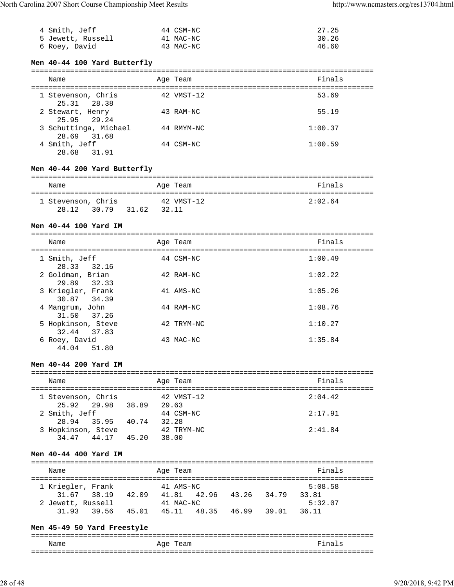| 4 Smith, Jeff     | 44 CSM-NC | 27.25 |
|-------------------|-----------|-------|
| 5 Jewett, Russell | 41 MAC-NC | 30.26 |
| 6 Roey, David     | 43 MAC-NC | 46.60 |

# **Men 40-44 100 Yard Butterfly**

| Name                                 | Age Team   | Finals  |
|--------------------------------------|------------|---------|
| 1 Stevenson, Chris<br>25.31 28.38    | 42 VMST-12 | 53.69   |
| 2 Stewart, Henry<br>25.95 29.24      | 43 RAM-NC  | 55.19   |
| 3 Schuttinga, Michael<br>28.69 31.68 | 44 RMYM-NC | 1:00.37 |
| 4 Smith, Jeff<br>28.68 31.91         | 44 CSM-NC  | 1:00.59 |

# **Men 40-44 200 Yard Butterfly**

| Name               |       | Age Team   | Finals  |
|--------------------|-------|------------|---------|
| 1 Stevenson, Chris |       | 42 VMST-12 | 2:02.64 |
| 28.12 30.79        | 31.62 | 32.11      |         |

# **Men 40-44 100 Yard IM**

| Name                                 | Age Team   | Finals  |
|--------------------------------------|------------|---------|
| 1 Smith, Jeff<br>28.33 32.16         | 44 CSM-NC  | 1:00.49 |
| 2 Goldman, Brian<br>29.89<br>32.33   | 42 RAM-NC  | 1:02.22 |
| 3 Kriegler, Frank<br>30.87 34.39     | 41 AMS-NC  | 1:05.26 |
| 4 Mangrum, John<br>31.50 37.26       | 44 RAM-NC  | 1:08.76 |
| 5 Hopkinson, Steve<br>32.44<br>37.83 | 42 TRYM-NC | 1:10.27 |
| 6 Roey, David<br>44.04<br>51.80      | 43 MAC-NC  | 1:35.84 |
|                                      |            |         |

## **Men 40-44 200 Yard IM**

## =============================================================================== Name **Age Team** Age Team **Finals**

| 1 Stevenson, Chris |       | 42 VMST-12 | 2:04.42 |
|--------------------|-------|------------|---------|
| 25.92 29.98        | 38.89 | 29.63      |         |
| 2 Smith, Jeff      |       | 44 CSM-NC  | 2:17.91 |
| 28.94 35.95        | 40.74 | 32.28      |         |
| 3 Hopkinson, Steve |       | 42 TRYM-NC | 2:41.84 |
| 44.17<br>34 47     | 45.20 | 38.00      |         |

## **Men 40-44 400 Yard IM**

| Name  |                   |       | Age Team  |       |       |       | Finals  |  |
|-------|-------------------|-------|-----------|-------|-------|-------|---------|--|
|       | 1 Kriegler, Frank |       | 41 AMS-NC |       |       |       | 5:08.58 |  |
|       | 31.67 38.19       | 42.09 | 41.81     | 42.96 | 43.26 | 34.79 | 33.81   |  |
|       | 2 Jewett, Russell |       | 41 MAC-NC |       |       |       | 5:32.07 |  |
| 31.93 | 39.56             | 45.01 | 45.11     | 48.35 | 46.99 | 39.01 | 36.11   |  |

## **Men 45-49 50 Yard Freestyle**

| Name | Age Team | Fina<br>Τs |
|------|----------|------------|
|      |          |            |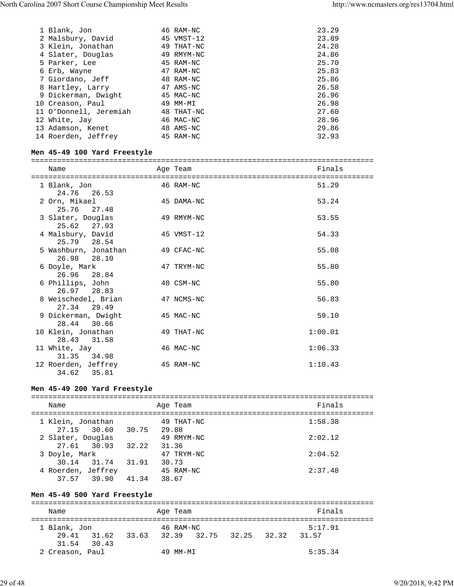| 1 Blank, Jon           | 46 RAM-NC  | 23.29 |
|------------------------|------------|-------|
| 2 Malsbury, David      | 45 VMST-12 | 23.89 |
| 3 Klein, Jonathan      | 49 THAT-NC | 24.28 |
| 4 Slater, Douglas      | 49 RMYM-NC | 24.86 |
| 5 Parker, Lee          | 45 RAM-NC  | 25.70 |
| 6 Erb, Wayne           | 47 RAM-NC  | 25.83 |
| 7 Giordano, Jeff       | 48 RAM-NC  | 25.86 |
| 8 Hartley, Larry       | 47 AMS-NC  | 26.58 |
| 9 Dickerman, Dwight    | 45 MAC-NC  | 26.96 |
| 10 Creason, Paul       | 49 MM-MI   | 26.98 |
| 11 O'Donnell, Jeremiah | 48 THAT-NC | 27.60 |
| 12 White, Jay          | 46 MAC-NC  | 28.96 |
| 13 Adamson, Kenet      | 48 AMS-NC  | 29.86 |
| 14 Roerden, Jeffrey    | 45 RAM-NC  | 32.93 |
|                        |            |       |

# **Men 45-49 100 Yard Freestyle**

| Name                |                      |  | Age Team   | Finals  |  |  |  |
|---------------------|----------------------|--|------------|---------|--|--|--|
|                     |                      |  |            |         |  |  |  |
| 1 Blank, Jon        |                      |  | 46 RAM-NC  | 51.29   |  |  |  |
| 24.76 26.53         |                      |  |            |         |  |  |  |
| 2 Orn, Mikael       |                      |  | 45 DAMA-NC | 53.24   |  |  |  |
| 25.76 27.48         |                      |  |            |         |  |  |  |
| 3 Slater, Douglas   |                      |  | 49 RMYM-NC | 53.55   |  |  |  |
| 25.62 27.93         |                      |  |            |         |  |  |  |
| 4 Malsbury, David   |                      |  | 45 VMST-12 | 54.33   |  |  |  |
| 25.79 28.54         |                      |  |            |         |  |  |  |
|                     | 5 Washburn, Jonathan |  | 49 CFAC-NC | 55.08   |  |  |  |
| 26.98 28.10         |                      |  |            |         |  |  |  |
| 6 Doyle, Mark       |                      |  | 47 TRYM-NC | 55.80   |  |  |  |
| 26.96 28.84         |                      |  |            |         |  |  |  |
| 6 Phillips, John    |                      |  | 48 CSM-NC  | 55.80   |  |  |  |
| 26.97 28.83         |                      |  |            |         |  |  |  |
|                     | 8 Weischedel, Brian  |  | 47 NCMS-NC | 56.83   |  |  |  |
| 27.34 29.49         |                      |  |            |         |  |  |  |
| 9 Dickerman, Dwight |                      |  | 45 MAC-NC  | 59.10   |  |  |  |
| 28.44 30.66         |                      |  |            |         |  |  |  |
| 10 Klein, Jonathan  |                      |  | 49 THAT-NC | 1:00.01 |  |  |  |
| 28.43 31.58         |                      |  |            |         |  |  |  |
| 11 White, Jay       |                      |  | 46 MAC-NC  | 1:06.33 |  |  |  |
| 31.35 34.98         |                      |  |            |         |  |  |  |
| 12 Roerden, Jeffrey |                      |  | 45 RAM-NC  | 1:10.43 |  |  |  |
| 34.62               | 35.81                |  |            |         |  |  |  |

# **Men 45-49 200 Yard Freestyle**

| Name                              |             | Age Team            | Finals  |
|-----------------------------------|-------------|---------------------|---------|
| 1 Klein, Jonathan<br>27.15 30.60  | 30.75 29.88 | 49 THAT-NC          | 1:58.38 |
| 2 Slater, Douglas<br>27.61 30.93  | 32.22       | 49 RMYM-NC<br>31.36 | 2:02.12 |
| 3 Doyle, Mark                     |             | 47 TRYM-NC          | 2:04.52 |
| 30.14 31.74<br>4 Roerden, Jeffrey | 31.91       | 30.73<br>45 RAM-NC  | 2:37.48 |
| 37.57 39.90                       | 41.34       | 38.67               |         |

# **Men 45-49 500 Yard Freestyle**

| Name            |             |       | Age Team  |             |  |       | Finals  |  |  |
|-----------------|-------------|-------|-----------|-------------|--|-------|---------|--|--|
|                 |             |       |           |             |  |       |         |  |  |
| 1 Blank, Jon    |             |       | 46 RAM-NC |             |  |       | 5:17.91 |  |  |
| 29.41           | 31.62       | 33.63 | 32.39     | 32.75 32.25 |  | 32.32 | 31.57   |  |  |
|                 | 31.54 30.43 |       |           |             |  |       |         |  |  |
| 2 Creason, Paul |             |       | 49 MM-MT  |             |  |       | 5:35.34 |  |  |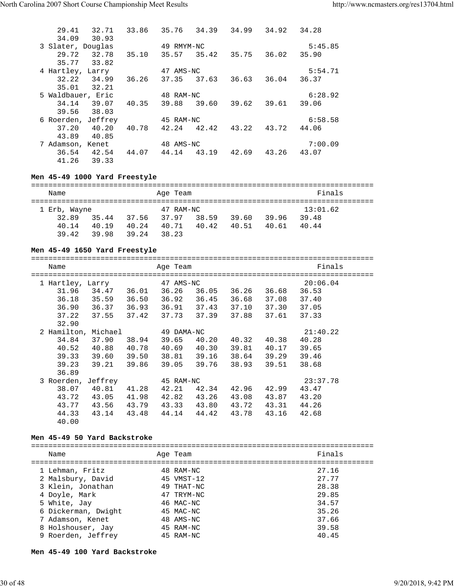| 29.41              | 32.71 | 33.86 | 35.76      | 34.39       | 34.99             | 34.92 | 34.28   |  |
|--------------------|-------|-------|------------|-------------|-------------------|-------|---------|--|
| 34.09              | 30.93 |       |            |             |                   |       |         |  |
| 3 Slater, Douglas  |       |       | 49 RMYM-NC |             |                   |       | 5:45.85 |  |
| 29.72              | 32.78 | 35.10 |            |             | 35.57 35.42 35.75 | 36.02 | 35.90   |  |
| 35.77              | 33.82 |       |            |             |                   |       |         |  |
| 4 Hartley, Larry   |       |       | 47 AMS-NC  |             |                   |       | 5:54.71 |  |
| 32.22              | 34.99 | 36.26 | 37.35      | 37.63       | 36.63             | 36.04 | 36.37   |  |
| 35.01              | 32.21 |       |            |             |                   |       |         |  |
| 5 Waldbauer, Eric  |       |       | 48 RAM-NC  |             |                   |       | 6:28.92 |  |
| 34.14              | 39.07 | 40.35 | 39.88      | 39.60       | 39.62             | 39.61 | 39.06   |  |
| 39.56              | 38.03 |       |            |             |                   |       |         |  |
| 6 Roerden, Jeffrey |       |       | 45 RAM-NC  |             |                   |       | 6:58.58 |  |
| 37.20              | 40.20 | 40.78 |            | 42.24 42.42 | 43.22             | 43.72 | 44.06   |  |
| 43.89              | 40.85 |       |            |             |                   |       |         |  |
| 7 Adamson, Kenet   |       |       | 48 AMS-NC  |             |                   |       | 7:00.09 |  |
| 36.54              | 42.54 | 44.07 | 44.14      | 43.19       | 42.69             | 43.26 | 43.07   |  |
| 41.26              | 39.33 |       |            |             |                   |       |         |  |
|                    |       |       |            |             |                   |       |         |  |

# **Men 45-49 1000 Yard Freestyle**

| Name         |       |       | Age Team  |       |       |       | Finals   |  |  |  |
|--------------|-------|-------|-----------|-------|-------|-------|----------|--|--|--|
| 1 Erb, Wayne |       |       | 47 RAM-NC |       |       |       | 13:01.62 |  |  |  |
| 32.89        | 35.44 | 37.56 | 37.97     | 38.59 | 39.60 | 39.96 | 39.48    |  |  |  |
| 40.14        | 40.19 | 40.24 | 40.71     | 40.42 | 40.51 | 40.61 | 40.44    |  |  |  |
| 39.42        | 39.98 | 39.24 | 38.23     |       |       |       |          |  |  |  |

# **Men 45-49 1650 Yard Freestyle**

| Name                |         | =========== | Age Team   |       |       |       | Finals   |
|---------------------|---------|-------------|------------|-------|-------|-------|----------|
| 1 Hartley, Larry    |         |             | 47 AMS-NC  |       |       |       | 20:06.04 |
| 31.96               | 34.47   | 36.01       | 36.26      | 36.05 | 36.26 | 36.68 | 36.53    |
| 36.18               | 35.59   | 36.50       | 36.92      | 36.45 | 36.68 | 37.08 | 37.40    |
| 36.90               | 36.37   | 36.93       | 36.91      | 37.43 | 37.10 | 37.30 | 37.05    |
| 37.22               | 37.55   | 37.42       | 37.73      | 37.39 | 37.88 | 37.61 | 37.33    |
| 32.90               |         |             |            |       |       |       |          |
| 2 Hamilton, Michael |         |             | 49 DAMA-NC |       |       |       | 21:40.22 |
| 34.84               | 37.90   | 38.94       | 39.65      | 40.20 | 40.32 | 40.38 | 40.28    |
| 40.52               | 40.88   | 40.78       | 40.69      | 40.30 | 39.81 | 40.17 | 39.65    |
| 39.33               | 39.60   | 39.50       | 38.81      | 39.16 | 38.64 | 39.29 | 39.46    |
| 39.23               | 39.21   | 39.86       | 39.05      | 39.76 | 38.93 | 39.51 | 38.68    |
| 36.89               |         |             |            |       |       |       |          |
| 3 Roerden,          | Jeffrey |             | 45 RAM-NC  |       |       |       | 23:37.78 |
| 38.07               | 40.81   | 41.28       | 42.21      | 42.34 | 42.96 | 42.99 | 43.47    |
| 43.72               | 43.05   | 41.98       | 42.82      | 43.26 | 43.08 | 43.87 | 43.20    |
| 43.77               | 43.56   | 43.79       | 43.33      | 43.80 | 43.72 | 43.31 | 44.26    |
| 44.33               | 43.14   | 43.48       | 44.14      | 44.42 | 43.78 | 43.16 | 42.68    |
| 40.00               |         |             |            |       |       |       |          |

# **Men 45-49 50 Yard Backstroke**

| Name                                                      | Age Team                              | Finals                  |
|-----------------------------------------------------------|---------------------------------------|-------------------------|
| 1 Lehman, Fritz<br>2 Malsbury, David<br>3 Klein, Jonathan | 48 RAM-NC<br>45 VMST-12<br>49 THAT-NC | 27.16<br>27.77<br>28.38 |
| 4 Doyle, Mark                                             | 47 TRYM-NC                            | 29.85                   |
| 5 White, Jay<br>6 Dickerman, Dwight                       | 46 MAC-NC<br>45 MAC-NC                | 34.57<br>35.26          |
| 7 Adamson, Kenet                                          | 48 AMS-NC                             | 37.66                   |
| 8 Holshouser, Jay<br>9 Roerden, Jeffrey                   | 45 RAM-NC<br>45 RAM-NC                | 39.58<br>40.45          |
|                                                           |                                       |                         |

**Men 45-49 100 Yard Backstroke**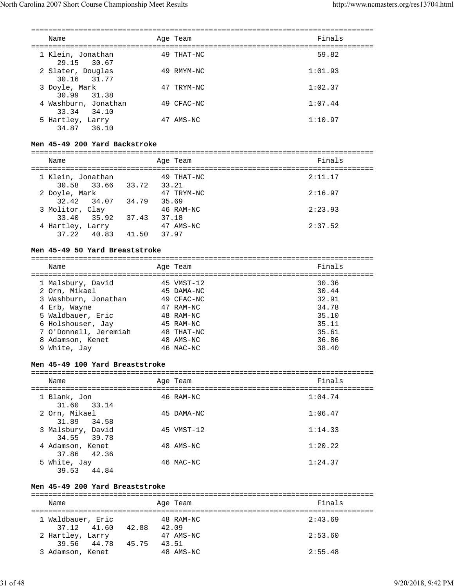| Name                                | Age Team   | Finals  |
|-------------------------------------|------------|---------|
| 1 Klein, Jonathan<br>29.15 30.67    | 49 THAT-NC | 59.82   |
| 2 Slater, Douglas<br>30.16 31.77    | 49 RMYM-NC | 1:01.93 |
| 3 Doyle, Mark<br>30.99 31.38        | 47 TRYM-NC | 1:02.37 |
| 4 Washburn, Jonathan<br>33.34 34.10 | 49 CFAC-NC | 1:07.44 |
| 5 Hartley, Larry<br>34.87<br>36.10  | 47 AMS-NC  | 1:10.97 |

#### **Men 45-49 200 Yard Backstroke**

=============================================================================== Name **Age Team** Age Team **Finals** 

|                         | $-1 - 1 = -1$ |         |
|-------------------------|---------------|---------|
| 1 Klein, Jonathan       | 49 THAT-NC    | 2:11.17 |
| 30.58 33.66 33.72 33.21 |               |         |
| 2 Doyle, Mark           | 47 TRYM-NC    | 2:16.97 |
| 32.42 34.07 34.79       | 35.69         |         |
| 3 Molitor, Clay         | 46 RAM-NC     | 2:23.93 |
| 33.40 35.92<br>37.43    | 37.18         |         |
| 4 Hartley, Larry        | 47 AMS-NC     | 2:37.52 |
| 37.22 40.83<br>41.50    | 37.97         |         |
|                         |               |         |

#### **Men 45-49 50 Yard Breaststroke**

| Name                                                                                                                                                              | Age Team                                                                                                   | Finals                                                               |
|-------------------------------------------------------------------------------------------------------------------------------------------------------------------|------------------------------------------------------------------------------------------------------------|----------------------------------------------------------------------|
| 1 Malsbury, David<br>2 Orn, Mikael<br>3 Washburn, Jonathan<br>4 Erb, Wayne<br>5 Waldbauer, Eric<br>6 Holshouser, Jay<br>7 O'Donnell, Jeremiah<br>8 Adamson, Kenet | $45$ VMST-12<br>45 DAMA-NC<br>49 CFAC-NC<br>47 RAM-NC<br>48 RAM-NC<br>45 RAM-NC<br>48 THAT-NC<br>48 AMS-NC | 30.36<br>30.44<br>32.91<br>34.78<br>35.10<br>35.11<br>35.61<br>36.86 |
| White, Jay<br>9                                                                                                                                                   | 46 MAC-NC                                                                                                  | 38.40                                                                |
|                                                                                                                                                                   |                                                                                                            |                                                                      |

#### **Men 45-49 100 Yard Breaststroke**

===============================================================================

| Name                             | Age Team   | Finals  |
|----------------------------------|------------|---------|
| 1 Blank, Jon<br>31.60 33.14      | 46 RAM-NC  | 1:04.74 |
| 2 Orn, Mikael<br>31.89 34.58     | 45 DAMA-NC | 1:06.47 |
| 3 Malsbury, David<br>34.55 39.78 | 45 VMST-12 | 1:14.33 |
| 4 Adamson, Kenet<br>37.86 42.36  | 48 AMS-NC  | 1:20.22 |
| 5 White, Jay<br>44.84<br>39.53   | 46 MAC-NC  | 1:24.37 |

#### **Men 45-49 200 Yard Breaststroke**

=============================================================================== Name **Age Team** Age Team Finals =============================================================================== 1 Waldbauer, Eric 48 RAM-NC 2:43.69 37.12 41.60 42.88 42.09 2 Hartley, Larry 317 AMS-NC 2:53.60 39.56 44.78 45.75 43.51 3 Adamson, Kenet 48 AMS-NC 2:55.48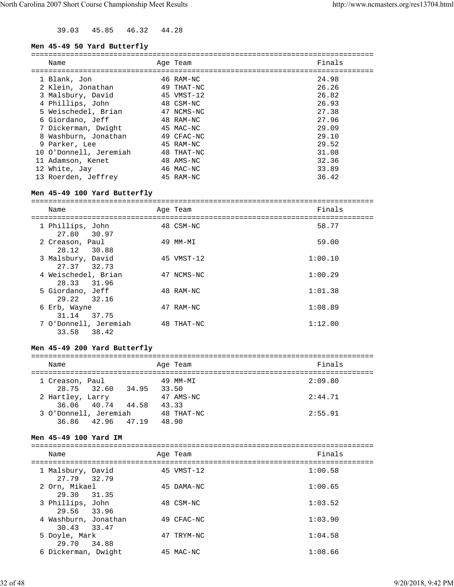39.03 45.85 46.32 44.28

#### **Men 45-49 50 Yard Butterfly**

|    | Name                   | Age Team   | Finals |
|----|------------------------|------------|--------|
|    | 1 Blank, Jon           | 46 RAM-NC  | 24.98  |
|    | 2 Klein, Jonathan      | 49 THAT-NC | 26.26  |
|    | 3 Malsbury, David      | 45 VMST-12 | 26.82  |
|    | 4 Phillips, John       | 48 CSM-NC  | 26.93  |
|    | 5 Weischedel, Brian    | 47 NCMS-NC | 27.38  |
|    | 6 Giordano, Jeff       | 48 RAM-NC  | 27.96  |
|    | 7 Dickerman, Dwight    | 45 MAC-NC  | 29.09  |
|    | 8 Washburn, Jonathan   | 49 CFAC-NC | 29.10  |
|    | 9 Parker, Lee          | 45 RAM-NC  | 29.52  |
|    | 10 O'Donnell, Jeremiah | 48 THAT-NC | 31.08  |
| 11 | Adamson, Kenet         | 48 AMS-NC  | 32.36  |
|    | 12 White, Jay          | 46 MAC-NC  | 33.89  |
|    | 13 Roerden, Jeffrey    | 45 RAM-NC  | 36.42  |
|    |                        |            |        |

#### **Men 45-49 100 Yard Butterfly**

===============================================================================

| Name                                    | Age Team   | Finals  |
|-----------------------------------------|------------|---------|
| 1 Phillips, John<br>27.80 30.97         | 48 CSM-NC  | 58.77   |
| 2 Creason, Paul<br>28.12 30.88          | 49 MM-MI   | 59.00   |
| 3 Malsbury, David<br>27.37 32.73        | 45 VMST-12 | 1:00.10 |
| 4 Weischedel, Brian<br>28.33<br>31.96   | 47 NCMS-NC | 1:00.29 |
| 5 Giordano, Jeff<br>29.22 32.16         | 48 RAM-NC  | 1:01.38 |
| 6 Erb, Wayne<br>37.75<br>31.14          | 47 RAM-NC  | 1:08.89 |
| 7 O'Donnell, Jeremiah<br>38.42<br>33.58 | 48 THAT-NC | 1:12.00 |

# **Men 45-49 200 Yard Butterfly**

| Name                                  |             | Age Team            | Finals  |
|---------------------------------------|-------------|---------------------|---------|
| 1 Creason, Paul<br>28.75 32.60        | 34.95 33.50 | 49 MM-MI            | 2:09.80 |
| 2 Hartley, Larry<br>36.06 40.74 44.58 |             | 47 AMS-NC<br>43.33  | 2:44.71 |
| 3 O'Donnell, Jeremiah<br>36.86 42.96  | 47.19       | 48 THAT-NC<br>48.90 | 2:55.91 |

#### **Men 45-49 100 Yard IM**

| Name                                |       | Age Team     | Finals  |
|-------------------------------------|-------|--------------|---------|
| 1 Malsbury, David<br>27.79 32.79    |       | $45$ VMST-12 | 1:00.58 |
| 2 Orn, Mikael<br>29.30              | 31.35 | 45 DAMA-NC   | 1:00.65 |
| 3 Phillips, John<br>29.56 33.96     |       | 48 CSM-NC    | 1:03.52 |
| 4 Washburn, Jonathan<br>30.43 33.47 |       | 49 CFAC-NC   | 1:03.90 |
| 5 Doyle, Mark<br>29.70 34.88        |       | 47 TRYM-NC   | 1:04.58 |
| 6 Dickerman, Dwight                 |       | 45 MAC-NC    | 1:08.66 |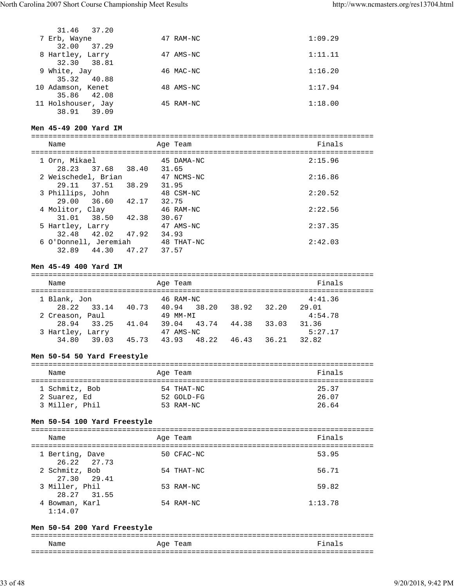| 31.46 37.20        |           |         |
|--------------------|-----------|---------|
| 7 Erb, Wayne       | 47 RAM-NC | 1:09.29 |
| 32.00<br>37.29     |           |         |
| 8 Hartley, Larry   | 47 AMS-NC | 1:11.11 |
| 32.30 38.81        |           |         |
| 9 White, Jay       | 46 MAC-NC | 1:16.20 |
| 35.32<br>40.88     |           |         |
| 10 Adamson, Kenet  | 48 AMS-NC | 1:17.94 |
| 35.86 42.08        |           |         |
| 11 Holshouser, Jay | 45 RAM-NC | 1:18.00 |
| 38.91<br>39.09     |           |         |

# **Men 45-49 200 Yard IM**

| Name                               |       | Age Team            | Finals  |
|------------------------------------|-------|---------------------|---------|
| 1 Orn, Mikael<br>28.23 37.68 38.40 |       | 45 DAMA-NC<br>31.65 | 2:15.96 |
| 2 Weischedel, Brian                |       | 47 NCMS-NC          | 2:16.86 |
| 29.11<br>37.51                     | 38.29 | 31.95               |         |
| 3 Phillips, John                   |       | 48 CSM-NC           | 2:20.52 |
| 29.00 36.60<br>4 Molitor, Clay     | 42.17 | 32.75<br>46 RAM-NC  | 2:22.56 |
| 31.01 38.50 42.38                  |       | 30.67               |         |
| 5 Hartley, Larry                   |       | 47 AMS-NC           | 2:37.35 |
| 32.48<br>42.02                     | 47.92 | 34.93               |         |
| 6 O'Donnell, Jeremiah              |       | 48 THAT-NC          | 2:42.03 |
| 32.89<br>44.30                     | 47.27 | 37.57               |         |

# **Men 45-49 400 Yard IM**

| Name             |             |       | Age Team  |       |       |       | Finals  |  |
|------------------|-------------|-------|-----------|-------|-------|-------|---------|--|
| 1 Blank, Jon     |             |       | 46 RAM-NC |       |       |       | 4:41.36 |  |
|                  | 28.22 33.14 | 40.73 | 40.94     | 38.20 | 38.92 | 32.20 | 29.01   |  |
| 2 Creason, Paul  |             |       | 49 MM-MI  |       |       |       | 4:54.78 |  |
| 28.94            | 33.25       | 41.04 | 39.04     | 43.74 | 44.38 | 33.03 | 31.36   |  |
| 3 Hartley, Larry |             |       | 47 AMS-NC |       |       |       | 5:27.17 |  |
| 34.80            | 39.03       | 45.73 | 43.93     | 48.22 | 46.43 | 36.21 | 32.82   |  |

# **Men 50-54 50 Yard Freestyle**

| Name                           | Age Team                 | Finals         |
|--------------------------------|--------------------------|----------------|
| 1 Schmitz, Bob<br>2 Suarez, Ed | 54 THAT-NC<br>52 GOLD-FG | 25.37<br>26.07 |
| 3 Miller, Phil                 | 53 RAM-NC                | 26.64          |

#### **Men 50-54 100 Yard Freestyle**

=============================================================================== Name Age Team Finals

| -------                        | $-1 - 1 = -1$ |            |         |
|--------------------------------|---------------|------------|---------|
| 1 Berting, Dave<br>26.22 27.73 |               | 50 CFAC-NC | 53.95   |
| 2 Schmitz, Bob<br>27.30 29.41  |               | 54 THAT-NC | 56.71   |
| 3 Miller, Phil<br>28.27 31.55  |               | 53 RAM-NC  | 59.82   |
| 4 Bowman, Karl<br>1:14.07      |               | 54 RAM-NC  | 1:13.78 |

# **Men 50-54 200 Yard Freestyle**

|      |             | - - -  |  |  |
|------|-------------|--------|--|--|
| Name | Aqe<br>Team | Finals |  |  |
| __   |             |        |  |  |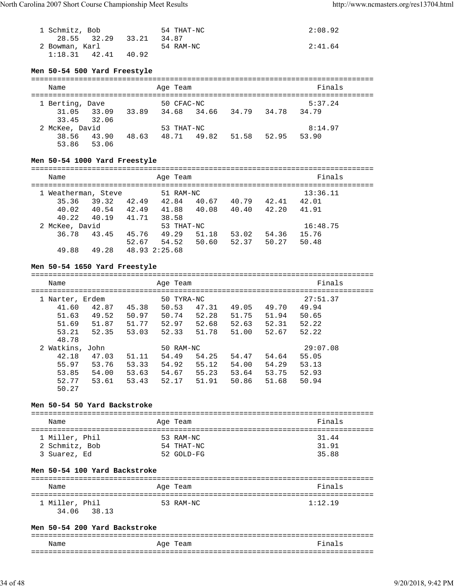| 1 Schmitz, Bob    |                   | 54 THAT-NC | 2:08.92 |
|-------------------|-------------------|------------|---------|
|                   | 28.55 32.29 33.21 | 34.87      |         |
| 2 Bowman, Karl    |                   | 54 RAM-NC  | 2:41.64 |
| $1:18.31$ $42.41$ | 40.92             |            |         |

# **Men 50-54 500 Yard Freestyle**

| Name            |             |                         | Age Team          |       |       | Finals  |  |
|-----------------|-------------|-------------------------|-------------------|-------|-------|---------|--|
| 1 Berting, Dave |             |                         | 50 CFAC-NC        |       |       | 5:37.24 |  |
|                 | 31.05 33.09 | 33.89 34.68 34.66 34.79 |                   |       | 34.78 | 34.79   |  |
|                 | 33.45 32.06 |                         |                   |       |       |         |  |
| 2 McKee, David  |             |                         | 53 THAT-NC        |       |       | 8:14.97 |  |
| 38.56           | 43.90       |                         | 48.63 48.71 49.82 | 51.58 | 52.95 | 53.90   |  |
| 53.86           | 53.06       |                         |                   |       |       |         |  |

# **Men 50-54 1000 Yard Freestyle**

| Name |                     |       |               | Age Team   |       |       |       | Finals   |
|------|---------------------|-------|---------------|------------|-------|-------|-------|----------|
|      | 1 Weatherman, Steve |       |               | 51 RAM-NC  |       |       |       | 13:36.11 |
|      | 35.36               | 39.32 | 42.49         | 42.84      | 40.67 | 40.79 | 42.41 | 42.01    |
|      | 40.02               | 40.54 | 42.49         | 41.88      | 40.08 | 40.40 | 42.20 | 41.91    |
|      | 40.22               | 40.19 | 41.71         | 38.58      |       |       |       |          |
|      | 2 McKee, David      |       |               | 53 THAT-NC |       |       |       | 16:48.75 |
|      | 36.78               | 43.45 | 45.76         | 49.29      | 51.18 | 53.02 | 54.36 | 15.76    |
|      |                     |       | 52.67         | 54.52      | 50.60 | 52.37 | 50.27 | 50.48    |
|      | 49.88               | 49.28 | 48.93 2:25.68 |            |       |       |       |          |

# **Men 50-54 1650 Yard Freestyle**

| Name            |       |       | Age Team   |       |       |       | Finals   |  |
|-----------------|-------|-------|------------|-------|-------|-------|----------|--|
| 1 Narter, Erdem |       |       | 50 TYRA-NC |       |       |       | 27:51.37 |  |
| 41.60           | 42.87 | 45.38 | 50.53      | 47.31 | 49.05 | 49.70 | 49.94    |  |
| 51.63           | 49.52 | 50.97 | 50.74      | 52.28 | 51.75 | 51.94 | 50.65    |  |
| 51.69           | 51.87 | 51.77 | 52.97      | 52.68 | 52.63 | 52.31 | 52.22    |  |
| 53.21           | 52.35 | 53.03 | 52.33      | 51.78 | 51.00 | 52.67 | 52.22    |  |
| 48.78           |       |       |            |       |       |       |          |  |
| 2 Watkins, John |       |       | 50 RAM-NC  |       |       |       | 29:07.08 |  |
| 42.18           | 47.03 | 51.11 | 54.49      | 54.25 | 54.47 | 54.64 | 55.05    |  |
| 55.97           | 53.76 | 53.33 | 54.92      | 55.12 | 54.00 | 54.29 | 53.13    |  |
| 53.85           | 54.00 | 53.63 | 54.67      | 55.23 | 53.64 | 53.75 | 52.93    |  |
| 52.77           | 53.61 | 53.43 | 52.17      | 51.91 | 50.86 | 51.68 | 50.94    |  |
| 50.27           |       |       |            |       |       |       |          |  |

## **Men 50-54 50 Yard Backstroke**

| Name           | Age Team   | Finals |
|----------------|------------|--------|
| 1 Miller, Phil | 53 RAM-NC  | 31.44  |
| 2 Schmitz, Bob | 54 THAT-NC | 31.91  |
| 3 Suarez, Ed   | 52 GOLD-FG | 35.88  |

# **Men 50-54 100 Yard Backstroke**

| Name           | Age Team  | Finals  |
|----------------|-----------|---------|
| 1 Miller, Phil | 53 RAM-NC | 1:12.19 |
| 34.06 38.13    |           |         |

## **Men 50-54 200 Yard Backstroke**

| __   |               | ___                 |
|------|---------------|---------------------|
| Name | Team<br>" Aqe | Final<br>$\epsilon$ |
|      |               | __                  |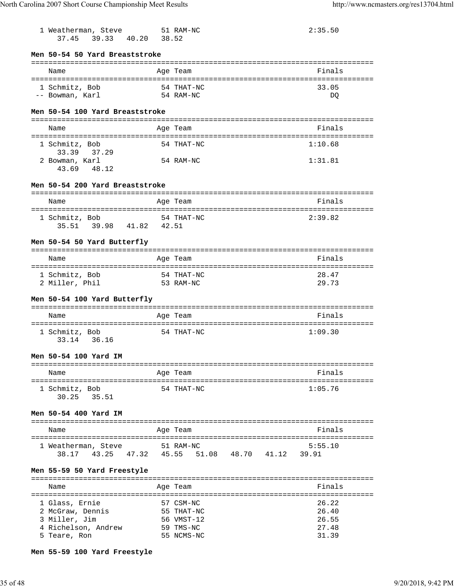| 1 Weatherman, Steve 51 RAM-NC<br>37.45 39.33 40.20 38.52                                   |                                                                  | 2:35.50                                   |
|--------------------------------------------------------------------------------------------|------------------------------------------------------------------|-------------------------------------------|
| Men 50-54 50 Yard Breaststroke                                                             |                                                                  |                                           |
| Name                                                                                       | Age Team                                                         | Finals                                    |
| 1 Schmitz, Bob<br>-- Bowman, Karl                                                          | 54 THAT-NC<br>54 RAM-NC                                          | 33.05<br>DO                               |
| Men 50-54 100 Yard Breaststroke                                                            |                                                                  |                                           |
| Name                                                                                       | Age Team                                                         | Finals                                    |
| 1 Schmitz, Bob<br>33.39 37.29                                                              | 54 THAT-NC                                                       | 1:10.68                                   |
| 2 Bowman, Karl<br>43.69 48.12                                                              | 54 RAM-NC                                                        | 1:31.81                                   |
| Men 50-54 200 Yard Breaststroke                                                            |                                                                  |                                           |
| Name                                                                                       | Age Team                                                         | Finals                                    |
| 1 Schmitz, Bob<br>35.51 39.98 41.82 42.51                                                  | 54 THAT-NC                                                       | 2:39.82                                   |
| Men 50-54 50 Yard Butterfly                                                                |                                                                  |                                           |
| Name                                                                                       | Age Team                                                         | Finals                                    |
| 1 Schmitz, Bob<br>2 Miller, Phil                                                           | 54 THAT-NC<br>53 RAM-NC                                          | 28.47<br>29.73                            |
| Men 50–54 100 Yard Butterfly                                                               |                                                                  |                                           |
| Name                                                                                       | Age Team                                                         | Finals                                    |
| 1 Schmitz, Bob<br>33.14 36.16                                                              | 54 THAT-NC                                                       | 1:09.30                                   |
| Men 50-54 100 Yard IM                                                                      |                                                                  |                                           |
| Name                                                                                       | Age Team                                                         | Finals                                    |
| 1 Schmitz, Bob<br>35.51<br>30.25                                                           | 54 THAT-NC                                                       | 1:05.76                                   |
| Men 50-54 400 Yard IM                                                                      |                                                                  |                                           |
| Name                                                                                       | Age Team                                                         | Finals                                    |
| 1 Weatherman, Steve<br>38.17                                                               | 51 RAM-NC<br>43.25  47.32  45.55  51.08  48.70  41.12            | 5:55.10<br>39.91                          |
| Men 55-59 50 Yard Freestyle                                                                |                                                                  |                                           |
| Name                                                                                       | Age Team                                                         | Finals<br>:========                       |
| 1 Glass, Ernie<br>2 McGraw, Dennis<br>3 Miller, Jim<br>4 Richelson, Andrew<br>5 Teare, Ron | 57 CSM-NC<br>55 THAT-NC<br>56 VMST-12<br>59 TMS-NC<br>55 NCMS-NC | 26.22<br>26.40<br>26.55<br>27.48<br>31.39 |
|                                                                                            |                                                                  |                                           |

**Men 55-59 100 Yard Freestyle**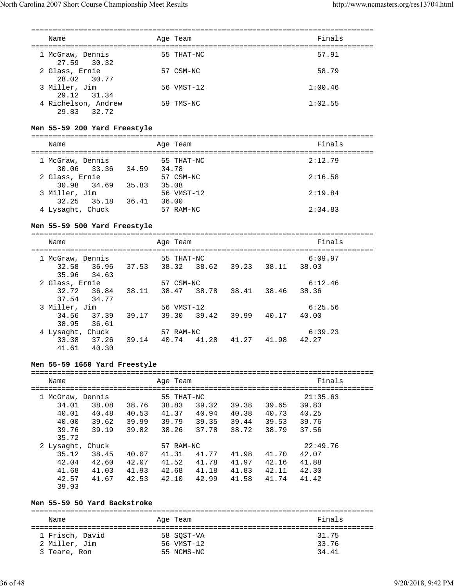| Name                               | Age Team   | Finals  |
|------------------------------------|------------|---------|
| 1 McGraw, Dennis<br>27.59 30.32    | 55 THAT-NC | 57.91   |
| 2 Glass, Ernie<br>28.02 30.77      | 57 CSM-NC  | 58.79   |
| 3 Miller, Jim<br>29.12 31.34       | 56 VMST-12 | 1:00.46 |
| 4 Richelson, Andrew<br>29.83 32.72 | 59 TMS-NC  | 1:02.55 |

#### **Men 55-59 200 Yard Freestyle**

=============================================================================== Name **Age Team** Age Team Finals =============================================================================== 55 THAT-NC 30.06 33.36 34.59 34.78 2 Glass, Ernie 57 CSM-NC 2:16.58 30.98 34.69 35.83 35.08 3 Miller, Jim 56 VMST-12 2:19.84 32.25 35.18 36.41 36.00 4 Lysaght, Chuck 57 RAM-NC 2:34.83

#### **Men 55-59 500 Yard Freestyle**

===============================================================================

|                |       |                                                                                           |       | Finals  |  |
|----------------|-------|-------------------------------------------------------------------------------------------|-------|---------|--|
|                |       |                                                                                           |       | 6:09.97 |  |
| 37.53          | 38.62 | 39.23                                                                                     | 38.11 | 38.03   |  |
|                |       |                                                                                           |       |         |  |
|                |       |                                                                                           |       | 6:12.46 |  |
| 38.11          | 38.78 | 38.41                                                                                     | 38.46 | 38.36   |  |
|                |       |                                                                                           |       |         |  |
|                |       |                                                                                           |       | 6:25.56 |  |
| 39.17          | 39.42 | 39.99                                                                                     | 40.17 | 40.00   |  |
|                |       |                                                                                           |       |         |  |
|                |       |                                                                                           |       | 6:39.23 |  |
| 39.14<br>40.74 | 41.28 | 41.27                                                                                     | 41.98 | 42.27   |  |
|                |       |                                                                                           |       |         |  |
|                |       | Age Team<br>55 THAT-NC<br>38.32<br>57 CSM-NC<br>38.47<br>56 VMST-12<br>39.30<br>57 RAM-NC |       |         |  |

#### **Men 55-59 1650 Yard Freestyle**

| Name                                                             |                                           |                                  | Age Team                                       |                                  |                                  |                                  | Finals                                       |  |
|------------------------------------------------------------------|-------------------------------------------|----------------------------------|------------------------------------------------|----------------------------------|----------------------------------|----------------------------------|----------------------------------------------|--|
| McGraw, Dennis<br>34.01<br>40.01<br>40.00<br>39.76               | 38.08<br>40.48<br>39.62<br>39.19          | 38.76<br>40.53<br>39.99<br>39.82 | 55 THAT-NC<br>38.83<br>41.37<br>39.79<br>38.26 | 39.32<br>40.94<br>39.35<br>37.78 | 39.38<br>40.38<br>39.44<br>38.72 | 39.65<br>40.73<br>39.53<br>38.79 | 21:35.63<br>39.83<br>40.25<br>39.76<br>37.56 |  |
| 35.72<br>2 Lysaght,<br>35.12<br>42.04<br>41.68<br>42.57<br>39.93 | Chuck<br>38.45<br>42.60<br>41.03<br>41.67 | 40.07<br>42.07<br>41.93<br>42.53 | 57 RAM-NC<br>41.31<br>41.52<br>42.68<br>42.10  | 41.77<br>41.78<br>41.18<br>42.99 | 41.98<br>41.97<br>41.83<br>41.58 | 41.70<br>42.16<br>42.11<br>41.74 | 22:49.76<br>42.07<br>41.88<br>42.30<br>41.42 |  |

## **Men 55-59 50 Yard Backstroke**

| Name                             | Age Team                 | Finals         |
|----------------------------------|--------------------------|----------------|
| 1 Frisch, David<br>2 Miller, Jim | 58 SOST-VA<br>56 VMST-12 | 31.75<br>33.76 |
| 3 Teare, Ron                     | 55 NCMS-NC               | 34.41          |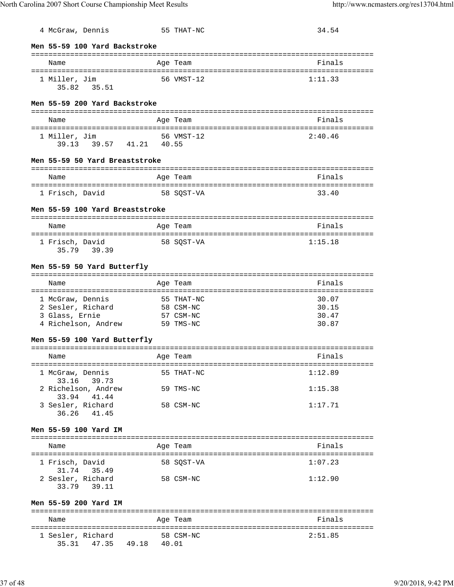| 4 McGraw, Dennis                                       | 55 THAT-NC | 34.54   |
|--------------------------------------------------------|------------|---------|
|                                                        |            |         |
| Men 55-59 100 Yard Backstroke                          |            |         |
| Name                                                   | Age Team   | Finals  |
|                                                        |            |         |
| 1 Miller, Jim<br>35.82 35.51                           | 56 VMST-12 | 1:11.33 |
|                                                        |            |         |
| Men 55-59 200 Yard Backstroke                          |            |         |
|                                                        |            |         |
| Name                                                   | Age Team   | Finals  |
| 1 Miller, Jim                                          | 56 VMST-12 | 2:40.46 |
| 39.13 39.57 41.21 40.55                                |            |         |
| Men 55-59 50 Yard Breaststroke                         |            |         |
|                                                        |            |         |
| Name                                                   | Age Team   | Finals  |
| 1 Frisch, David<br>58 SQST-VA                          |            | 33.40   |
|                                                        |            |         |
| Men 55-59 100 Yard Breaststroke                        |            |         |
| Name                                                   | Age Team   | Finals  |
|                                                        |            |         |
| 1 Frisch, David                                        | 58 SQST-VA | 1:15.18 |
| 35.79 39.39                                            |            |         |
| Men 55-59 50 Yard Butterfly                            |            |         |
|                                                        |            |         |
| Name                                                   | Age Team   | Finals  |
| 1 McGraw, Dennis                                       | 55 THAT-NC | 30.07   |
| 2 Sesler, Richard                                      | 58 CSM-NC  | 30.15   |
| 3 Glass, Ernie                                         | 57 CSM-NC  | 30.47   |
| 4 Richelson, Andrew 59 TMS-NC                          |            | 30.87   |
| Men 55-59 100 Yard Butterfly                           |            |         |
|                                                        |            |         |
| <b>Example 2</b> Aqe Team<br>Name                      |            | Finals  |
| 1 McGraw, Dennis                                       | 55 THAT-NC | 1:12.89 |
| 33.16 39.73                                            |            |         |
| 2 Richelson, Andrew<br>33.94 41.44                     | 59 TMS-NC  | 1:15.38 |
| 3 Sesler, Richard                                      | 58 CSM-NC  | 1:17.71 |
| 36.26 41.45                                            |            |         |
|                                                        |            |         |
| Men 55-59 100 Yard IM                                  |            |         |
| Name                                                   | Age Team   | Finals  |
|                                                        |            |         |
| 1 Frisch, David<br>31.74 35.49                         | 58 SQST-VA | 1:07.23 |
| 2 Sesler, Richard                                      | 58 CSM-NC  | 1:12.90 |
| 33.79 39.11                                            |            |         |
| Men 55-59 200 Yard IM                                  |            |         |
|                                                        |            |         |
| Name                                                   | Age Team   | Finals  |
|                                                        |            |         |
| 1 Sesler, Richard 58 CSM-NC<br>35.31 47.35 49.18 40.01 |            | 2:51.85 |
|                                                        |            |         |
|                                                        |            |         |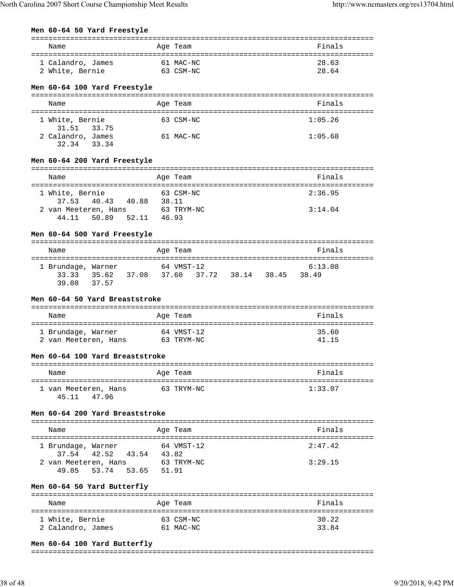## **Men 60-64 50 Yard Freestyle**

| Name                                   |       | Age Team                                        | Finals               |
|----------------------------------------|-------|-------------------------------------------------|----------------------|
|                                        |       |                                                 |                      |
| 61 MAC-NC<br>1 Calandro, James         |       |                                                 | 28.63                |
| 2 White, Bernie<br>63 CSM-NC           |       |                                                 | 28.64                |
| Men 60-64 100 Yard Freestyle           |       |                                                 |                      |
| Name                                   |       | Age Team                                        | Finals               |
|                                        |       |                                                 |                      |
| 1 White, Bernie                        |       | 63 CSM-NC                                       | 1:05.26              |
| 31.51 33.75                            |       |                                                 |                      |
| 2 Calandro, James<br>32.34 33.34       |       | 61 MAC-NC                                       | 1:05.68              |
|                                        |       |                                                 |                      |
| Men 60-64 200 Yard Freestyle           |       |                                                 |                      |
|                                        |       |                                                 |                      |
| Name                                   |       | Age Team                                        | Finals               |
| 1 White, Bernie                        |       | 63 CSM-NC                                       | 2:36.95              |
| 40.43  40.88  38.11<br>37.53           |       |                                                 |                      |
| 2 van Meeteren, Hans 63 TRYM-NC        |       |                                                 | 3:14.04              |
| 50.89   52.11   46.93<br>44.11         |       |                                                 |                      |
| Men 60-64 500 Yard Freestyle           |       |                                                 |                      |
|                                        |       |                                                 |                      |
| Name                                   |       | Age Team                                        | Finals               |
|                                        |       |                                                 |                      |
| 1 Brundage, Warner 64 VMST-12          |       | 33.33 35.62 37.08 37.60 37.72 38.14 38.45 38.49 | 6:13.08              |
| 39.08<br>37.57                         |       |                                                 |                      |
|                                        |       |                                                 |                      |
| Men 60-64 50 Yard Breaststroke         |       |                                                 |                      |
| Name                                   |       | Age Team                                        | Finals               |
|                                        |       |                                                 |                      |
| 1 Brundage, Warner                     |       | 64 VMST-12                                      | 35.60                |
| 2 van Meeteren, Hans 63 TRYM-NC        |       |                                                 | 41.15                |
| Men 60-64 100 Yard Breaststroke        |       |                                                 |                      |
|                                        |       |                                                 |                      |
| Name                                   |       | Age Team                                        | Finals               |
|                                        |       |                                                 |                      |
| 1 van Meeteren, Hans<br>45.11<br>47.96 |       | 63 TRYM-NC                                      | 1:33.07              |
|                                        |       |                                                 |                      |
| Men 60-64 200 Yard Breaststroke        |       |                                                 |                      |
| Name                                   |       | Age Team                                        | Finals               |
|                                        |       |                                                 |                      |
| 1 Brundage, Warner                     |       | 64 VMST-12                                      | 2:47.42              |
| 42.52<br>37.54<br>43.54 43.82          |       |                                                 |                      |
| 2 van Meeteren, Hans                   |       | 63 TRYM-NC                                      | 3:29.15              |
| 53.74<br>53.65<br>49.85                | 51.91 |                                                 |                      |
| Men 60-64 50 Yard Butterfly            |       |                                                 |                      |
| =========================              |       | ============                                    |                      |
| Name                                   |       | Age Team                                        | Finals               |
|                                        |       |                                                 | ==================== |
| 1 White, Bernie<br>2 Calandro, James   |       | 63 CSM-NC<br>61 MAC-NC                          | 30.22<br>33.84       |
|                                        |       |                                                 |                      |

## **Men 60-64 100 Yard Butterfly**

#### ===============================================================================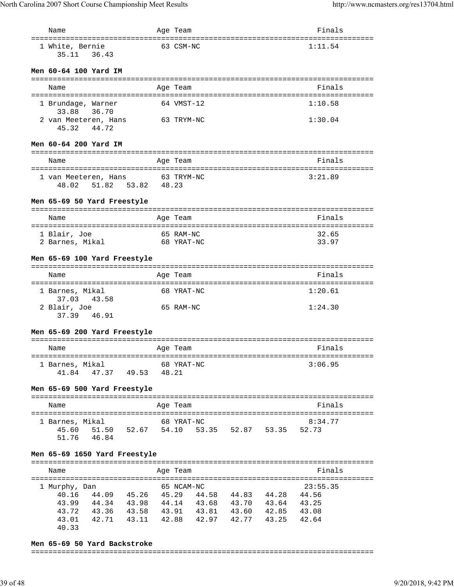| Name                                                                                                                                                                 | Age Team                   |                                 | Finals         |
|----------------------------------------------------------------------------------------------------------------------------------------------------------------------|----------------------------|---------------------------------|----------------|
| 1 White, Bernie<br>36.43<br>35.11                                                                                                                                    | 63 CSM-NC                  |                                 | 1:11.54        |
| Men 60-64 100 Yard IM                                                                                                                                                |                            |                                 |                |
| Name                                                                                                                                                                 | Age Team                   |                                 | Finals         |
| .=========================<br>1 Brundage, Warner<br>33.88<br>36.70                                                                                                   | ============<br>64 VMST-12 |                                 | 1:10.58        |
| 2 van Meeteren, Hans<br>44.72<br>45.32                                                                                                                               | 63 TRYM-NC                 |                                 | 1:30.04        |
| Men 60-64 200 Yard IM                                                                                                                                                |                            |                                 |                |
| Name                                                                                                                                                                 | Age Team                   |                                 | Finals         |
|                                                                                                                                                                      |                            |                                 |                |
| 1 van Meeteren, Hans<br>51.82    53.82    48.23<br>48.02                                                                                                             | 63 TRYM-NC                 |                                 | 3:21.89        |
| Men 65-69 50 Yard Freestyle                                                                                                                                          |                            |                                 |                |
| Name                                                                                                                                                                 | Age Team                   |                                 | Finals         |
|                                                                                                                                                                      |                            |                                 |                |
| 1 Blair, Joe<br>2 Barnes, Mikal                                                                                                                                      | 65 RAM-NC<br>68 YRAT-NC    |                                 | 32.65<br>33.97 |
| Men 65-69 100 Yard Freestyle                                                                                                                                         |                            |                                 |                |
| Name                                                                                                                                                                 | Age Team                   |                                 | Finals         |
| 1 Barnes, Mikal<br>43.58<br>37.03                                                                                                                                    | 68 YRAT-NC                 |                                 | 1:20.61        |
| 2 Blair, Joe<br>37.39 46.91                                                                                                                                          | 65 RAM-NC                  |                                 | 1:24.30        |
| Men 65-69 200 Yard Freestyle                                                                                                                                         |                            |                                 |                |
| Name                                                                                                                                                                 | Age Team                   |                                 | Finals         |
| :====================                                                                                                                                                |                            | =============================== |                |
| 1 Barnes, Mikal<br>41.84  47.37  49.53  48.21                                                                                                                        | 68 YRAT-NC                 |                                 | 3:06.95        |
| Men 65-69 500 Yard Freestyle                                                                                                                                         |                            |                                 |                |
| Name                                                                                                                                                                 | Age Team                   |                                 | Finals         |
| 1 Barnes, Mikal 68 YRAT-NC                                                                                                                                           |                            |                                 | 8:34.77        |
| 45.60 51.50 52.67 54.10 53.35 52.87 53.35 52.73<br>51.76 46.84                                                                                                       |                            |                                 |                |
|                                                                                                                                                                      |                            |                                 |                |
| Men 65-69 1650 Yard Freestyle                                                                                                                                        |                            |                                 |                |
| Name                                                                                                                                                                 | Age Team                   |                                 | Finals         |
|                                                                                                                                                                      | 65 NCAM-NC                 |                                 | 23:55.35       |
| 1 Murphy, Dan                                                                                                                                                        |                            |                                 |                |
| $\begin{array}{cccccccc} 40.16 & 44.09 & 45.26 & 45.29 & 44.58 & 44.83 & 44.28 & 44.56 \\ 43.99 & 44.34 & 43.98 & 44.14 & 43.68 & 43.70 & 43.64 & 43.25 \end{array}$ |                            |                                 |                |
| 43.72 43.36 43.58 43.91 43.81 43.60 42.85 43.08                                                                                                                      |                            |                                 |                |
| 42.71 43.11 42.88 42.97 42.77 43.25 42.64<br>43.01<br>40.33                                                                                                          |                            |                                 |                |

# **Men 65-69 50 Yard Backstroke**

===============================================================================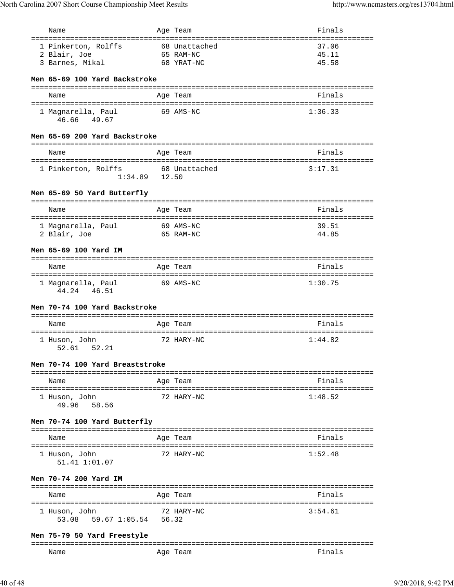| Name                                                         | Age Team      | Finals                                   |
|--------------------------------------------------------------|---------------|------------------------------------------|
| =====================================<br>1 Pinkerton, Rolffs | 68 Unattached | =======<br>37.06                         |
| 2 Blair, Joe                                                 | 65 RAM-NC     | 45.11                                    |
| 3 Barnes, Mikal                                              | 68 YRAT-NC    | 45.58                                    |
|                                                              |               |                                          |
| Men 65-69 100 Yard Backstroke                                |               |                                          |
| Name                                                         | Age Team      | Finals                                   |
|                                                              |               |                                          |
| 1 Magnarella, Paul<br>46.66 49.67                            | 69 AMS-NC     | 1:36.33                                  |
| Men 65-69 200 Yard Backstroke                                |               |                                          |
| Name                                                         | Age Team      | ==============================<br>Finals |
|                                                              |               |                                          |
| 1 Pinkerton, Rolffs<br>$1:34.89$ 12.50                       | 68 Unattached | 3:17.31                                  |
| Men 65-69 50 Yard Butterfly                                  |               |                                          |
| Name                                                         | Age Team      | Finals                                   |
|                                                              |               |                                          |
| 1 Magnarella, Paul                                           | 69 AMS-NC     | 39.51                                    |
| 2 Blair, Joe                                                 | 65 RAM-NC     | 44.85                                    |
| Men 65-69 100 Yard IM                                        |               |                                          |
|                                                              |               |                                          |
| Name                                                         | Age Team      | Finals                                   |
|                                                              |               |                                          |
| 1 Magnarella, Paul<br>44.24 46.51                            | 69 AMS-NC     | 1:30.75                                  |
| Men 70-74 100 Yard Backstroke                                |               |                                          |
| Name                                                         | Age Team      | Finals                                   |
|                                                              |               |                                          |
| 1 Huson, John<br>52.61 52.21                                 | 72 HARY-NC    | 1:44.82                                  |
| Men 70-74 100 Yard Breaststroke                              |               |                                          |
| Name                                                         | Age Team      | Finals                                   |
|                                                              |               |                                          |
| 1 Huson, John<br>58.56<br>49.96                              | 72 HARY-NC    | 1:48.52                                  |
| Men 70-74 100 Yard Butterfly                                 |               |                                          |
| Name                                                         | Age Team      | Finals                                   |
|                                                              |               |                                          |
| 1 Huson, John<br>51.41 1:01.07                               | 72 HARY-NC    | 1:52.48                                  |
| Men 70-74 200 Yard IM                                        |               |                                          |
| Name                                                         | Age Team      | Finals                                   |
|                                                              |               |                                          |
| 1 Huson, John<br>59.67 1:05.54 56.32<br>53.08                | 72 HARY-NC    | 3:54.61                                  |
| Men 75-79 50 Yard Freestyle                                  |               |                                          |
| Name                                                         | Age Team      | Finals                                   |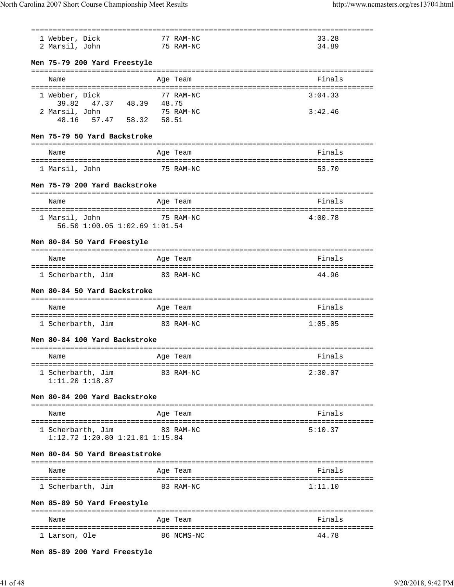|                                         |            | :=================================== |
|-----------------------------------------|------------|--------------------------------------|
| 1 Webber, Dick                          | 77 RAM-NC  | 33.28                                |
| 2 Marsil, John                          | 75 RAM-NC  | 34.89                                |
|                                         |            |                                      |
| Men 75-79 200 Yard Freestyle            |            |                                      |
|                                         |            |                                      |
| Name                                    | Age Team   | Finals                               |
|                                         |            |                                      |
| 1 Webber, Dick                          | 77 RAM-NC  | 3:04.33                              |
| 39.82 47.37 48.39 48.75                 |            |                                      |
| 2 Marsil, John                          | 75 RAM-NC  | 3:42.46                              |
| 48.16 57.47 58.32 58.51                 |            |                                      |
|                                         |            |                                      |
| Men 75-79 50 Yard Backstroke            |            |                                      |
|                                         |            |                                      |
| Name                                    | Age Team   | Finals                               |
|                                         |            |                                      |
| 1 Marsil, John                          | 75 RAM-NC  | 53.70                                |
|                                         |            |                                      |
| Men 75-79 200 Yard Backstroke           |            |                                      |
|                                         |            |                                      |
| Name                                    | Age Team   | Finals                               |
|                                         |            |                                      |
| 1 Marsil, John                          | 75 RAM-NC  | 4:00.78                              |
| 56.50 1:00.05 1:02.69 1:01.54           |            |                                      |
|                                         |            |                                      |
| Men 80-84 50 Yard Freestyle             |            |                                      |
|                                         |            |                                      |
| Name                                    | Age Team   | Finals                               |
|                                         |            |                                      |
| 1 Scherbarth, Jim 83 RAM-NC             |            | 44.96                                |
|                                         |            |                                      |
|                                         |            |                                      |
| Men 80-84 50 Yard Backstroke            |            |                                      |
|                                         |            |                                      |
| Name                                    | Age Team   | Finals                               |
|                                         |            |                                      |
| 1 Scherbarth, Jim                       | 83 RAM-NC  | 1:05.05                              |
|                                         |            |                                      |
| Men 80-84 100 Yard Backstroke           |            |                                      |
|                                         |            |                                      |
| Name                                    |            | Finals                               |
|                                         | Age Team   |                                      |
| 1 Scherbarth, Jim                       | 83 RAM-NC  | 2:30.07                              |
| $1:11.20$ $1:18.87$                     |            |                                      |
|                                         |            |                                      |
| Men 80-84 200 Yard Backstroke           |            |                                      |
|                                         |            |                                      |
| Name                                    | Age Team   | Finals                               |
|                                         |            |                                      |
| 1 Scherbarth, Jim                       | 83 RAM-NC  | 5:10.37                              |
| $1:12.72$ $1:20.80$ $1:21.01$ $1:15.84$ |            |                                      |
|                                         |            |                                      |
| Men 80-84 50 Yard Breaststroke          |            |                                      |
|                                         |            |                                      |
| Name                                    | Age Team   | Finals                               |
|                                         |            |                                      |
| 1 Scherbarth, Jim                       | 83 RAM-NC  | 1:11.10                              |
|                                         |            |                                      |
|                                         |            |                                      |
| Men 85-89 50 Yard Freestyle             |            |                                      |
| Name                                    | Age Team   | Finals                               |
|                                         |            |                                      |
| 1 Larson, Ole                           | 86 NCMS-NC | 44.78                                |

**Men 85-89 200 Yard Freestyle**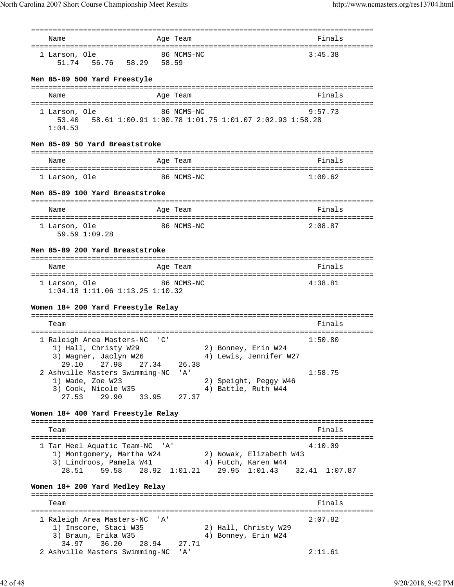| Name                                                                                 |       | Age Team      |                             | Finals  |
|--------------------------------------------------------------------------------------|-------|---------------|-----------------------------|---------|
| 1 Larson, Ole<br>51.74 56.76 58.29 58.59                                             |       | 86 NCMS-NC    |                             | 3:45.38 |
| Men 85-89 500 Yard Freestyle                                                         |       |               |                             |         |
| Name                                                                                 |       | Age Team      |                             | Finals  |
| 1 Larson, Ole                                                                        |       | 86 NCMS-NC    |                             | 9:57.73 |
| 53.40   58.61   1:00.91   1:00.78   1:01.75   1:01.07   2:02.93   1:58.28<br>1:04.53 |       |               |                             |         |
| Men 85-89 50 Yard Breaststroke                                                       |       |               |                             |         |
| Name                                                                                 |       | Age Team      |                             | Finals  |
| 1 Larson, Ole                                                                        |       | 86 NCMS-NC    |                             | 1:00.62 |
| Men 85-89 100 Yard Breaststroke                                                      |       |               |                             |         |
|                                                                                      |       |               |                             |         |
| Name                                                                                 |       | Age Team      |                             | Finals  |
| 1 Larson, Ole<br>59.59 1:09.28                                                       |       | 86 NCMS-NC    |                             | 2:08.87 |
| Men 85-89 200 Yard Breaststroke                                                      |       |               |                             |         |
| Name                                                                                 |       | Age Team      |                             | Finals  |
| 1 Larson, Ole 86 NCMS-NC<br>1:04.18 1:11.06 1:13.25 1:10.32                          |       |               |                             | 4:38.81 |
| Women 18+ 200 Yard Freestyle Relay                                                   |       |               |                             |         |
|                                                                                      |       |               |                             |         |
| Team                                                                                 |       |               |                             | Finals  |
| 1 Raleigh Area Masters-NC                                                            | ' C ' |               |                             | 1:50.80 |
| 1) Hall, Christy W29                                                                 |       |               | 2) Bonney, Erin W24         |         |
| 3) Wagner, Jaclyn W26                                                                |       |               | 4) Lewis, Jennifer W27      |         |
| 29.10<br>27.98<br>27.34<br>2 Ashville Masters Swimming-NC                            |       | 26.38<br>' A' |                             | 1:58.75 |
| 1) Wade, Zoe W23                                                                     |       |               | 2) Speight, Peggy W46       |         |
| 3) Cook, Nicole W35                                                                  |       |               | 4) Battle, Ruth W44         |         |
| 29.90<br>33.95<br>27.53                                                              |       | 27.37         |                             |         |
| Women 18+ 400 Yard Freestyle Relay                                                   |       |               |                             |         |
| Team                                                                                 |       |               |                             | Finals  |
| 1 Tar Heel Aquatic Team-NC 'A'                                                       |       |               |                             | 4:10.09 |
| 1) Montgomery, Martha W24                                                            |       |               | 2) Nowak, Elizabeth W43     |         |
| 3) Lindroos, Pamela W41                                                              |       |               | 4) Futch, Karen W44         |         |
| 59.58<br>28.51<br>Women 18+ 200 Yard Medley Relay                                    |       | 28.92 1:01.21 | 29.95 1:01.43 32.41 1:07.87 |         |
| Team                                                                                 |       |               |                             | Finals  |
|                                                                                      |       |               |                             |         |
| 1 Raleigh Area Masters-NC<br>1) Inscore, Staci W35                                   | ' A'  |               | 2) Hall, Christy W29        | 2:07.82 |
| 3) Braun, Erika W35                                                                  |       |               | 4) Bonney, Erin W24         |         |
| 34.97<br>36.20<br>28.94                                                              |       | 27.71         |                             |         |
| 2 Ashville Masters Swimming-NC                                                       |       | ' A'          |                             | 2:11.61 |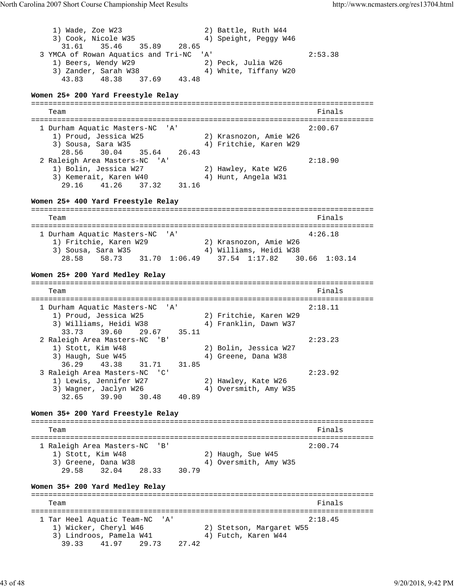1) Wade, Zoe W23 2) Battle, Ruth W44 3) Cook, Nicole W35 4) Speight, Peggy W46 31.61 35.46 35.89 28.65 3 YMCA of Rowan Aquatics and Tri-NC 'A' 2:53.38 1) Beers, Wendy W29 2) Peck, Julia W26 3) Zander, Sarah W38 4) White, Tiffany W20 43.83 48.38 37.69 43.48 **Women 25+ 200 Yard Freestyle Relay** =============================================================================== Team Finals and the contract of the contract of the contract of the contract of the contract of the contract of the contract of the contract of the contract of the contract of the contract of the contract of the contract o =============================================================================== 1 Durham Aquatic Masters-NC 'A' 2:00.67 1) Proud, Jessica W25 2) Krasnozon, Amie W26 3) Sousa, Sara W35 4) Fritchie, Karen W29 28.56 30.04 35.64 26.43 2 Raleigh Area Masters-NC 'A' 2:18.90 1) Bolin, Jessica W27 2) Hawley, Kate W26 3) Kemerait, Karen W40 4) Hunt, Angela W31 29.16 41.26 37.32 31.16 **Women 25+ 400 Yard Freestyle Relay** =============================================================================== Team Finals and the contract of the contract of the contract of the contract of the contract of the contract of the contract of the contract of the contract of the contract of the contract of the contract of the contract o =============================================================================== 1 Durham Aquatic Masters-NC 'A' 4:26.18 1) Fritchie, Karen W29 2) Krasnozon, Amie W26 3) Sousa, Sara W35 4) Williams, Heidi W38 28.58 58.73 31.70 1:06.49 37.54 1:17.82 30.66 1:03.14 **Women 25+ 200 Yard Medley Relay** =============================================================================== Team Finals and the contract of the contract of the contract of the contract of the contract of the contract of the contract of the contract of the contract of the contract of the contract of the contract of the contract o =============================================================================== 1 Durham Aquatic Masters-NC 'A' 2:18.11 1) Proud, Jessica W25 2) Fritchie, Karen W29 3) Williams, Heidi W38 4) Franklin, Dawn W37 33.73 39.60 29.67 35.11 2 Raleigh Area Masters-NC 'B' 2:23.23 1) Stott, Kim W48 2) Bolin, Jessica W27 3) Haugh, Sue W45 4) Greene, Dana W38 36.29 43.38 31.71 31.85 3 Raleigh Area Masters-NC 'C' 2:23.92 1) Lewis, Jennifer W27 2) Hawley, Kate W26 3) Wagner, Jaclyn W26 4) Oversmith, Amy W35 32.65 39.90 30.48 40.89 **Women 35+ 200 Yard Freestyle Relay** =============================================================================== Team Finals and the contract of the contract of the contract of the contract of the contract of the contract of the contract of the contract of the contract of the contract of the contract of the contract of the contract o =============================================================================== 1 Raleigh Area Masters-NC 'B' 2:00.74 1) Stott, Kim W48 2) Haugh, Sue W45 3) Greene, Dana W38 4) Oversmith, Amy W35 29.58 32.04 28.33 30.79 **Women 35+ 200 Yard Medley Relay** =============================================================================== Finals =============================================================================== 1 Tar Heel Aquatic Team-NC 'A' 2:18.45 1) Wicker, Cheryl W46 2) Stetson, Margaret W55 3) Lindroos, Pamela W41 4) Futch, Karen W44 39.33 41.97 29.73 27.42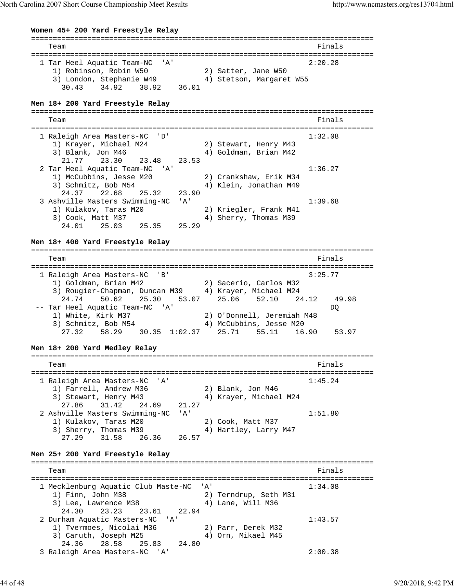North Carolina 2007 Short Course Championship Meet Results http://www.ncmasters.org/res13704.html

**Women 45+ 200 Yard Freestyle Relay** =============================================================================== Team Finals and the contract of the contract of the contract of the contract of the contract of the contract of the contract of the contract of the contract of the contract of the contract of the contract of the contract o =============================================================================== 1 Tar Heel Aquatic Team-NC 'A' 2:20.28 1) Robinson, Robin W50 2) Satter, Jane W50 3) London, Stephanie W49 4) Stetson, Margaret W55 30.43 34.92 38.92 36.01 **Men 18+ 200 Yard Freestyle Relay** =============================================================================== Team Finals =============================================================================== 1 Raleigh Area Masters-NC 'D' 1:32.08 1) Krayer, Michael M24 2) Stewart, Henry M43 3) Blank, Jon M46 4) Goldman, Brian M42 21.77 23.30 23.48 23.53 2 Tar Heel Aquatic Team-NC 'A' 1:36.27 1) McCubbins, Jesse M20 2) Crankshaw, Erik M34 3) Schmitz, Bob M54 4) Klein, Jonathan M49 24.37 22.68 25.32 23.90 3 Ashville Masters Swimming-NC 'A' 1:39.68 1) Kulakov, Taras M20 2) Kriegler, Frank M41 3) Cook, Matt M37 4) Sherry, Thomas M39 24.01 25.03 25.35 25.29 **Men 18+ 400 Yard Freestyle Relay** =============================================================================== Team Finals and the contract of the contract of the contract of the contract of the contract of the contract of the contract of the contract of the contract of the contract of the contract of the contract of the contract o =============================================================================== 1 Raleigh Area Masters-NC 'B' 3:25.77 1) Goldman, Brian M42 2) Sacerio, Carlos M32 3) Rougier-Chapman, Duncan M39 4) Krayer, Michael M24 24.74 50.62 25.30 53.07 25.06 52.10 24.12 49.98 -- Tar Heel Aquatic Team-NC 'A' DQ 1) White, Kirk M37 2) O'Donnell, Jeremiah M48 3) Schmitz, Bob M54 4) McCubbins, Jesse M20 27.32 58.29 30.35 1:02.37 25.71 55.11 16.90 53.97 **Men 18+ 200 Yard Medley Relay** =============================================================================== Team Finals =============================================================================== 1 Raleigh Area Masters-NC 'A' 1:45.24 1) Farrell, Andrew M36 2) Blank, Jon M46 3) Stewart, Henry M43 4) Krayer, Michael M24 27.86 31.42 24.69 21.27 2 Ashville Masters Swimming-NC 'A' 1:51.80 1) Kulakov, Taras M20 2) Cook, Matt M37 3) Sherry, Thomas M39 4) Hartley, Larry M47 27.29 31.58 26.36 26.57 **Men 25+ 200 Yard Freestyle Relay** =============================================================================== Team Finals and the contract of the contract of the contract of the contract of the contract of the contract of the contract of the contract of the contract of the contract of the contract of the contract of the contract o =============================================================================== 1 Mecklenburg Aquatic Club Maste-NC 'A' 1:34.08 1) Finn, John M38 2) Terndrup, Seth M31 3) Lee, Lawrence M38 4) Lane, Will M36 24.30 23.23 23.61 22.94 2 Durham Aquatic Masters-NC 'A' 1:43.57 1) Tvermoes, Nicolai M36 2) Parr, Derek M32 3) Caruth, Joseph M25 (4) Orn, Mikael M45 24.36 28.58 25.83 24.80 3 Raleigh Area Masters-NC 'A' 2:00.38

44 of 48 9/20/2018, 9:42 PM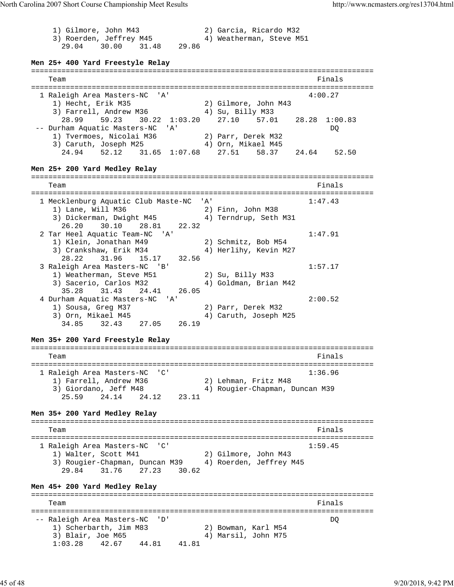1) Gilmore, John M43 2) Garcia, Ricardo M32 3) Roerden, Jeffrey M45 4) Weatherman, Steve M51 29.04 30.00 31.48 29.86 **Men 25+ 400 Yard Freestyle Relay** =============================================================================== Team Finals and the contract of the contract of the contract of the contract of the contract of the contract of the contract of the contract of the contract of the contract of the contract of the contract of the contract o =============================================================================== 1 Raleigh Area Masters-NC 'A' 4:00.27 1) Hecht, Erik M35 2) Gilmore, John M43 3) Farrell, Andrew M36 4) Su, Billy M33 28.99 59.23 30.22 1:03.20 27.10 57.01 28.28 1:00.83 -- Durham Aquatic Masters-NC 'A' DQ 1) Tvermoes, Nicolai M36 2) Parr, Derek M32 3) Caruth, Joseph M25 (4) Orn, Mikael M45 24.94 52.12 31.65 1:07.68 27.51 58.37 24.64 52.50 **Men 25+ 200 Yard Medley Relay** =============================================================================== Team Finals and the contract of the contract of the contract of the contract of the contract of the contract of the contract of the contract of the contract of the contract of the contract of the contract of the contract o =============================================================================== 1 Mecklenburg Aquatic Club Maste-NC 'A' 1:47.43 1) Lane, Will M36 2) Finn, John M38 3) Dickerman, Dwight M45 4) Terndrup, Seth M31 26.20 30.10 28.81 22.32 2 Tar Heel Aquatic Team-NC 'A' 1:47.91 1) Klein, Jonathan M49 2) Schmitz, Bob M54 3) Crankshaw, Erik M34 4) Herlihy, Kevin M27 28.22 31.96 15.17 32.56 3 Raleigh Area Masters-NC 'B' 1:57.17 1) Weatherman, Steve M51 2) Su, Billy M33 3) Sacerio, Carlos M32 4) Goldman, Brian M42 35.28 31.43 24.41 26.05 4 Durham Aquatic Masters-NC 'A' 2:00.52 1) Sousa, Greg M37 2) Parr, Derek M32 3) Orn, Mikael M45 4) Caruth, Joseph M25 34.85 32.43 27.05 26.19 **Men 35+ 200 Yard Freestyle Relay** =============================================================================== Team Finals and the contract of the contract of the contract of the contract of the contract of the contract of the contract of the contract of the contract of the contract of the contract of the contract of the contract o =============================================================================== 1 Raleigh Area Masters-NC 'C' 1:36.96 1) Farrell, Andrew M36 2) Lehman, Fritz M48 3) Giordano, Jeff M48 4) Rougier-Chapman, Duncan M39 25.59 24.14 24.12 23.11 **Men 35+ 200 Yard Medley Relay** =============================================================================== Team Finals and the contract of the contract of the contract of the contract of the contract of the contract of the contract of the contract of the contract of the contract of the contract of the contract of the contract o =============================================================================== 1 Raleigh Area Masters-NC 'C' 1:59.45 1) Walter, Scott M41 2) Gilmore, John M43 3) Rougier-Chapman, Duncan M39 4) Roerden, Jeffrey M45 29.84 31.76 27.23 30.62 **Men 45+ 200 Yard Medley Relay** =============================================================================== **Team Finals** =============================================================================== -- Raleigh Area Masters-NC 'D' DQ 1) Scherbarth, Jim M83 2) Bowman, Karl M54 3) Blair, Joe M65 4) Marsil, John M75 1:03.28 42.67 44.81 41.81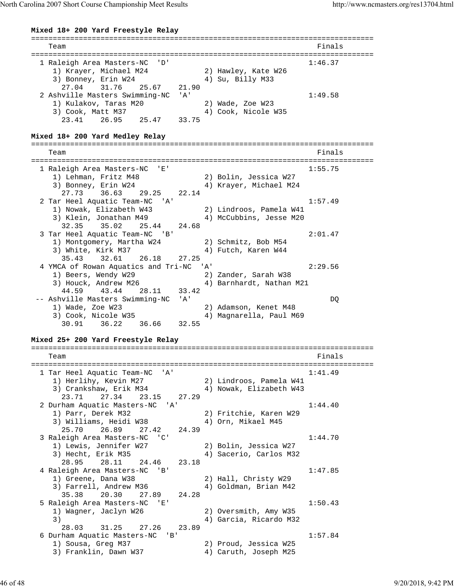North Carolina 2007 Short Course Championship Meet Results http://www.ncmasters.org/res13704.html

**Mixed 18+ 200 Yard Freestyle Relay**

=============================================================================== Team Finals and the contract of the contract of the contract of the contract of the contract of the contract of the contract of the contract of the contract of the contract of the contract of the contract of the contract o =============================================================================== 1 Raleigh Area Masters-NC 'D' 1:46.37 1) Krayer, Michael M24 2) Hawley, Kate W26 3) Bonney, Erin W24 4) Su, Billy M33 27.04 31.76 25.67 21.90 2 Ashville Masters Swimming-NC 'A' 1:49.58 1) Kulakov, Taras M20 2) Wade, Zoe W23 3) Cook, Matt M37 4) Cook, Nicole W35 23.41 26.95 25.47 33.75 **Mixed 18+ 200 Yard Medley Relay** =============================================================================== Team Finals =============================================================================== 1 Raleigh Area Masters-NC 'E' 1:55.75 1) Lehman, Fritz M48 2) Bolin, Jessica W27 3) Bonney, Erin W24 4) Krayer, Michael M24 27.73 36.63 29.25 22.14 2 Tar Heel Aquatic Team-NC 'A' 1:57.49<br>1) Nowak, Elizabeth W43 2) Lindroos, Pamela W41<br>3) Klein, Jonathan M49 4) McCubbins, Jesse M20 2) Lindroos, Famela<br>4) McCubbins, Jesse M20 3) Klein, Jonathan M49 4) McCubbins, Jesse M20 32.35 35.02 25.44 24.68 3 Tar Heel Aquatic Team-NC 'B' 2:01.47 1) Montgomery, Martha W24 2) Schmitz, Bob M54 3) White, Kirk M37 4) Futch, Karen W44 35.43 32.61 26.18 27.25 4 YMCA of Rowan Aquatics and Tri-NC 'A' 2:29.56 1) Beers, Wendy W29 2) Zander, Sarah W38 3) Houck, Andrew M26 4) Barnhardt, Nathan M21 44.59 43.44 28.11 33.42 -- Ashville Masters Swimming-NC 'A' DQ 1) Wade, Zoe W23 2) Adamson, Kenet M48<br>3) Cook, Nicole W35 3) 20 Adamson, Paul M6 2) Audumoon, .<br>4) Magnarella, Paul M69 30.91 36.22 36.66 32.55 **Mixed 25+ 200 Yard Freestyle Relay** =============================================================================== Team Finals and the contract of the contract of the contract of the contract of the contract of the contract of the contract of the contract of the contract of the contract of the contract of the contract of the contract o =============================================================================== 1 Tar Heel Aquatic Team-NC 'A' 1:41.49 1) Herlihy, Kevin M27 2) Lindroos, Pamela W41 3) Crankshaw, Erik M34 4) Nowak, Elizabeth W43 23.71 27.34 23.15 27.29 2 Durham Aquatic Masters-NC 'A' 1:44.40 1) Parr, Derek M32 2) Fritchie, Karen W29 3) Williams, Heidi W38  $\hskip1cm 4$ ) Orn, Mikael M45 25.70 26.89 27.42 24.39 3 Raleigh Area Masters-NC 'C' 1:44.70 1) Lewis, Jennifer W27 2) Bolin, Jessica W27 3) Hecht, Erik M35 4) Sacerio, Carlos M32 28.95 28.11 24.46 23.18 4 Raleigh Area Masters-NC 'B' 1:47.85 1) Greene, Dana W38 2) Hall, Christy W29 3) Farrell, Andrew M36 4) Goldman, Brian M42 35.38 20.30 27.89 24.28 5 Raleigh Area Masters-NC 'E' 1:50.43 1) Wagner, Jaclyn W26 2) Oversmith, Amy W35 3) 4) Garcia, Ricardo M32 28.03 31.25 27.26 23.89 6 Durham Aquatic Masters-NC 'B' 1:57.84 1) Sousa, Greg M37 2) Proud, Jessica W25 3) Franklin, Dawn W37 4) Caruth, Joseph M25

46 of 48 9/20/2018, 9:42 PM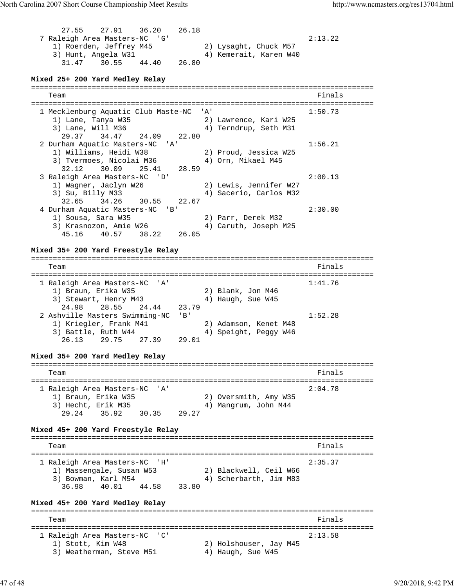27.55 27.91 36.20 26.18 7 Raleigh Area Masters-NC 'G' 2:13.22 1) Roerden, Jeffrey M45 2) Lysaght, Chuck M57 3) Hunt, Angela W31 4) Kemerait, Karen W40 31.47 30.55 44.40 26.80 **Mixed 25+ 200 Yard Medley Relay** =============================================================================== Team Finals and the contract of the contract of the contract of the contract of the contract of the contract of the contract of the contract of the contract of the contract of the contract of the contract of the contract o =============================================================================== 1 Mecklenburg Aquatic Club Maste-NC 'A' 1:50.73 1) Lane, Tanya W35 2) Lawrence, Kari W25 3) Lane, Will M36 4) Terndrup, Seth M31 29.37 34.47 24.09 22.80 2 Durham Aquatic Masters-NC 'A' 1:56.21 1) Williams, Heidi W38 2) Proud, Jessica W25 3) Tvermoes, Nicolai M36 (4) Orn, Mikael M45 32.12 30.09 25.41 28.59 3 Raleigh Area Masters-NC 'D' 2:00.13 1) Wagner, Jaclyn W26 2) Lewis, Jennifer W27 3) Su, Billy M33 4) Sacerio, Carlos M32 32.65 34.26 30.55 22.67 4 Durham Aquatic Masters-NC 'B' 2:30.00 1) Sousa, Sara W35 2) Parr, Derek M32 3) Krasnozon, Amie W26 4) Caruth, Joseph M25 45.16 40.57 38.22 26.05 **Mixed 35+ 200 Yard Freestyle Relay** =============================================================================== Team Finals and the contract of the contract of the contract of the contract of the contract of the contract of the contract of the contract of the contract of the contract of the contract of the contract of the contract o =============================================================================== 1 Raleigh Area Masters-NC 'A' 1:41.76 1) Braun, Erika W35 2) Blank, Jon M46 3) Stewart, Henry M43 4) Haugh, Sue W45 24.98 28.55 24.44 23.79 2 Ashville Masters Swimming-NC 'B' 1:52.28 1) Kriegler, Frank M41 2) Adamson, Kenet M48 3) Battle, Ruth W44 4 4) Speight, Peggy W46 26.13 29.75 27.39 29.01 **Mixed 35+ 200 Yard Medley Relay** =============================================================================== Team Finals and the contract of the contract of the contract of the contract of the contract of the contract of the contract of the contract of the contract of the contract of the contract of the contract of the contract o =============================================================================== 1 Raleigh Area Masters-NC 'A' 2:04.78 1) Braun, Erika W35 2) Oversmith, Amy W35 3) Hecht, Erik M35 4) Mangrum, John M44 29.24 35.92 30.35 29.27 **Mixed 45+ 200 Yard Freestyle Relay** =============================================================================== Team Finals and the contract of the contract of the contract of the contract of the contract of the contract of the contract of the contract of the contract of the contract of the contract of the contract of the contract o =============================================================================== 1 Raleigh Area Masters-NC 'H' 2:35.37 1) Massengale, Susan W53 2) Blackwell, Ceil W66 3) Bowman, Karl M54 4) Scherbarth, Jim M83 36.98 40.01 44.58 33.80 **Mixed 45+ 200 Yard Medley Relay** =============================================================================== Team Finals =============================================================================== 1 Raleigh Area Masters-NC 'C' 2:13.58 1) Stott, Kim W48 2) Holshouser, Jay M45 3) Weatherman, Steve M51 4) Haugh, Sue W45